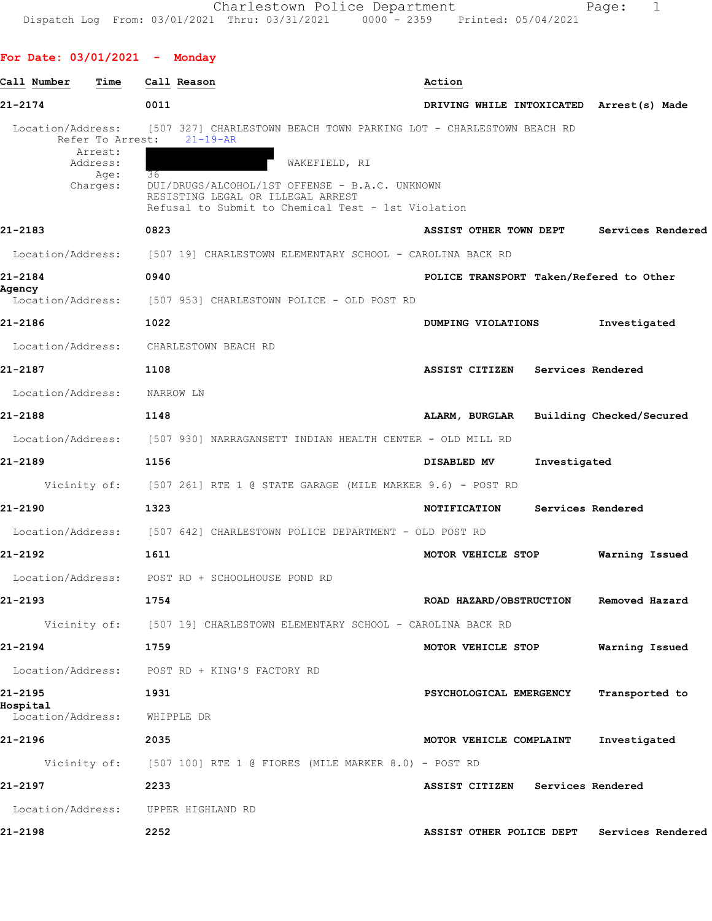## **For Date: 03/01/2021 - Monday**

| Call Number<br>Time                                                              | Call Reason                                                                                                                                                                                                                                               | Action                                        |
|----------------------------------------------------------------------------------|-----------------------------------------------------------------------------------------------------------------------------------------------------------------------------------------------------------------------------------------------------------|-----------------------------------------------|
| 21-2174                                                                          | 0011                                                                                                                                                                                                                                                      | DRIVING WHILE INTOXICATED Arrest(s) Made      |
| Location/Address:<br>Refer To Arrest:<br>Arrest:<br>Address:<br>Age:<br>Charges: | [507 327] CHARLESTOWN BEACH TOWN PARKING LOT - CHARLESTOWN BEACH RD<br>$21 - 19 - AR$<br>WAKEFIELD, RI<br>36<br>DUI/DRUGS/ALCOHOL/1ST OFFENSE - B.A.C. UNKNOWN<br>RESISTING LEGAL OR ILLEGAL ARREST<br>Refusal to Submit to Chemical Test - 1st Violation |                                               |
| 21-2183                                                                          | 0823                                                                                                                                                                                                                                                      | Services Rendered<br>ASSIST OTHER TOWN DEPT   |
| Location/Address:                                                                | [507 19] CHARLESTOWN ELEMENTARY SCHOOL - CAROLINA BACK RD                                                                                                                                                                                                 |                                               |
| 21-2184                                                                          | 0940                                                                                                                                                                                                                                                      | POLICE TRANSPORT Taken/Refered to Other       |
| Agency<br>Location/Address:                                                      | [507 953] CHARLESTOWN POLICE - OLD POST RD                                                                                                                                                                                                                |                                               |
| 21-2186                                                                          | 1022                                                                                                                                                                                                                                                      | Investigated<br>DUMPING VIOLATIONS            |
| Location/Address:                                                                | CHARLESTOWN BEACH RD                                                                                                                                                                                                                                      |                                               |
| 21-2187                                                                          | 1108                                                                                                                                                                                                                                                      | <b>ASSIST CITIZEN</b><br>Services Rendered    |
| Location/Address:                                                                | NARROW LN                                                                                                                                                                                                                                                 |                                               |
| 21-2188                                                                          | 1148                                                                                                                                                                                                                                                      | Building Checked/Secured<br>ALARM, BURGLAR    |
| Location/Address:                                                                | [507 930] NARRAGANSETT INDIAN HEALTH CENTER - OLD MILL RD                                                                                                                                                                                                 |                                               |
| 21-2189                                                                          | 1156                                                                                                                                                                                                                                                      | Investigated<br>DISABLED MV                   |
| Vicinity of:                                                                     | [507 261] RTE 1 @ STATE GARAGE (MILE MARKER 9.6) - POST RD                                                                                                                                                                                                |                                               |
| 21-2190                                                                          | 1323                                                                                                                                                                                                                                                      | Services Rendered<br>NOTIFICATION             |
|                                                                                  | Location/Address: [507 642] CHARLESTOWN POLICE DEPARTMENT - OLD POST RD                                                                                                                                                                                   |                                               |
| 21-2192                                                                          | 1611                                                                                                                                                                                                                                                      | MOTOR VEHICLE STOP<br>Warning Issued          |
|                                                                                  | Location/Address: POST RD + SCHOOLHOUSE POND RD                                                                                                                                                                                                           |                                               |
| $21 - 2193$                                                                      | 1754                                                                                                                                                                                                                                                      | ROAD HAZARD/OBSTRUCTION<br>Removed Hazard     |
|                                                                                  | Vicinity of: [507 19] CHARLESTOWN ELEMENTARY SCHOOL - CAROLINA BACK RD                                                                                                                                                                                    |                                               |
| 21-2194                                                                          | 1759                                                                                                                                                                                                                                                      | Warning Issued<br>MOTOR VEHICLE STOP          |
|                                                                                  | Location/Address: POST RD + KING'S FACTORY RD                                                                                                                                                                                                             |                                               |
| 21-2195<br>Hospital                                                              | 1931                                                                                                                                                                                                                                                      | Transported to<br>PSYCHOLOGICAL EMERGENCY     |
| Location/Address:                                                                | WHIPPLE DR                                                                                                                                                                                                                                                |                                               |
| 21-2196                                                                          | 2035                                                                                                                                                                                                                                                      | Investigated<br>MOTOR VEHICLE COMPLAINT       |
|                                                                                  | Vicinity of: [507 100] RTE 1 @ FIORES (MILE MARKER 8.0) - POST RD                                                                                                                                                                                         |                                               |
| 21-2197                                                                          | 2233                                                                                                                                                                                                                                                      | ASSIST CITIZEN Services Rendered              |
|                                                                                  | Location/Address: UPPER HIGHLAND RD                                                                                                                                                                                                                       |                                               |
| 21-2198                                                                          | 2252                                                                                                                                                                                                                                                      | Services Rendered<br>ASSIST OTHER POLICE DEPT |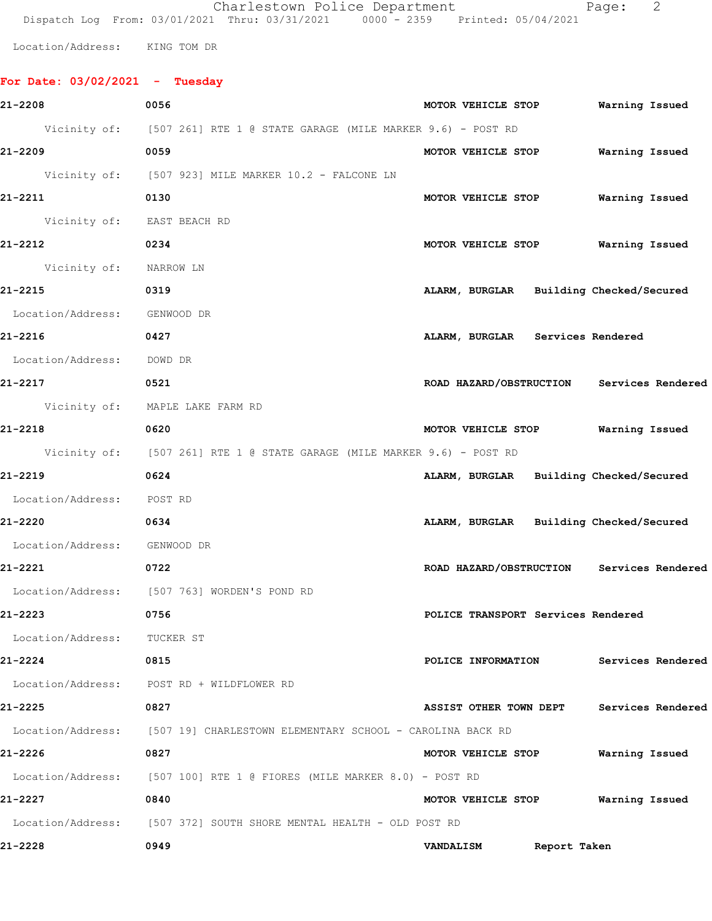|                                | Charlestown Police Department<br>Dispatch Log From: 03/01/2021 Thru: 03/31/2021 0000 - 2359 Printed: 05/04/2021 |                    |                                           | Page:          | 2 |
|--------------------------------|-----------------------------------------------------------------------------------------------------------------|--------------------|-------------------------------------------|----------------|---|
| Location/Address: KING TOM DR  |                                                                                                                 |                    |                                           |                |   |
|                                |                                                                                                                 |                    |                                           |                |   |
| For Date: 03/02/2021 - Tuesday |                                                                                                                 |                    |                                           |                |   |
| 21-2208                        | 0056                                                                                                            |                    | MOTOR VEHICLE STOP Warning Issued         |                |   |
|                                | Vicinity of: [507 261] RTE 1 @ STATE GARAGE (MILE MARKER 9.6) - POST RD                                         |                    |                                           |                |   |
| 21-2209                        | 0059                                                                                                            | MOTOR VEHICLE STOP |                                           | Warning Issued |   |
|                                | Vicinity of: [507 923] MILE MARKER 10.2 - FALCONE LN                                                            |                    |                                           |                |   |
| 21-2211                        | 0130                                                                                                            |                    | MOTOR VEHICLE STOP                        | Warning Issued |   |
| Vicinity of: EAST BEACH RD     |                                                                                                                 |                    |                                           |                |   |
| 21-2212                        | 0234                                                                                                            |                    | MOTOR VEHICLE STOP                        | Warning Issued |   |
| Vicinity of: NARROW LN         |                                                                                                                 |                    |                                           |                |   |
| 21-2215                        | 0319                                                                                                            |                    | ALARM, BURGLAR Building Checked/Secured   |                |   |
| Location/Address: GENWOOD DR   |                                                                                                                 |                    |                                           |                |   |
| 21-2216                        | 0427                                                                                                            |                    | ALARM, BURGLAR Services Rendered          |                |   |
| Location/Address: DOWD DR      |                                                                                                                 |                    |                                           |                |   |
| 21-2217                        | 0521                                                                                                            |                    | ROAD HAZARD/OBSTRUCTION Services Rendered |                |   |
|                                | Vicinity of: MAPLE LAKE FARM RD                                                                                 |                    |                                           |                |   |
| 21-2218                        | 0620                                                                                                            |                    | MOTOR VEHICLE STOP Warning Issued         |                |   |
|                                | Vicinity of: [507 261] RTE 1 @ STATE GARAGE (MILE MARKER 9.6) - POST RD                                         |                    |                                           |                |   |
| 21-2219                        | 0624                                                                                                            |                    | ALARM, BURGLAR Building Checked/Secured   |                |   |
| Location/Address: POST RD      |                                                                                                                 |                    |                                           |                |   |
| $21 - 2220$                    | 0634                                                                                                            |                    | ALARM, BURGLAR Building Checked/Secured   |                |   |
| Location/Address: GENWOOD DR   |                                                                                                                 |                    |                                           |                |   |
| 21-2221<br>$\sim$ 0722         |                                                                                                                 |                    | ROAD HAZARD/OBSTRUCTION Services Rendered |                |   |
|                                | Location/Address: [507 763] WORDEN'S POND RD                                                                    |                    |                                           |                |   |
| 21-2223                        | 0756                                                                                                            |                    | POLICE TRANSPORT Services Rendered        |                |   |
| Location/Address: TUCKER ST    |                                                                                                                 |                    |                                           |                |   |
| 21-2224<br>0815                |                                                                                                                 |                    | POLICE INFORMATION Services Rendered      |                |   |
|                                | Location/Address: POST RD + WILDFLOWER RD                                                                       |                    |                                           |                |   |
| 21-2225                        | 0827                                                                                                            |                    | ASSIST OTHER TOWN DEPT Services Rendered  |                |   |
|                                | Location/Address: [507 19] CHARLESTOWN ELEMENTARY SCHOOL - CAROLINA BACK RD                                     |                    |                                           |                |   |
| 21-2226                        | 0827                                                                                                            |                    | MOTOR VEHICLE STOP Warning Issued         |                |   |
|                                | Location/Address: [507 100] RTE 1 @ FIORES (MILE MARKER 8.0) - POST RD                                          |                    |                                           |                |   |
| 21-2227                        | 0840                                                                                                            |                    | MOTOR VEHICLE STOP Warning Issued         |                |   |
|                                | Location/Address: [507 372] SOUTH SHORE MENTAL HEALTH - OLD POST RD                                             |                    |                                           |                |   |
| 21-2228                        | 0949                                                                                                            |                    | VANDALISM Report Taken                    |                |   |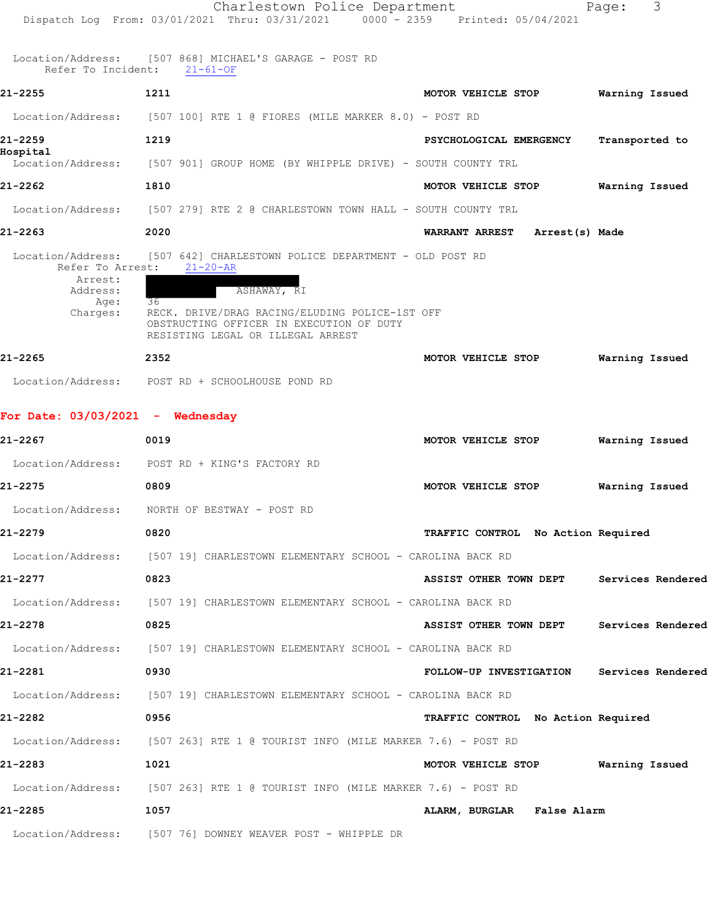|                                       | Charlestown Police Department<br>Dispatch Log From: 03/01/2021 Thru: 03/31/2021 0000 - 2359 Printed: 05/04/2021                       |                                           | 3<br>Page:        |
|---------------------------------------|---------------------------------------------------------------------------------------------------------------------------------------|-------------------------------------------|-------------------|
|                                       | Location/Address: [507 868] MICHAEL'S GARAGE - POST RD<br>Refer To Incident: 21-61-OF                                                 |                                           |                   |
| 21-2255                               | 1211                                                                                                                                  | MOTOR VEHICLE STOP                        | Warning Issued    |
|                                       | Location/Address: [507 100] RTE 1 @ FIORES (MILE MARKER 8.0) - POST RD                                                                |                                           |                   |
| 21-2259                               | 1219                                                                                                                                  | PSYCHOLOGICAL EMERGENCY                   | Transported to    |
| Hospital<br>Location/Address:         | [507 901] GROUP HOME (BY WHIPPLE DRIVE) - SOUTH COUNTY TRL                                                                            |                                           |                   |
| 21-2262                               | 1810                                                                                                                                  | MOTOR VEHICLE STOP                        | Warning Issued    |
|                                       | Location/Address: [507 279] RTE 2 @ CHARLESTOWN TOWN HALL - SOUTH COUNTY TRL                                                          |                                           |                   |
| 21-2263                               | 2020                                                                                                                                  | <b>WARRANT ARREST</b><br>Arrest(s) Made   |                   |
| Location/Address:<br>Refer To Arrest: | [507 642] CHARLESTOWN POLICE DEPARTMENT - OLD POST RD<br>$21 - 20 - AR$                                                               |                                           |                   |
| Arrest:<br>Address:                   | ASHAWAY, RI                                                                                                                           |                                           |                   |
| Age:<br>Charges:                      | 36<br>RECK. DRIVE/DRAG RACING/ELUDING POLICE-1ST OFF<br>OBSTRUCTING OFFICER IN EXECUTION OF DUTY<br>RESISTING LEGAL OR ILLEGAL ARREST |                                           |                   |
| 21-2265                               | 2352                                                                                                                                  | MOTOR VEHICLE STOP                        | Warning Issued    |
|                                       | Location/Address: POST RD + SCHOOLHOUSE POND RD                                                                                       |                                           |                   |
| For Date: 03/03/2021 - Wednesday      |                                                                                                                                       |                                           |                   |
| 21-2267                               | 0019                                                                                                                                  | MOTOR VEHICLE STOP                        | Warning Issued    |
| Location/Address:                     | POST RD + KING'S FACTORY RD                                                                                                           |                                           |                   |
| 21-2275                               | 0809                                                                                                                                  | MOTOR VEHICLE STOP                        | Warning Issued    |
| Location/Address:                     | NORTH OF BESTWAY - POST RD                                                                                                            |                                           |                   |
| 21-2279                               | 0820                                                                                                                                  | TRAFFIC CONTROL No Action Required        |                   |
|                                       | Location/Address: [507 19] CHARLESTOWN ELEMENTARY SCHOOL - CAROLINA BACK RD                                                           |                                           |                   |
| 21-2277                               | 0823                                                                                                                                  | ASSIST OTHER TOWN DEPT Services Rendered  |                   |
|                                       | Location/Address: [507 19] CHARLESTOWN ELEMENTARY SCHOOL - CAROLINA BACK RD                                                           |                                           |                   |
| 21-2278                               | 0825                                                                                                                                  | ASSIST OTHER TOWN DEPT                    | Services Rendered |
|                                       | Location/Address: [507 19] CHARLESTOWN ELEMENTARY SCHOOL - CAROLINA BACK RD                                                           |                                           |                   |
| 21-2281                               | 0930                                                                                                                                  | FOLLOW-UP INVESTIGATION Services Rendered |                   |
|                                       | Location/Address: [507 19] CHARLESTOWN ELEMENTARY SCHOOL - CAROLINA BACK RD                                                           |                                           |                   |
| 21-2282                               | 0956                                                                                                                                  | TRAFFIC CONTROL No Action Required        |                   |
|                                       | Location/Address: [507 263] RTE 1 @ TOURIST INFO (MILE MARKER 7.6) - POST RD                                                          |                                           |                   |
| 21-2283                               | 1021                                                                                                                                  | MOTOR VEHICLE STOP Warning Issued         |                   |
|                                       | Location/Address: [507 263] RTE 1 @ TOURIST INFO (MILE MARKER 7.6) - POST RD                                                          |                                           |                   |
| 21-2285                               | 1057                                                                                                                                  | ALARM, BURGLAR False Alarm                |                   |
|                                       | Location/Address: [507 76] DOWNEY WEAVER POST - WHIPPLE DR                                                                            |                                           |                   |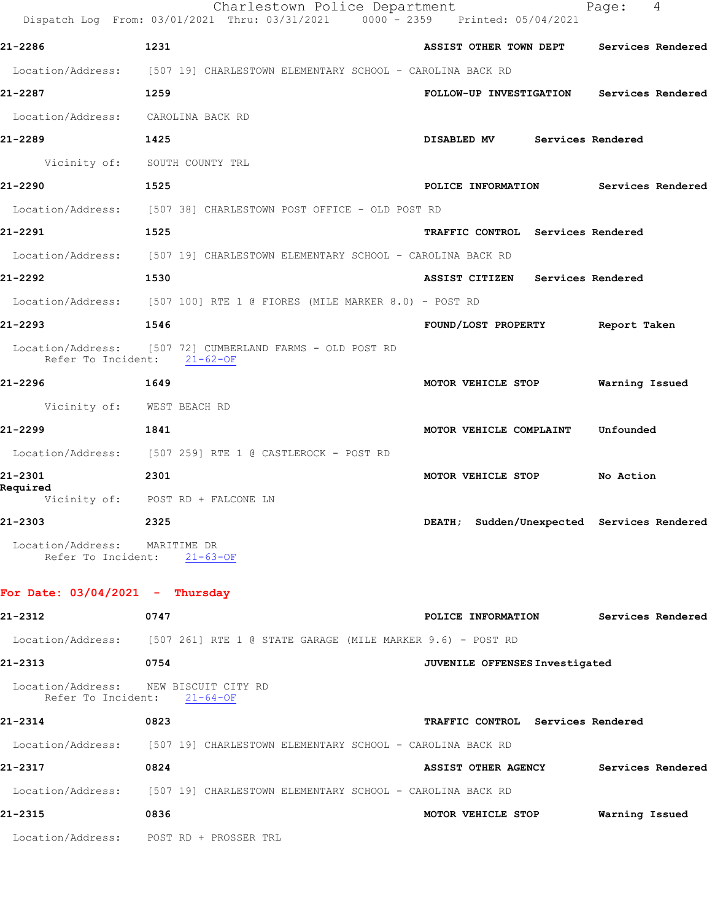|                                                                      | Charlestown Police Department<br>Dispatch Log From: 03/01/2021 Thru: 03/31/2021 0000 - 2359 Printed: 05/04/2021 |                                            | 4<br>Page:               |
|----------------------------------------------------------------------|-----------------------------------------------------------------------------------------------------------------|--------------------------------------------|--------------------------|
| 21-2286                                                              | 1231                                                                                                            | ASSIST OTHER TOWN DEPT Services Rendered   |                          |
|                                                                      | Location/Address: [507 19] CHARLESTOWN ELEMENTARY SCHOOL - CAROLINA BACK RD                                     |                                            |                          |
| 21-2287<br>1259                                                      |                                                                                                                 | FOLLOW-UP INVESTIGATION Services Rendered  |                          |
| Location/Address: CAROLINA BACK RD                                   |                                                                                                                 |                                            |                          |
| 21-2289<br>$\sim$ 1425                                               |                                                                                                                 | DISABLED MV Services Rendered              |                          |
|                                                                      | Vicinity of: SOUTH COUNTY TRL                                                                                   |                                            |                          |
| 21-2290                                                              | 1525                                                                                                            | POLICE INFORMATION Services Rendered       |                          |
|                                                                      | Location/Address: [507 38] CHARLESTOWN POST OFFICE - OLD POST RD                                                |                                            |                          |
| 21-2291                                                              | 1525                                                                                                            | TRAFFIC CONTROL Services Rendered          |                          |
|                                                                      | Location/Address: [507 19] CHARLESTOWN ELEMENTARY SCHOOL - CAROLINA BACK RD                                     |                                            |                          |
| 21-2292                                                              | 1530                                                                                                            | ASSIST CITIZEN Services Rendered           |                          |
|                                                                      | Location/Address: [507 100] RTE 1 @ FIORES (MILE MARKER 8.0) - POST RD                                          |                                            |                          |
| 21-2293                                                              | 1546                                                                                                            | FOUND/LOST PROPERTY Report Taken           |                          |
| Refer To Incident: 21-62-OF                                          | Location/Address: [507 72] CUMBERLAND FARMS - OLD POST RD                                                       |                                            |                          |
| 21-2296<br>1649                                                      |                                                                                                                 | MOTOR VEHICLE STOP Warning Issued          |                          |
| Vicinity of: WEST BEACH RD                                           |                                                                                                                 |                                            |                          |
| 21-2299                                                              | 1841                                                                                                            | MOTOR VEHICLE COMPLAINT                    | Unfounded                |
|                                                                      | Location/Address: [507 259] RTE 1 @ CASTLEROCK - POST RD                                                        |                                            |                          |
| 21-2301<br>2301<br>Required                                          |                                                                                                                 | MOTOR VEHICLE STOP No Action               |                          |
|                                                                      | Vicinity of: POST RD + FALCONE LN                                                                               |                                            |                          |
| 21-2303                                                              | 2325                                                                                                            | DEATH; Sudden/Unexpected Services Rendered |                          |
| Location/Address: MARITIME DR<br>Refer To Incident:                  | $21 - 63 - OF$                                                                                                  |                                            |                          |
| For Date: $03/04/2021$ - Thursday                                    |                                                                                                                 |                                            |                          |
| 21-2312                                                              | 0747                                                                                                            | POLICE INFORMATION                         | <b>Services Rendered</b> |
|                                                                      | Location/Address: [507 261] RTE 1 @ STATE GARAGE (MILE MARKER 9.6) - POST RD                                    |                                            |                          |
| 21-2313                                                              | 0754                                                                                                            | JUVENILE OFFENSES Investigated             |                          |
| Location/Address: NEW BISCUIT CITY RD<br>Refer To Incident: 21-64-OF |                                                                                                                 |                                            |                          |
| 21-2314                                                              | 0823                                                                                                            | TRAFFIC CONTROL Services Rendered          |                          |
|                                                                      | Location/Address: [507 19] CHARLESTOWN ELEMENTARY SCHOOL - CAROLINA BACK RD                                     |                                            |                          |
| 21-2317                                                              | 0824                                                                                                            | <b>ASSIST OTHER AGENCY</b>                 | Services Rendered        |
|                                                                      | Location/Address: [507 19] CHARLESTOWN ELEMENTARY SCHOOL - CAROLINA BACK RD                                     |                                            |                          |
| 21-2315                                                              | 0836                                                                                                            | MOTOR VEHICLE STOP                         | Warning Issued           |
|                                                                      | Location/Address: POST RD + PROSSER TRL                                                                         |                                            |                          |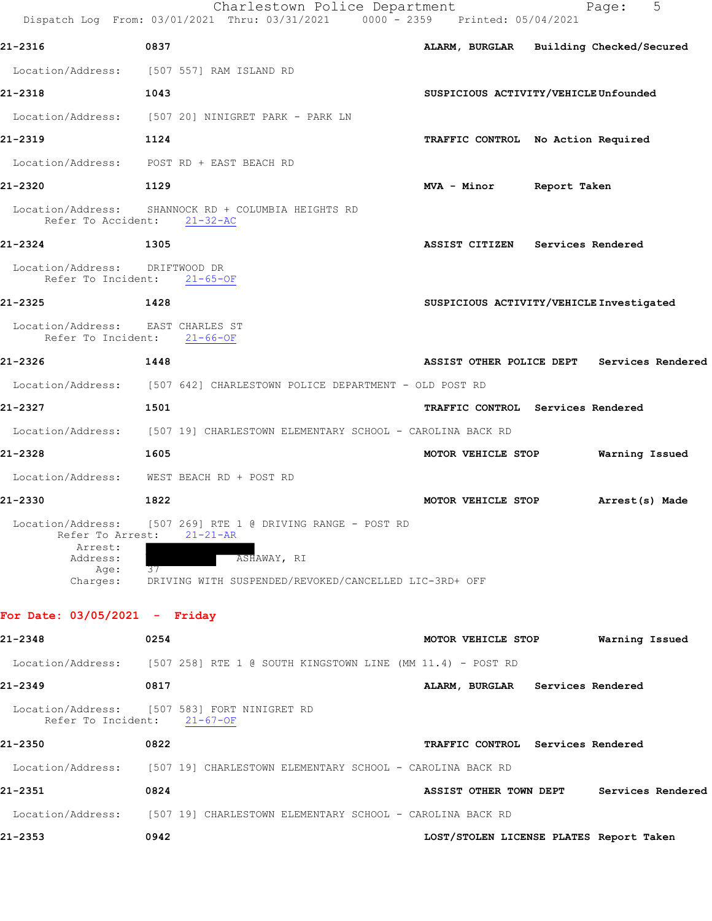|                                                                                  |                                                                                  | Charlestown Police Department<br>Dispatch Log From: 03/01/2021 Thru: 03/31/2021 0000 - 2359 Printed: 05/04/2021 |                                          | 5<br>Page:                                 |
|----------------------------------------------------------------------------------|----------------------------------------------------------------------------------|-----------------------------------------------------------------------------------------------------------------|------------------------------------------|--------------------------------------------|
| 21-2316                                                                          | 0837                                                                             |                                                                                                                 | ALARM, BURGLAR Building Checked/Secured  |                                            |
|                                                                                  | Location/Address: [507 557] RAM ISLAND RD                                        |                                                                                                                 |                                          |                                            |
| 21-2318                                                                          | 1043                                                                             |                                                                                                                 | SUSPICIOUS ACTIVITY/VEHICLE Unfounded    |                                            |
|                                                                                  | Location/Address: [507 20] NINIGRET PARK - PARK LN                               |                                                                                                                 |                                          |                                            |
| 21-2319                                                                          | 1124                                                                             |                                                                                                                 | TRAFFIC CONTROL No Action Required       |                                            |
|                                                                                  | Location/Address: POST RD + EAST BEACH RD                                        |                                                                                                                 |                                          |                                            |
| 21-2320                                                                          | 1129                                                                             |                                                                                                                 | MVA - Minor Report Taken                 |                                            |
| Refer To Accident: 21-32-AC                                                      | Location/Address: SHANNOCK RD + COLUMBIA HEIGHTS RD                              |                                                                                                                 |                                          |                                            |
| 21-2324                                                                          | 1305                                                                             |                                                                                                                 | ASSIST CITIZEN Services Rendered         |                                            |
| Location/Address: DRIFTWOOD DR<br>Refer To Incident: 21-65-OF                    |                                                                                  |                                                                                                                 |                                          |                                            |
| 21-2325                                                                          | 1428                                                                             |                                                                                                                 | SUSPICIOUS ACTIVITY/VEHICLE Investigated |                                            |
| Location/Address: EAST CHARLES ST<br>Refer To Incident: 21-66-OF                 |                                                                                  |                                                                                                                 |                                          |                                            |
| 21-2326                                                                          | 1448                                                                             |                                                                                                                 |                                          | ASSIST OTHER POLICE DEPT Services Rendered |
|                                                                                  |                                                                                  | Location/Address: [507 642] CHARLESTOWN POLICE DEPARTMENT - OLD POST RD                                         |                                          |                                            |
| 21-2327                                                                          | 1501                                                                             |                                                                                                                 | TRAFFIC CONTROL Services Rendered        |                                            |
|                                                                                  |                                                                                  | Location/Address: [507 19] CHARLESTOWN ELEMENTARY SCHOOL - CAROLINA BACK RD                                     |                                          |                                            |
| 21-2328                                                                          | 1605                                                                             |                                                                                                                 | MOTOR VEHICLE STOP                       | Warning Issued                             |
|                                                                                  | Location/Address: WEST BEACH RD + POST RD                                        |                                                                                                                 |                                          |                                            |
| 21-2330                                                                          | 1822                                                                             |                                                                                                                 | MOTOR VEHICLE STOP Arrest(s) Made        |                                            |
| Location/Address:<br>Refer To Arrest:<br>Arrest:<br>Address:<br>Age:<br>Charges: | [507 269] RTE 1 @ DRIVING RANGE - POST RD<br>$21 - 21 - AR$<br>ASHAWAY, RI<br>37 | DRIVING WITH SUSPENDED/REVOKED/CANCELLED LIC-3RD+ OFF                                                           |                                          |                                            |
| For Date: $03/05/2021$ - Friday                                                  |                                                                                  |                                                                                                                 |                                          |                                            |
| 21-2348                                                                          | 0254                                                                             |                                                                                                                 | MOTOR VEHICLE STOP                       | Warning Issued                             |
|                                                                                  |                                                                                  | Location/Address: [507 258] RTE 1 @ SOUTH KINGSTOWN LINE (MM 11.4) - POST RD                                    |                                          |                                            |
| 21-2349                                                                          | 0817                                                                             |                                                                                                                 | ALARM, BURGLAR Services Rendered         |                                            |
| Refer To Incident: 21-67-OF                                                      | Location/Address: [507 583] FORT NINIGRET RD                                     |                                                                                                                 |                                          |                                            |
| 21-2350                                                                          | 0822                                                                             |                                                                                                                 | TRAFFIC CONTROL Services Rendered        |                                            |
|                                                                                  |                                                                                  | Location/Address: [507 19] CHARLESTOWN ELEMENTARY SCHOOL - CAROLINA BACK RD                                     |                                          |                                            |
| 21-2351                                                                          | 0824                                                                             |                                                                                                                 | <b>ASSIST OTHER TOWN DEPT</b>            | Services Rendered                          |
|                                                                                  |                                                                                  | Location/Address: [507 19] CHARLESTOWN ELEMENTARY SCHOOL - CAROLINA BACK RD                                     |                                          |                                            |
| 21-2353                                                                          | 0942                                                                             |                                                                                                                 | LOST/STOLEN LICENSE PLATES Report Taken  |                                            |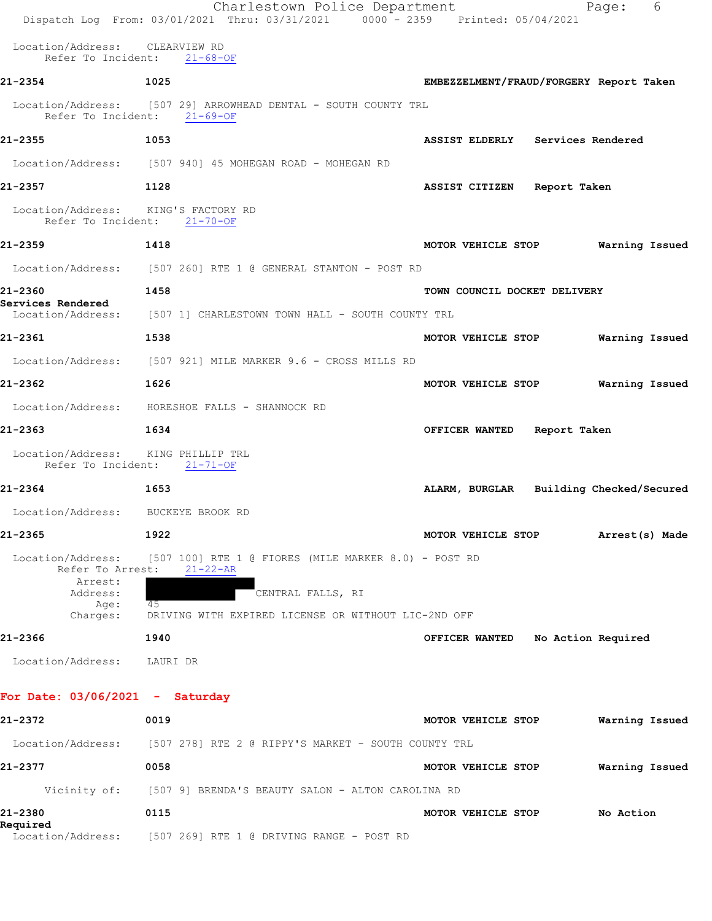|                                       | Charlestown Police Department<br>Dispatch Log From: 03/01/2021 Thru: 03/31/2021 0000 - 2359 Printed: 05/04/2021 | 6<br>Page:                                  |
|---------------------------------------|-----------------------------------------------------------------------------------------------------------------|---------------------------------------------|
| Location/Address: CLEARVIEW RD        | Refer To Incident: 21-68-OF                                                                                     |                                             |
| 21-2354                               | 1025                                                                                                            | EMBEZZELMENT/FRAUD/FORGERY Report Taken     |
|                                       | Location/Address: [507 29] ARROWHEAD DENTAL - SOUTH COUNTY TRL<br>Refer To Incident: 21-69-OF                   |                                             |
| 21-2355                               | 1053                                                                                                            | ASSIST ELDERLY Services Rendered            |
|                                       | Location/Address: [507 940] 45 MOHEGAN ROAD - MOHEGAN RD                                                        |                                             |
| 21-2357                               | 1128                                                                                                            | <b>ASSIST CITIZEN</b><br>Report Taken       |
| Location/Address: KING'S FACTORY RD   | Refer To Incident: 21-70-OF                                                                                     |                                             |
| 21-2359                               | 1418                                                                                                            | Warning Issued<br>MOTOR VEHICLE STOP        |
|                                       | Location/Address: [507 260] RTE 1 @ GENERAL STANTON - POST RD                                                   |                                             |
| 21-2360<br>Services Rendered          | 1458                                                                                                            | TOWN COUNCIL DOCKET DELIVERY                |
|                                       | Location/Address: [507 1] CHARLESTOWN TOWN HALL - SOUTH COUNTY TRL                                              |                                             |
| 21-2361                               | 1538                                                                                                            | MOTOR VEHICLE STOP<br>Warning Issued        |
|                                       | Location/Address: [507 921] MILE MARKER 9.6 - CROSS MILLS RD                                                    |                                             |
| 21-2362                               | 1626                                                                                                            | Warning Issued<br>MOTOR VEHICLE STOP        |
|                                       | Location/Address: HORESHOE FALLS - SHANNOCK RD                                                                  |                                             |
| 21-2363                               | 1634                                                                                                            | Report Taken<br>OFFICER WANTED              |
| Location/Address: KING PHILLIP TRL    | Refer To Incident: 21-71-OF                                                                                     |                                             |
| 21-2364                               | 1653                                                                                                            | ALARM, BURGLAR Building Checked/Secured     |
| Location/Address: BUCKEYE BROOK RD    |                                                                                                                 |                                             |
| 21-2365                               | 1922                                                                                                            | MOTOR VEHICLE STOP<br>Arrest(s) Made        |
| Location/Address:<br>Refer To Arrest: | $[507 100]$ RTE 1 @ FIORES (MILE MARKER 8.0) - POST RD<br>$21 - 22 - AR$                                        |                                             |
| Arrest:<br>Address:                   | CENTRAL FALLS, RI                                                                                               |                                             |
| Age:<br>Charges:                      | 45<br>DRIVING WITH EXPIRED LICENSE OR WITHOUT LIC-2ND OFF                                                       |                                             |
| 21-2366                               | 1940                                                                                                            | <b>OFFICER WANTED</b><br>No Action Required |
| Location/Address:                     | LAURI DR                                                                                                        |                                             |
| For Date: $03/06/2021 -$ Saturday     |                                                                                                                 |                                             |
| 21-2372                               | 0019                                                                                                            | MOTOR VEHICLE STOP<br>Warning Issued        |
| Location/Address:                     | [507 278] RTE 2 @ RIPPY'S MARKET - SOUTH COUNTY TRL                                                             |                                             |
| 21-2377                               | 0058                                                                                                            | Warning Issued<br>MOTOR VEHICLE STOP        |
| Vicinity of:                          | [507 9] BRENDA'S BEAUTY SALON - ALTON CAROLINA RD                                                               |                                             |
| 21-2380<br>Required                   | 0115                                                                                                            | MOTOR VEHICLE STOP<br>No Action             |
|                                       | Location/Address: [507 269] RTE 1 @ DRIVING RANGE - POST RD                                                     |                                             |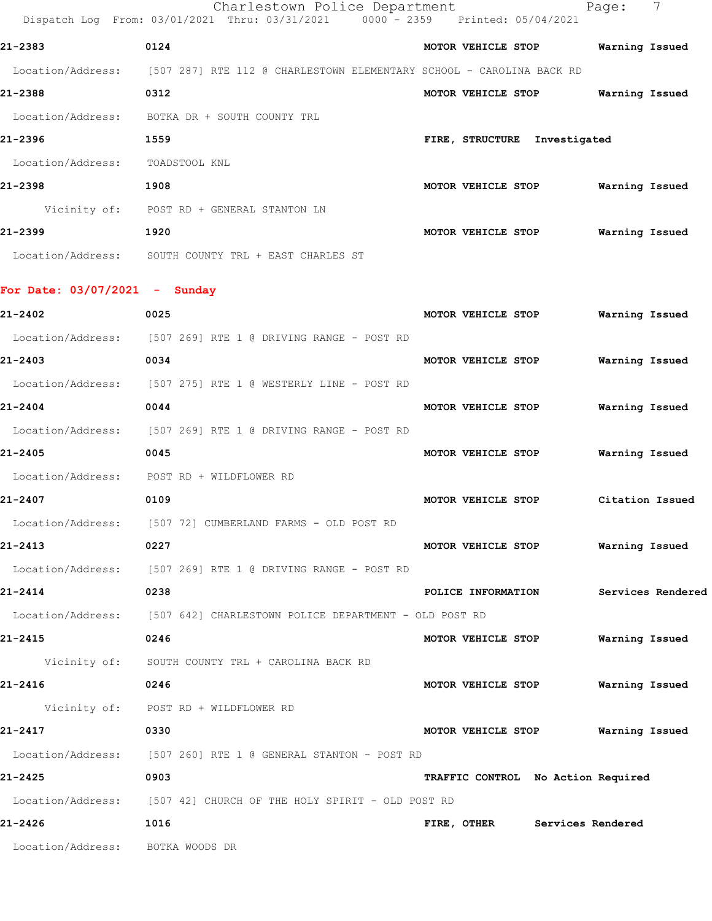|                                 | Charlestown Police Department<br>Dispatch Log From: 03/01/2021 Thru: 03/31/2021        |                    | 0000 - 2359 Printed: 05/04/2021    | Page:           | 7                 |
|---------------------------------|----------------------------------------------------------------------------------------|--------------------|------------------------------------|-----------------|-------------------|
| 21-2383                         | 0124                                                                                   |                    | MOTOR VEHICLE STOP                 | Warning Issued  |                   |
|                                 | Location/Address: [507 287] RTE 112 @ CHARLESTOWN ELEMENTARY SCHOOL - CAROLINA BACK RD |                    |                                    |                 |                   |
| 21-2388                         | 0312                                                                                   | MOTOR VEHICLE STOP |                                    | Warning Issued  |                   |
|                                 | Location/Address: BOTKA DR + SOUTH COUNTY TRL                                          |                    |                                    |                 |                   |
| 21-2396                         | 1559                                                                                   |                    | FIRE, STRUCTURE Investigated       |                 |                   |
| Location/Address:               | TOADSTOOL KNL                                                                          |                    |                                    |                 |                   |
| 21-2398                         | 1908                                                                                   |                    | MOTOR VEHICLE STOP                 | Warning Issued  |                   |
|                                 | Vicinity of: POST RD + GENERAL STANTON LN                                              |                    |                                    |                 |                   |
| 21-2399                         | 1920                                                                                   | MOTOR VEHICLE STOP |                                    | Warning Issued  |                   |
|                                 | Location/Address: SOUTH COUNTY TRL + EAST CHARLES ST                                   |                    |                                    |                 |                   |
|                                 |                                                                                        |                    |                                    |                 |                   |
| For Date: $03/07/2021$ - Sunday |                                                                                        |                    |                                    |                 |                   |
| 21-2402                         | 0025                                                                                   | MOTOR VEHICLE STOP |                                    | Warning Issued  |                   |
|                                 | Location/Address: [507 269] RTE 1 @ DRIVING RANGE - POST RD                            |                    |                                    |                 |                   |
| 21-2403                         | 0034                                                                                   |                    | MOTOR VEHICLE STOP                 | Warning Issued  |                   |
|                                 | Location/Address: [507 275] RTE 1 @ WESTERLY LINE - POST RD                            |                    |                                    |                 |                   |
| 21-2404                         | 0044                                                                                   | MOTOR VEHICLE STOP |                                    | Warning Issued  |                   |
|                                 | Location/Address: [507 269] RTE 1 @ DRIVING RANGE - POST RD                            |                    |                                    |                 |                   |
| 21-2405                         | 0045                                                                                   | MOTOR VEHICLE STOP |                                    | Warning Issued  |                   |
|                                 | Location/Address: POST RD + WILDFLOWER RD                                              |                    |                                    |                 |                   |
| 21-2407                         | 0109                                                                                   | MOTOR VEHICLE STOP |                                    | Citation Issued |                   |
|                                 | Location/Address: [507 72] CUMBERLAND FARMS - OLD POST RD                              |                    |                                    |                 |                   |
| 21-2413                         | 0227                                                                                   |                    | MOTOR VEHICLE STOP                 | Warning Issued  |                   |
|                                 | Location/Address: [507 269] RTE 1 @ DRIVING RANGE - POST RD                            |                    |                                    |                 |                   |
| 21-2414                         | 0238                                                                                   |                    | POLICE INFORMATION                 |                 | Services Rendered |
|                                 | Location/Address: [507 642] CHARLESTOWN POLICE DEPARTMENT - OLD POST RD                |                    |                                    |                 |                   |
| 21-2415                         | 0246                                                                                   |                    | MOTOR VEHICLE STOP                 | Warning Issued  |                   |
|                                 | Vicinity of: SOUTH COUNTY TRL + CAROLINA BACK RD                                       |                    |                                    |                 |                   |
| 21-2416                         | 0246                                                                                   |                    | MOTOR VEHICLE STOP                 | Warning Issued  |                   |
|                                 | Vicinity of: POST RD + WILDFLOWER RD                                                   |                    |                                    |                 |                   |
| 21-2417                         | 0330                                                                                   |                    | MOTOR VEHICLE STOP Warning Issued  |                 |                   |
|                                 | Location/Address: [507 260] RTE 1 @ GENERAL STANTON - POST RD                          |                    |                                    |                 |                   |
| 21-2425                         | 0903                                                                                   |                    | TRAFFIC CONTROL No Action Required |                 |                   |
|                                 | Location/Address: [507 42] CHURCH OF THE HOLY SPIRIT - OLD POST RD                     |                    |                                    |                 |                   |

**21-2426 1016 FIRE, OTHER Services Rendered**

Location/Address: BOTKA WOODS DR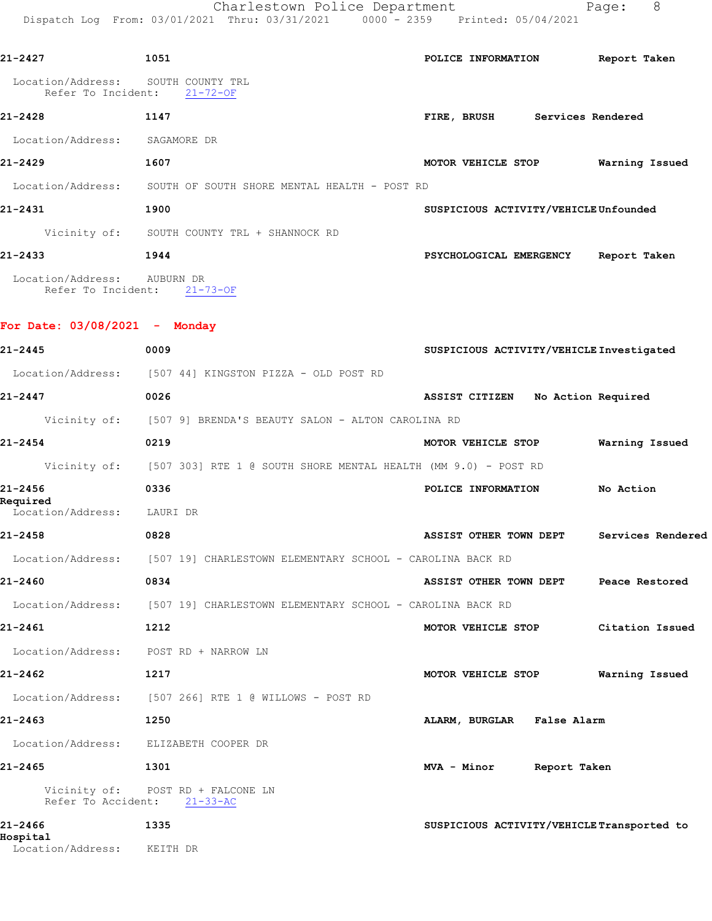Charlestown Police Department Fage: 8 Dispatch Log From: 03/01/2021 Thru: 03/31/2021 0000 - 2359 Printed: 05/04/2021

| 21-2427                                                  | 1051                                                           | POLICE INFORMATION                    | Report Taken   |
|----------------------------------------------------------|----------------------------------------------------------------|---------------------------------------|----------------|
| Location/Address: SOUTH COUNTY TRL<br>Refer To Incident: | $21 - 72 - OF$                                                 |                                       |                |
| $21 - 2428$                                              | 1147                                                           | FIRE, BRUSH<br>Services Rendered      |                |
| Location/Address: SAGAMORE DR                            |                                                                |                                       |                |
| $21 - 2429$                                              | 1607                                                           | MOTOR VEHICLE STOP                    | Warning Issued |
|                                                          | Location/Address: SOUTH OF SOUTH SHORE MENTAL HEALTH - POST RD |                                       |                |
| 21-2431                                                  | 1900                                                           | SUSPICIOUS ACTIVITY/VEHICLE Unfounded |                |
|                                                          | Vicinity of: SOUTH COUNTY TRL + SHANNOCK RD                    |                                       |                |
| 21-2433                                                  | 1944                                                           | PSYCHOLOGICAL EMERGENCY               | Report Taken   |
| Location/Address: AUBURN DR<br>Refer To Incident:        | $21 - 73 - OF$                                                 |                                       |                |
| For Date: $03/08/2021 -$                                 | Monday                                                         |                                       |                |

| 21-2445                               | 0009                                                             | SUSPICIOUS ACTIVITY/VEHICLE Investigated   |                   |
|---------------------------------------|------------------------------------------------------------------|--------------------------------------------|-------------------|
|                                       | Location/Address: [507 44] KINGSTON PIZZA - OLD POST RD          |                                            |                   |
| 21-2447                               | 0026                                                             | ASSIST CITIZEN<br>No Action Required       |                   |
| Vicinity of:                          | [507 9] BRENDA'S BEAUTY SALON - ALTON CAROLINA RD                |                                            |                   |
| $21 - 2454$                           | 0219                                                             | MOTOR VEHICLE STOP                         | Warning Issued    |
| Vicinity of:                          | [507 303] RTE 1 @ SOUTH SHORE MENTAL HEALTH (MM 9.0) - POST RD   |                                            |                   |
| 21-2456                               | 0336                                                             | POLICE INFORMATION                         | No Action         |
| Required<br>Location/Address:         | LAURI DR                                                         |                                            |                   |
| 21-2458                               | 0828                                                             | ASSIST OTHER TOWN DEPT                     | Services Rendered |
| Location/Address:                     | [507 19] CHARLESTOWN ELEMENTARY SCHOOL - CAROLINA BACK RD        |                                            |                   |
| 21-2460                               | 0834                                                             | ASSIST OTHER TOWN DEPT                     | Peace Restored    |
| Location/Address:                     | [507 19] CHARLESTOWN ELEMENTARY SCHOOL - CAROLINA BACK RD        |                                            |                   |
| 21-2461                               | 1212                                                             | MOTOR VEHICLE STOP                         | Citation Issued   |
| Location/Address: POST RD + NARROW LN |                                                                  |                                            |                   |
| 21-2462                               | 1217                                                             | MOTOR VEHICLE STOP                         | Warning Issued    |
|                                       | Location/Address: [507 266] RTE 1 @ WILLOWS - POST RD            |                                            |                   |
| 21-2463                               | 1250                                                             | ALARM, BURGLAR False Alarm                 |                   |
| Location/Address: ELIZABETH COOPER DR |                                                                  |                                            |                   |
| 21-2465                               | 1301                                                             | MVA - Minor<br>Report Taken                |                   |
|                                       | Vicinity of: POST RD + FALCONE LN<br>Refer To Accident: 21-33-AC |                                            |                   |
| 21-2466<br>Hospital                   | 1335                                                             | SUSPICIOUS ACTIVITY/VEHICLE Transported to |                   |

Location/Address: KEITH DR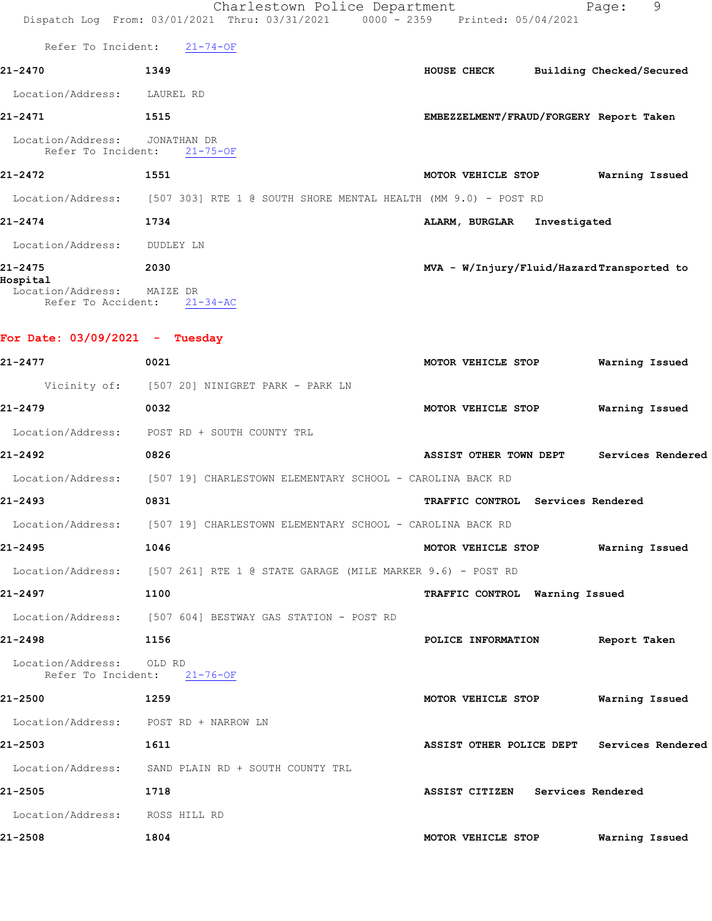|                                       | Charlestown Police Department<br>Dispatch Log From: 03/01/2021 Thru: 03/31/2021 0000 - 2359 Printed: 05/04/2021 |                                            | 9<br>Page:     |
|---------------------------------------|-----------------------------------------------------------------------------------------------------------------|--------------------------------------------|----------------|
|                                       | Refer To Incident: 21-74-OF                                                                                     |                                            |                |
| 21-2470                               | 1349                                                                                                            | HOUSE CHECK Building Checked/Secured       |                |
| Location/Address: LAUREL RD           |                                                                                                                 |                                            |                |
| 21-2471                               | 1515                                                                                                            | EMBEZZELMENT/FRAUD/FORGERY Report Taken    |                |
| Location/Address: JONATHAN DR         | Refer To Incident: 21-75-OF                                                                                     |                                            |                |
| 21-2472                               | 1551                                                                                                            | MOTOR VEHICLE STOP Warning Issued          |                |
|                                       | Location/Address: [507 303] RTE 1 @ SOUTH SHORE MENTAL HEALTH (MM 9.0) - POST RD                                |                                            |                |
| 21-2474                               | 1734                                                                                                            | ALARM, BURGLAR Investigated                |                |
| Location/Address: DUDLEY LN           |                                                                                                                 |                                            |                |
| 21-2475<br>Hospital                   | 2030                                                                                                            | MVA - W/Injury/Fluid/HazardTransported to  |                |
| Location/Address: MAIZE DR            | Refer To Accident: 21-34-AC                                                                                     |                                            |                |
| For Date: $03/09/2021 -$ Tuesday      |                                                                                                                 |                                            |                |
| 21-2477                               | 0021                                                                                                            | MOTOR VEHICLE STOP                         | Warning Issued |
|                                       | Vicinity of: [507 20] NINIGRET PARK - PARK LN                                                                   |                                            |                |
| 21-2479                               | 0032                                                                                                            | MOTOR VEHICLE STOP                         | Warning Issued |
|                                       | Location/Address: POST RD + SOUTH COUNTY TRL                                                                    |                                            |                |
| 21-2492                               | 0826                                                                                                            | ASSIST OTHER TOWN DEPT Services Rendered   |                |
|                                       | Location/Address: [507 19] CHARLESTOWN ELEMENTARY SCHOOL - CAROLINA BACK RD                                     |                                            |                |
| 21-2493                               | 0831                                                                                                            | TRAFFIC CONTROL Services Rendered          |                |
|                                       | Location/Address: [507 19] CHARLESTOWN ELEMENTARY SCHOOL - CAROLINA BACK RD                                     |                                            |                |
| 21-2495                               | 1046                                                                                                            | MOTOR VEHICLE STOP Warning Issued          |                |
|                                       | Location/Address: [507 261] RTE 1 @ STATE GARAGE (MILE MARKER 9.6) - POST RD                                    |                                            |                |
| 21-2497                               | 1100                                                                                                            | TRAFFIC CONTROL Warning Issued             |                |
|                                       | Location/Address: [507 604] BESTWAY GAS STATION - POST RD                                                       |                                            |                |
| 21-2498<br>1156                       |                                                                                                                 | POLICE INFORMATION Report Taken            |                |
| Location/Address: OLD RD              | Refer To Incident: 21-76-OF                                                                                     |                                            |                |
| 21-2500                               | 1259                                                                                                            | MOTOR VEHICLE STOP                         | Warning Issued |
| Location/Address: POST RD + NARROW LN |                                                                                                                 |                                            |                |
| 21-2503                               | 1611                                                                                                            | ASSIST OTHER POLICE DEPT Services Rendered |                |
|                                       | Location/Address: SAND PLAIN RD + SOUTH COUNTY TRL                                                              |                                            |                |
| 21-2505                               | 1718                                                                                                            | ASSIST CITIZEN Services Rendered           |                |
| Location/Address: ROSS HILL RD        |                                                                                                                 |                                            |                |
| 21-2508                               | 1804                                                                                                            | MOTOR VEHICLE STOP                         | Warning Issued |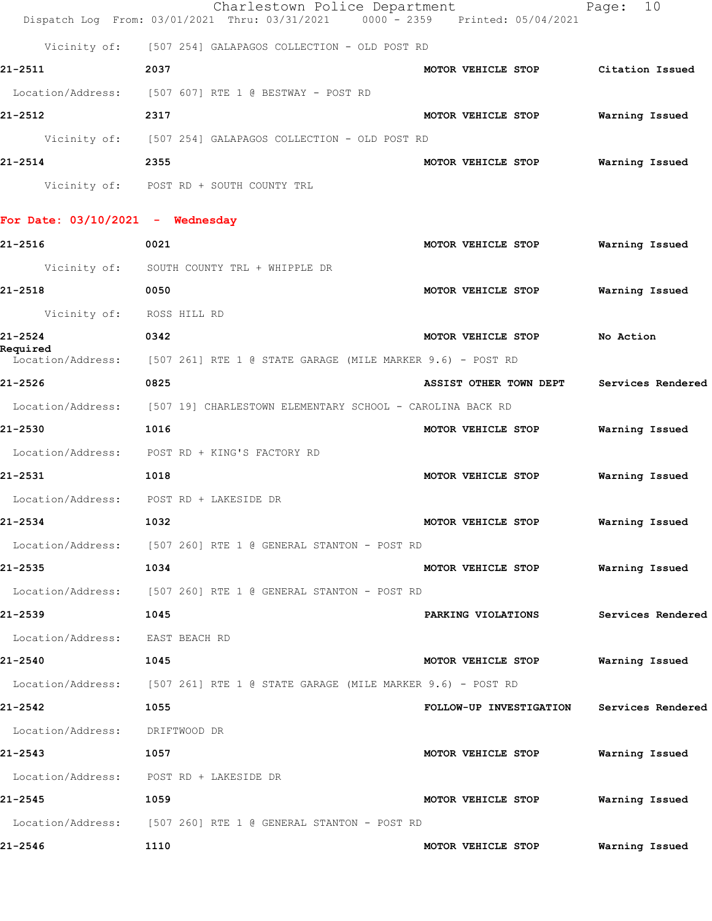|                                  | Charlestown Police Department<br>Dispatch Log From: 03/01/2021 Thru: 03/31/2021 | 0000 - 2359 Printed: 05/04/2021    | 10<br>Page:       |
|----------------------------------|---------------------------------------------------------------------------------|------------------------------------|-------------------|
|                                  | Vicinity of: [507 254] GALAPAGOS COLLECTION - OLD POST RD                       |                                    |                   |
| 21-2511                          |                                                                                 |                                    |                   |
|                                  | 2037                                                                            | MOTOR VEHICLE STOP Citation Issued |                   |
|                                  | Location/Address: [507 607] RTE 1 @ BESTWAY - POST RD                           |                                    |                   |
| 21-2512                          | 2317                                                                            | MOTOR VEHICLE STOP                 | Warning Issued    |
|                                  | Vicinity of: [507 254] GALAPAGOS COLLECTION - OLD POST RD                       |                                    |                   |
| 21-2514                          | 2355                                                                            | MOTOR VEHICLE STOP                 | Warning Issued    |
|                                  | Vicinity of: POST RD + SOUTH COUNTY TRL                                         |                                    |                   |
| For Date: 03/10/2021 - Wednesday |                                                                                 |                                    |                   |
| 21-2516                          | 0021                                                                            | MOTOR VEHICLE STOP                 | Warning Issued    |
|                                  | Vicinity of: SOUTH COUNTY TRL + WHIPPLE DR                                      |                                    |                   |
| 21-2518                          | 0050                                                                            | MOTOR VEHICLE STOP                 | Warning Issued    |
| Vicinity of: ROSS HILL RD        |                                                                                 |                                    |                   |
| 21-2524                          | 0342                                                                            | MOTOR VEHICLE STOP                 | No Action         |
| Required                         | Location/Address: [507 261] RTE 1 @ STATE GARAGE (MILE MARKER 9.6) - POST RD    |                                    |                   |
| 21-2526                          | 0825                                                                            | ASSIST OTHER TOWN DEPT             | Services Rendered |
|                                  | Location/Address: [507 19] CHARLESTOWN ELEMENTARY SCHOOL - CAROLINA BACK RD     |                                    |                   |
| 21-2530                          | 1016                                                                            | MOTOR VEHICLE STOP                 | Warning Issued    |
|                                  | Location/Address: POST RD + KING'S FACTORY RD                                   |                                    |                   |
| 21-2531                          | 1018                                                                            | MOTOR VEHICLE STOP                 | Warning Issued    |
|                                  | Location/Address: POST RD + LAKESIDE DR                                         |                                    |                   |
| 21-2534                          | 1032                                                                            | MOTOR VEHICLE STOP                 | Warning Issued    |
|                                  | Location/Address: [507 260] RTE 1 @ GENERAL STANTON - POST RD                   |                                    |                   |
| 21-2535                          | 1034                                                                            | MOTOR VEHICLE STOP                 | Warning Issued    |
|                                  | Location/Address: [507 260] RTE 1 @ GENERAL STANTON - POST RD                   |                                    |                   |
| 21-2539                          | 1045                                                                            | PARKING VIOLATIONS                 | Services Rendered |
| Location/Address: EAST BEACH RD  |                                                                                 |                                    |                   |
| 21-2540                          | 1045                                                                            | MOTOR VEHICLE STOP                 | Warning Issued    |
|                                  | Location/Address: [507 261] RTE 1 @ STATE GARAGE (MILE MARKER 9.6) - POST RD    |                                    |                   |
| 21-2542                          | 1055                                                                            | FOLLOW-UP INVESTIGATION            | Services Rendered |
| Location/Address: DRIFTWOOD DR   |                                                                                 |                                    |                   |
| 21-2543                          | 1057                                                                            | MOTOR VEHICLE STOP                 | Warning Issued    |
|                                  | Location/Address: POST RD + LAKESIDE DR                                         |                                    |                   |
| 21-2545                          | 1059                                                                            | MOTOR VEHICLE STOP                 | Warning Issued    |
|                                  | Location/Address: [507 260] RTE 1 @ GENERAL STANTON - POST RD                   |                                    |                   |
| 21-2546                          | 1110                                                                            | MOTOR VEHICLE STOP                 | Warning Issued    |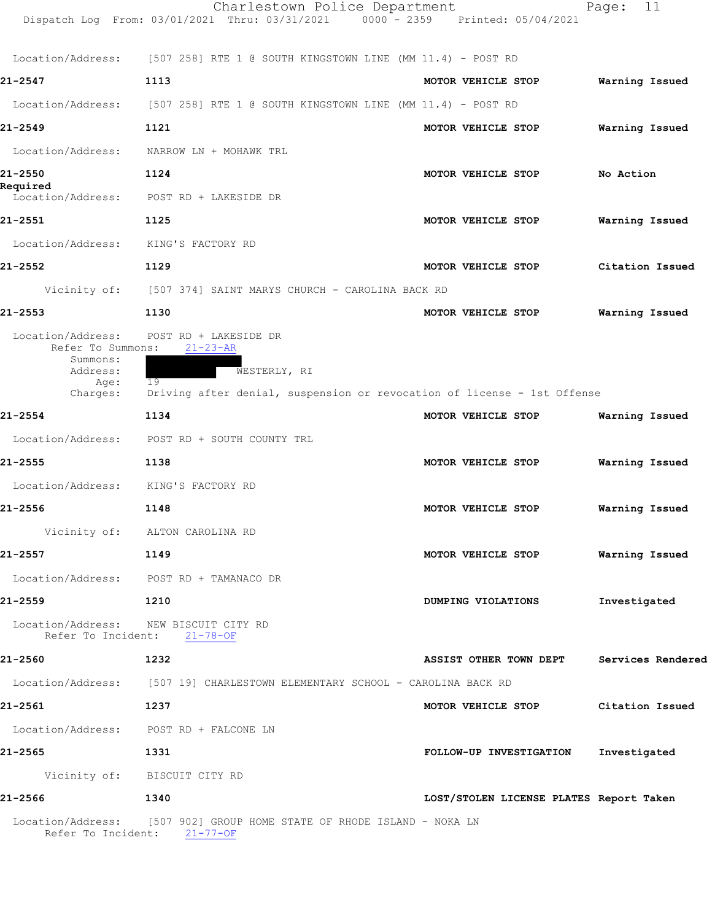|                                                                | Charlestown Police Department<br>Dispatch Log From: 03/01/2021 Thru: 03/31/2021                       | 0000 - 2359 Printed: 05/04/2021         | 11<br>Page:       |
|----------------------------------------------------------------|-------------------------------------------------------------------------------------------------------|-----------------------------------------|-------------------|
| Location/Address:                                              | [507 258] RTE 1 @ SOUTH KINGSTOWN LINE (MM 11.4) - POST RD                                            |                                         |                   |
| 21-2547                                                        | 1113                                                                                                  | MOTOR VEHICLE STOP                      | Warning Issued    |
| Location/Address:                                              | $[507\;\;258]$ RTE 1 @ SOUTH KINGSTOWN LINE (MM 11.4) - POST RD                                       |                                         |                   |
| 21-2549                                                        | 1121                                                                                                  | MOTOR VEHICLE STOP                      | Warning Issued    |
| Location/Address:                                              | NARROW LN + MOHAWK TRL                                                                                |                                         |                   |
| 21-2550                                                        | 1124                                                                                                  | MOTOR VEHICLE STOP                      | No Action         |
| Required<br>Location/Address:                                  | POST RD + LAKESIDE DR                                                                                 |                                         |                   |
| 21-2551                                                        | 1125                                                                                                  | MOTOR VEHICLE STOP                      | Warning Issued    |
| Location/Address:                                              | KING'S FACTORY RD                                                                                     |                                         |                   |
| 21-2552                                                        | 1129                                                                                                  | MOTOR VEHICLE STOP                      | Citation Issued   |
| Vicinity of:                                                   | [507 374] SAINT MARYS CHURCH - CAROLINA BACK RD                                                       |                                         |                   |
| 21-2553                                                        | 1130                                                                                                  | MOTOR VEHICLE STOP                      | Warning Issued    |
| Location/Address:<br>Refer To Summons:<br>Summons:<br>Address: | POST RD + LAKESIDE DR<br>$21 - 23 - AR$<br>WESTERLY, RI                                               |                                         |                   |
| Age:<br>Charges:                                               | 19<br>Driving after denial, suspension or revocation of license - 1st Offense                         |                                         |                   |
| 21-2554                                                        | 1134                                                                                                  | MOTOR VEHICLE STOP                      | Warning Issued    |
| Location/Address:                                              | POST RD + SOUTH COUNTY TRL                                                                            |                                         |                   |
| 21-2555                                                        | 1138                                                                                                  | MOTOR VEHICLE STOP                      | Warning Issued    |
| Location/Address:                                              | KING'S FACTORY RD                                                                                     |                                         |                   |
| 21-2556                                                        | 1148                                                                                                  | MOTOR VEHICLE STOP                      | Warning Issued    |
|                                                                | Vicinity of: ALTON CAROLINA RD                                                                        |                                         |                   |
| 21-2557                                                        | 1149                                                                                                  | MOTOR VEHICLE STOP                      | Warning Issued    |
|                                                                | Location/Address: POST RD + TAMANACO DR                                                               |                                         |                   |
| 21-2559                                                        | 1210                                                                                                  | DUMPING VIOLATIONS                      | Investigated      |
| Location/Address: NEW BISCUIT CITY RD                          | Refer To Incident: 21-78-OF                                                                           |                                         |                   |
| 21-2560                                                        | 1232                                                                                                  | ASSIST OTHER TOWN DEPT                  | Services Rendered |
|                                                                | Location/Address: [507 19] CHARLESTOWN ELEMENTARY SCHOOL - CAROLINA BACK RD                           |                                         |                   |
| 21-2561                                                        | 1237                                                                                                  | MOTOR VEHICLE STOP                      | Citation Issued   |
|                                                                | Location/Address: POST RD + FALCONE LN                                                                |                                         |                   |
| 21-2565                                                        | 1331                                                                                                  | FOLLOW-UP INVESTIGATION                 | Investigated      |
|                                                                | Vicinity of: BISCUIT CITY RD                                                                          |                                         |                   |
| 21-2566                                                        | 1340                                                                                                  | LOST/STOLEN LICENSE PLATES Report Taken |                   |
|                                                                | Location/Address: [507 902] GROUP HOME STATE OF RHODE ISLAND - NOKA LN<br>Refer To Incident: 21-77-OF |                                         |                   |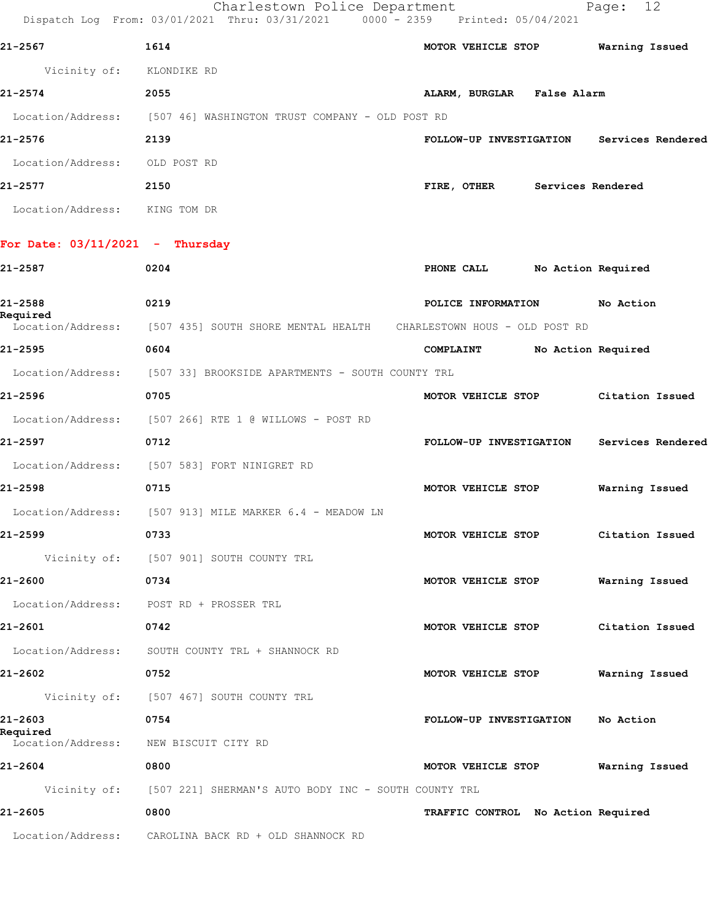|                                   | Charlestown Police Department<br>Dispatch Log From: 03/01/2021 Thru: 03/31/2021 0000 - 2359 Printed: 05/04/2021 |                                    | 12<br>Page:        |
|-----------------------------------|-----------------------------------------------------------------------------------------------------------------|------------------------------------|--------------------|
| 21-2567                           | 1614                                                                                                            | MOTOR VEHICLE STOP                 | Warning Issued     |
| Vicinity of: KLONDIKE RD          |                                                                                                                 |                                    |                    |
| 21-2574                           | 2055                                                                                                            | ALARM, BURGLAR False Alarm         |                    |
|                                   | Location/Address: [507 46] WASHINGTON TRUST COMPANY - OLD POST RD                                               |                                    |                    |
| 21-2576                           | 2139                                                                                                            | FOLLOW-UP INVESTIGATION            | Services Rendered  |
| Location/Address:                 | OLD POST RD                                                                                                     |                                    |                    |
| 21-2577                           | 2150                                                                                                            | FIRE, OTHER Services Rendered      |                    |
| Location/Address: KING TOM DR     |                                                                                                                 |                                    |                    |
| For Date: $03/11/2021$ - Thursday |                                                                                                                 |                                    |                    |
| 21-2587                           | 0204                                                                                                            | PHONE CALL                         | No Action Required |
| 21-2588<br>Required               | 0219                                                                                                            | POLICE INFORMATION                 | No Action          |
|                                   | Location/Address: [507 435] SOUTH SHORE MENTAL HEALTH CHARLESTOWN HOUS - OLD POST RD                            |                                    |                    |
| 21-2595                           | 0604                                                                                                            | COMPLAINT No Action Required       |                    |
|                                   | Location/Address: [507 33] BROOKSIDE APARTMENTS - SOUTH COUNTY TRL                                              |                                    |                    |
| 21-2596                           | 0705                                                                                                            | MOTOR VEHICLE STOP                 | Citation Issued    |
|                                   | Location/Address: [507 266] RTE 1 @ WILLOWS - POST RD                                                           |                                    |                    |
| 21-2597                           | 0712                                                                                                            | FOLLOW-UP INVESTIGATION            | Services Rendered  |
|                                   | Location/Address: [507 583] FORT NINIGRET RD                                                                    |                                    |                    |
| 21-2598                           | 0715                                                                                                            | MOTOR VEHICLE STOP                 | Warning Issued     |
| Location/Address:                 | [507 913] MILE MARKER 6.4 - MEADOW LN                                                                           |                                    |                    |
| 21-2599                           | 0733                                                                                                            | MOTOR VEHICLE STOP                 | Citation Issued    |
|                                   | Vicinity of: [507 901] SOUTH COUNTY TRL                                                                         |                                    |                    |
| 21-2600                           | 0734                                                                                                            | MOTOR VEHICLE STOP                 | Warning Issued     |
|                                   | Location/Address: POST RD + PROSSER TRL                                                                         |                                    |                    |
| 21–2601                           | 0742                                                                                                            | MOTOR VEHICLE STOP                 | Citation Issued    |
| Location/Address:                 | SOUTH COUNTY TRL + SHANNOCK RD                                                                                  |                                    |                    |
| 21-2602                           | 0752                                                                                                            | MOTOR VEHICLE STOP                 | Warning Issued     |
|                                   | Vicinity of: [507 467] SOUTH COUNTY TRL                                                                         |                                    |                    |
| 21-2603<br>Required               | 0754                                                                                                            | FOLLOW-UP INVESTIGATION            | No Action          |
| Location/Address:                 | NEW BISCUIT CITY RD                                                                                             |                                    |                    |
| 21-2604                           | 0800                                                                                                            | MOTOR VEHICLE STOP                 | Warning Issued     |
|                                   | Vicinity of: [507 221] SHERMAN'S AUTO BODY INC - SOUTH COUNTY TRL                                               |                                    |                    |
| 21-2605                           | 0800                                                                                                            | TRAFFIC CONTROL No Action Required |                    |
| Location/Address:                 | CAROLINA BACK RD + OLD SHANNOCK RD                                                                              |                                    |                    |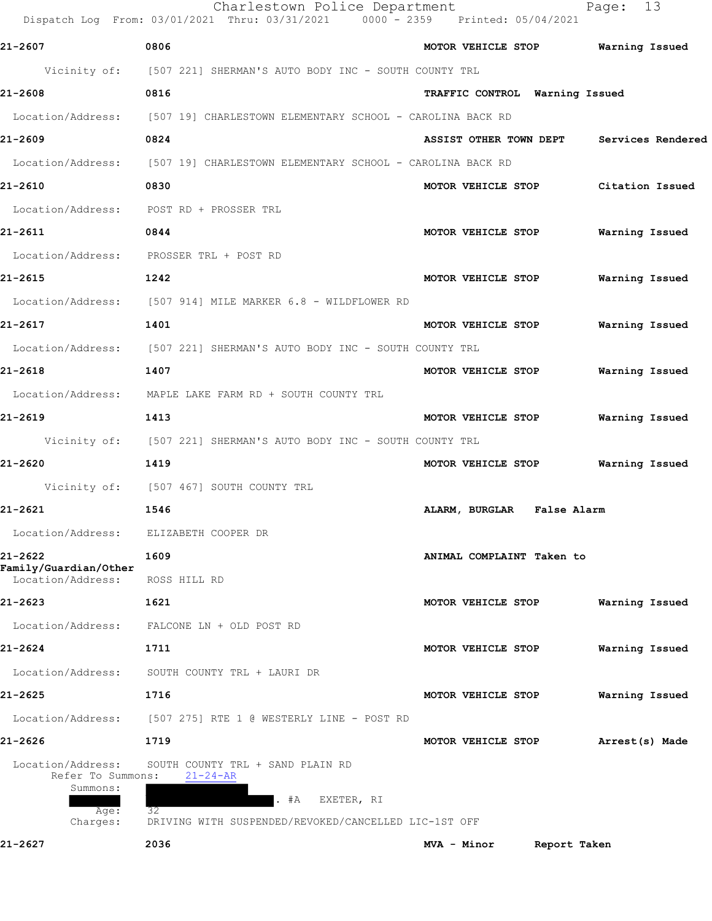| 21-2607<br>0806<br>MOTOR VEHICLE STOP Warning Issued<br>Vicinity of: [507 221] SHERMAN'S AUTO BODY INC - SOUTH COUNTY TRL<br>21-2608<br>0816<br>TRAFFIC CONTROL Warning Issued<br>Location/Address: [507 19] CHARLESTOWN ELEMENTARY SCHOOL - CAROLINA BACK RD<br>21-2609<br>0824<br>ASSIST OTHER TOWN DEPT Services Rendered<br>Location/Address: [507 19] CHARLESTOWN ELEMENTARY SCHOOL - CAROLINA BACK RD<br>0830<br>21-2610<br>MOTOR VEHICLE STOP<br>Location/Address: POST RD + PROSSER TRL<br>21-2611<br>0844<br>MOTOR VEHICLE STOP<br>Location/Address: PROSSER TRL + POST RD<br>21-2615<br>1242<br>MOTOR VEHICLE STOP Warning Issued<br>Location/Address: [507 914] MILE MARKER 6.8 - WILDFLOWER RD<br>1401<br>21-2617<br>MOTOR VEHICLE STOP Warning Issued<br>Location/Address: [507 221] SHERMAN'S AUTO BODY INC - SOUTH COUNTY TRL<br>21-2618<br>1407<br>MOTOR VEHICLE STOP<br>Warning Issued<br>Location/Address: MAPLE LAKE FARM RD + SOUTH COUNTY TRL<br>21-2619<br>1413<br>MOTOR VEHICLE STOP<br>Warning Issued<br>Vicinity of: [507 221] SHERMAN'S AUTO BODY INC - SOUTH COUNTY TRL<br>21-2620<br>1419<br>MOTOR VEHICLE STOP<br>Vicinity of: [507 467] SOUTH COUNTY TRL<br>21-2621<br>1546<br>ALARM, BURGLAR False Alarm<br>Location/Address:<br>ELIZABETH COOPER DR<br>21-2622<br>1609<br>ANIMAL COMPLAINT Taken to<br>Family/Guardian/Other<br>Location/Address:<br>ROSS HILL RD<br>21-2623<br>1621<br>Warning Issued<br>MOTOR VEHICLE STOP<br>Location/Address:<br>FALCONE LN + OLD POST RD<br>21-2624<br>1711<br>MOTOR VEHICLE STOP<br>Warning Issued<br>Location/Address:<br>SOUTH COUNTY TRL + LAURI DR<br>21-2625<br>1716<br>Warning Issued<br>MOTOR VEHICLE STOP<br>Location/Address:<br>[507 275] RTE 1 @ WESTERLY LINE - POST RD<br>1719<br>21-2626<br>MOTOR VEHICLE STOP<br>Arrest(s) Made<br>Location/Address:<br>SOUTH COUNTY TRL + SAND PLAIN RD<br>Refer To Summons:<br>$21 - 24 - AR$<br>Summons:<br>#A<br>EXETER, RI<br>32<br>Age:<br>Charges:<br>DRIVING WITH SUSPENDED/REVOKED/CANCELLED LIC-1ST OFF<br>2036<br>21-2627<br>MVA - Minor<br>Report Taken | Charlestown Police Department<br>Dispatch Log From: 03/01/2021 Thru: 03/31/2021 0000 - 2359 Printed: 05/04/2021 |  | 13<br>Page:     |
|------------------------------------------------------------------------------------------------------------------------------------------------------------------------------------------------------------------------------------------------------------------------------------------------------------------------------------------------------------------------------------------------------------------------------------------------------------------------------------------------------------------------------------------------------------------------------------------------------------------------------------------------------------------------------------------------------------------------------------------------------------------------------------------------------------------------------------------------------------------------------------------------------------------------------------------------------------------------------------------------------------------------------------------------------------------------------------------------------------------------------------------------------------------------------------------------------------------------------------------------------------------------------------------------------------------------------------------------------------------------------------------------------------------------------------------------------------------------------------------------------------------------------------------------------------------------------------------------------------------------------------------------------------------------------------------------------------------------------------------------------------------------------------------------------------------------------------------------------------------------------------------------------------------------------------------------------------------------------------------------------------------------------------------------------------------------------------------|-----------------------------------------------------------------------------------------------------------------|--|-----------------|
|                                                                                                                                                                                                                                                                                                                                                                                                                                                                                                                                                                                                                                                                                                                                                                                                                                                                                                                                                                                                                                                                                                                                                                                                                                                                                                                                                                                                                                                                                                                                                                                                                                                                                                                                                                                                                                                                                                                                                                                                                                                                                          |                                                                                                                 |  |                 |
|                                                                                                                                                                                                                                                                                                                                                                                                                                                                                                                                                                                                                                                                                                                                                                                                                                                                                                                                                                                                                                                                                                                                                                                                                                                                                                                                                                                                                                                                                                                                                                                                                                                                                                                                                                                                                                                                                                                                                                                                                                                                                          |                                                                                                                 |  |                 |
|                                                                                                                                                                                                                                                                                                                                                                                                                                                                                                                                                                                                                                                                                                                                                                                                                                                                                                                                                                                                                                                                                                                                                                                                                                                                                                                                                                                                                                                                                                                                                                                                                                                                                                                                                                                                                                                                                                                                                                                                                                                                                          |                                                                                                                 |  |                 |
|                                                                                                                                                                                                                                                                                                                                                                                                                                                                                                                                                                                                                                                                                                                                                                                                                                                                                                                                                                                                                                                                                                                                                                                                                                                                                                                                                                                                                                                                                                                                                                                                                                                                                                                                                                                                                                                                                                                                                                                                                                                                                          |                                                                                                                 |  |                 |
|                                                                                                                                                                                                                                                                                                                                                                                                                                                                                                                                                                                                                                                                                                                                                                                                                                                                                                                                                                                                                                                                                                                                                                                                                                                                                                                                                                                                                                                                                                                                                                                                                                                                                                                                                                                                                                                                                                                                                                                                                                                                                          |                                                                                                                 |  |                 |
|                                                                                                                                                                                                                                                                                                                                                                                                                                                                                                                                                                                                                                                                                                                                                                                                                                                                                                                                                                                                                                                                                                                                                                                                                                                                                                                                                                                                                                                                                                                                                                                                                                                                                                                                                                                                                                                                                                                                                                                                                                                                                          |                                                                                                                 |  |                 |
|                                                                                                                                                                                                                                                                                                                                                                                                                                                                                                                                                                                                                                                                                                                                                                                                                                                                                                                                                                                                                                                                                                                                                                                                                                                                                                                                                                                                                                                                                                                                                                                                                                                                                                                                                                                                                                                                                                                                                                                                                                                                                          |                                                                                                                 |  | Citation Issued |
|                                                                                                                                                                                                                                                                                                                                                                                                                                                                                                                                                                                                                                                                                                                                                                                                                                                                                                                                                                                                                                                                                                                                                                                                                                                                                                                                                                                                                                                                                                                                                                                                                                                                                                                                                                                                                                                                                                                                                                                                                                                                                          |                                                                                                                 |  |                 |
|                                                                                                                                                                                                                                                                                                                                                                                                                                                                                                                                                                                                                                                                                                                                                                                                                                                                                                                                                                                                                                                                                                                                                                                                                                                                                                                                                                                                                                                                                                                                                                                                                                                                                                                                                                                                                                                                                                                                                                                                                                                                                          |                                                                                                                 |  | Warning Issued  |
|                                                                                                                                                                                                                                                                                                                                                                                                                                                                                                                                                                                                                                                                                                                                                                                                                                                                                                                                                                                                                                                                                                                                                                                                                                                                                                                                                                                                                                                                                                                                                                                                                                                                                                                                                                                                                                                                                                                                                                                                                                                                                          |                                                                                                                 |  |                 |
|                                                                                                                                                                                                                                                                                                                                                                                                                                                                                                                                                                                                                                                                                                                                                                                                                                                                                                                                                                                                                                                                                                                                                                                                                                                                                                                                                                                                                                                                                                                                                                                                                                                                                                                                                                                                                                                                                                                                                                                                                                                                                          |                                                                                                                 |  |                 |
|                                                                                                                                                                                                                                                                                                                                                                                                                                                                                                                                                                                                                                                                                                                                                                                                                                                                                                                                                                                                                                                                                                                                                                                                                                                                                                                                                                                                                                                                                                                                                                                                                                                                                                                                                                                                                                                                                                                                                                                                                                                                                          |                                                                                                                 |  |                 |
|                                                                                                                                                                                                                                                                                                                                                                                                                                                                                                                                                                                                                                                                                                                                                                                                                                                                                                                                                                                                                                                                                                                                                                                                                                                                                                                                                                                                                                                                                                                                                                                                                                                                                                                                                                                                                                                                                                                                                                                                                                                                                          |                                                                                                                 |  |                 |
|                                                                                                                                                                                                                                                                                                                                                                                                                                                                                                                                                                                                                                                                                                                                                                                                                                                                                                                                                                                                                                                                                                                                                                                                                                                                                                                                                                                                                                                                                                                                                                                                                                                                                                                                                                                                                                                                                                                                                                                                                                                                                          |                                                                                                                 |  |                 |
|                                                                                                                                                                                                                                                                                                                                                                                                                                                                                                                                                                                                                                                                                                                                                                                                                                                                                                                                                                                                                                                                                                                                                                                                                                                                                                                                                                                                                                                                                                                                                                                                                                                                                                                                                                                                                                                                                                                                                                                                                                                                                          |                                                                                                                 |  |                 |
|                                                                                                                                                                                                                                                                                                                                                                                                                                                                                                                                                                                                                                                                                                                                                                                                                                                                                                                                                                                                                                                                                                                                                                                                                                                                                                                                                                                                                                                                                                                                                                                                                                                                                                                                                                                                                                                                                                                                                                                                                                                                                          |                                                                                                                 |  |                 |
|                                                                                                                                                                                                                                                                                                                                                                                                                                                                                                                                                                                                                                                                                                                                                                                                                                                                                                                                                                                                                                                                                                                                                                                                                                                                                                                                                                                                                                                                                                                                                                                                                                                                                                                                                                                                                                                                                                                                                                                                                                                                                          |                                                                                                                 |  |                 |
|                                                                                                                                                                                                                                                                                                                                                                                                                                                                                                                                                                                                                                                                                                                                                                                                                                                                                                                                                                                                                                                                                                                                                                                                                                                                                                                                                                                                                                                                                                                                                                                                                                                                                                                                                                                                                                                                                                                                                                                                                                                                                          |                                                                                                                 |  |                 |
|                                                                                                                                                                                                                                                                                                                                                                                                                                                                                                                                                                                                                                                                                                                                                                                                                                                                                                                                                                                                                                                                                                                                                                                                                                                                                                                                                                                                                                                                                                                                                                                                                                                                                                                                                                                                                                                                                                                                                                                                                                                                                          |                                                                                                                 |  | Warning Issued  |
|                                                                                                                                                                                                                                                                                                                                                                                                                                                                                                                                                                                                                                                                                                                                                                                                                                                                                                                                                                                                                                                                                                                                                                                                                                                                                                                                                                                                                                                                                                                                                                                                                                                                                                                                                                                                                                                                                                                                                                                                                                                                                          |                                                                                                                 |  |                 |
|                                                                                                                                                                                                                                                                                                                                                                                                                                                                                                                                                                                                                                                                                                                                                                                                                                                                                                                                                                                                                                                                                                                                                                                                                                                                                                                                                                                                                                                                                                                                                                                                                                                                                                                                                                                                                                                                                                                                                                                                                                                                                          |                                                                                                                 |  |                 |
|                                                                                                                                                                                                                                                                                                                                                                                                                                                                                                                                                                                                                                                                                                                                                                                                                                                                                                                                                                                                                                                                                                                                                                                                                                                                                                                                                                                                                                                                                                                                                                                                                                                                                                                                                                                                                                                                                                                                                                                                                                                                                          |                                                                                                                 |  |                 |
|                                                                                                                                                                                                                                                                                                                                                                                                                                                                                                                                                                                                                                                                                                                                                                                                                                                                                                                                                                                                                                                                                                                                                                                                                                                                                                                                                                                                                                                                                                                                                                                                                                                                                                                                                                                                                                                                                                                                                                                                                                                                                          |                                                                                                                 |  |                 |
|                                                                                                                                                                                                                                                                                                                                                                                                                                                                                                                                                                                                                                                                                                                                                                                                                                                                                                                                                                                                                                                                                                                                                                                                                                                                                                                                                                                                                                                                                                                                                                                                                                                                                                                                                                                                                                                                                                                                                                                                                                                                                          |                                                                                                                 |  |                 |
|                                                                                                                                                                                                                                                                                                                                                                                                                                                                                                                                                                                                                                                                                                                                                                                                                                                                                                                                                                                                                                                                                                                                                                                                                                                                                                                                                                                                                                                                                                                                                                                                                                                                                                                                                                                                                                                                                                                                                                                                                                                                                          |                                                                                                                 |  |                 |
|                                                                                                                                                                                                                                                                                                                                                                                                                                                                                                                                                                                                                                                                                                                                                                                                                                                                                                                                                                                                                                                                                                                                                                                                                                                                                                                                                                                                                                                                                                                                                                                                                                                                                                                                                                                                                                                                                                                                                                                                                                                                                          |                                                                                                                 |  |                 |
|                                                                                                                                                                                                                                                                                                                                                                                                                                                                                                                                                                                                                                                                                                                                                                                                                                                                                                                                                                                                                                                                                                                                                                                                                                                                                                                                                                                                                                                                                                                                                                                                                                                                                                                                                                                                                                                                                                                                                                                                                                                                                          |                                                                                                                 |  |                 |
|                                                                                                                                                                                                                                                                                                                                                                                                                                                                                                                                                                                                                                                                                                                                                                                                                                                                                                                                                                                                                                                                                                                                                                                                                                                                                                                                                                                                                                                                                                                                                                                                                                                                                                                                                                                                                                                                                                                                                                                                                                                                                          |                                                                                                                 |  |                 |
|                                                                                                                                                                                                                                                                                                                                                                                                                                                                                                                                                                                                                                                                                                                                                                                                                                                                                                                                                                                                                                                                                                                                                                                                                                                                                                                                                                                                                                                                                                                                                                                                                                                                                                                                                                                                                                                                                                                                                                                                                                                                                          |                                                                                                                 |  |                 |
|                                                                                                                                                                                                                                                                                                                                                                                                                                                                                                                                                                                                                                                                                                                                                                                                                                                                                                                                                                                                                                                                                                                                                                                                                                                                                                                                                                                                                                                                                                                                                                                                                                                                                                                                                                                                                                                                                                                                                                                                                                                                                          |                                                                                                                 |  |                 |
|                                                                                                                                                                                                                                                                                                                                                                                                                                                                                                                                                                                                                                                                                                                                                                                                                                                                                                                                                                                                                                                                                                                                                                                                                                                                                                                                                                                                                                                                                                                                                                                                                                                                                                                                                                                                                                                                                                                                                                                                                                                                                          |                                                                                                                 |  |                 |
|                                                                                                                                                                                                                                                                                                                                                                                                                                                                                                                                                                                                                                                                                                                                                                                                                                                                                                                                                                                                                                                                                                                                                                                                                                                                                                                                                                                                                                                                                                                                                                                                                                                                                                                                                                                                                                                                                                                                                                                                                                                                                          |                                                                                                                 |  |                 |
|                                                                                                                                                                                                                                                                                                                                                                                                                                                                                                                                                                                                                                                                                                                                                                                                                                                                                                                                                                                                                                                                                                                                                                                                                                                                                                                                                                                                                                                                                                                                                                                                                                                                                                                                                                                                                                                                                                                                                                                                                                                                                          |                                                                                                                 |  |                 |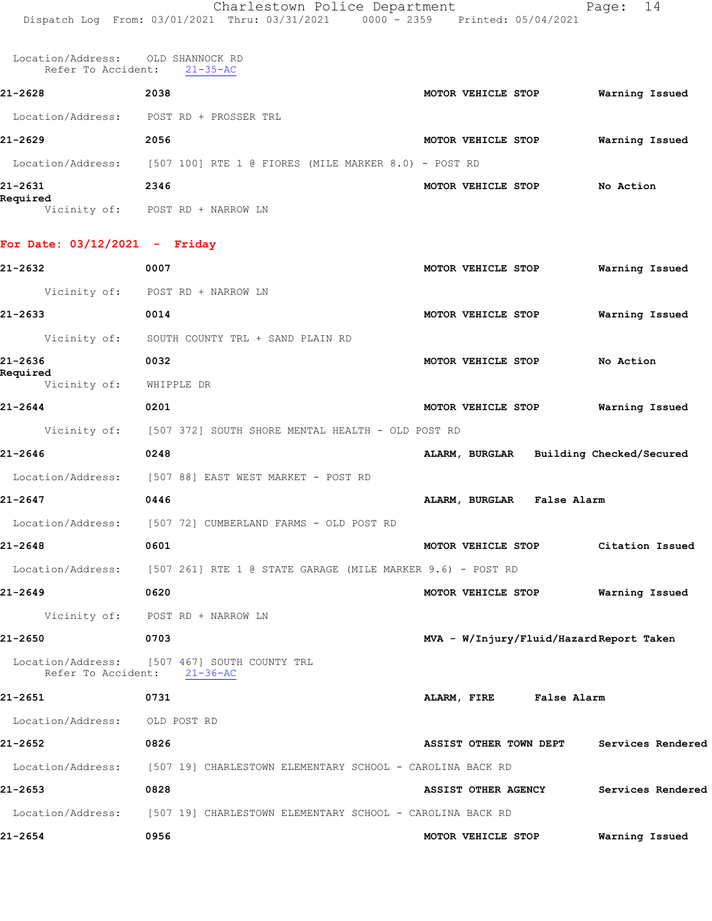Location/Address: OLD SHANNOCK RD Refer To Accident: 21-35-AC

| 21-2628             | 2038                                                   | <b>MOTOR VEHICLE STOP</b> | Warning Issued |  |
|---------------------|--------------------------------------------------------|---------------------------|----------------|--|
| Location/Address:   | POST RD + PROSSER TRL                                  |                           |                |  |
| 21-2629             | 2056                                                   | MOTOR VEHICLE STOP        | Warning Issued |  |
| Location/Address:   | $[507 100]$ RTE 1 @ FIORES (MILE MARKER 8.0) - POST RD |                           |                |  |
| 21-2631<br>Required | 2346                                                   | MOTOR VEHICLE STOP        | No Action      |  |
| Vicinity of:        | + NARROW LN<br>POST RD                                 |                           |                |  |

## **For Date: 03/12/2021 - Friday**

| 21-2632                             | 0007                                                                         | MOTOR VEHICLE STOP                       | Warning Issued |
|-------------------------------------|------------------------------------------------------------------------------|------------------------------------------|----------------|
|                                     | Vicinity of: POST RD + NARROW LN                                             |                                          |                |
| 21-2633                             | 0014                                                                         | MOTOR VEHICLE STOP                       | Warning Issued |
|                                     | Vicinity of: SOUTH COUNTY TRL + SAND PLAIN RD                                |                                          |                |
| 21-2636                             | 0032                                                                         | MOTOR VEHICLE STOP                       | No Action      |
| Required<br>Vicinity of: WHIPPLE DR |                                                                              |                                          |                |
| 21-2644                             | 0201                                                                         | MOTOR VEHICLE STOP Warning Issued        |                |
|                                     | Vicinity of: [507 372] SOUTH SHORE MENTAL HEALTH - OLD POST RD               |                                          |                |
| 21-2646                             | 0248                                                                         | ALARM, BURGLAR Building Checked/Secured  |                |
|                                     | Location/Address: [507 88] EAST WEST MARKET - POST RD                        |                                          |                |
| 21-2647                             | 0446                                                                         | ALARM, BURGLAR False Alarm               |                |
|                                     | Location/Address: [507 72] CUMBERLAND FARMS - OLD POST RD                    |                                          |                |
| 21-2648                             | 0601                                                                         | MOTOR VEHICLE STOP Citation Issued       |                |
|                                     | Location/Address: [507 261] RTE 1 @ STATE GARAGE (MILE MARKER 9.6) - POST RD |                                          |                |
| 21-2649                             | 0620                                                                         | MOTOR VEHICLE STOP Warning Issued        |                |
|                                     | Vicinity of: POST RD + NARROW LN                                             |                                          |                |
| 21-2650                             | 0703                                                                         | MVA - W/Injury/Fluid/Hazard Report Taken |                |
| Refer To Accident: 21-36-AC         | Location/Address: [507 467] SOUTH COUNTY TRL                                 |                                          |                |
| 21-2651                             | 0731                                                                         | ALARM, FIRE False Alarm                  |                |
| Location/Address: OLD POST RD       |                                                                              |                                          |                |
| 21-2652                             | 0826                                                                         | ASSIST OTHER TOWN DEPT Services Rendered |                |
|                                     | Location/Address: [507 19] CHARLESTOWN ELEMENTARY SCHOOL - CAROLINA BACK RD  |                                          |                |
| 21-2653                             | 0828                                                                         | ASSIST OTHER AGENCY Services Rendered    |                |
|                                     | Location/Address: [507 19] CHARLESTOWN ELEMENTARY SCHOOL - CAROLINA BACK RD  |                                          |                |
| 21-2654                             | 0956                                                                         | MOTOR VEHICLE STOP Warning Issued        |                |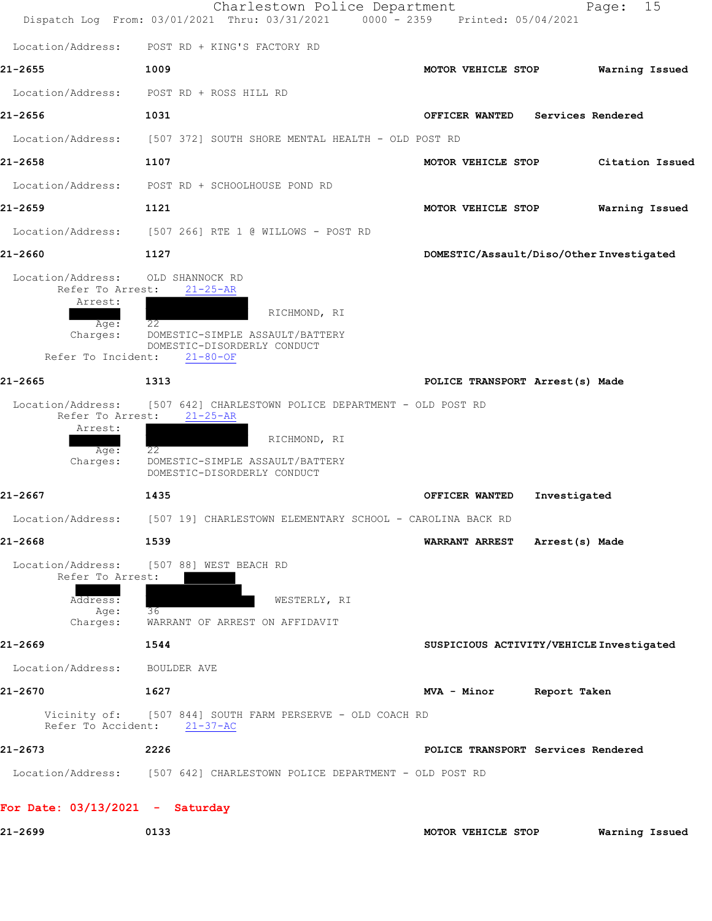|                                       | Charlestown Police Department<br>Dispatch Log From: 03/01/2021 Thru: 03/31/2021 0000 - 2359 Printed: 05/04/2021 | 15<br>Page:                              |
|---------------------------------------|-----------------------------------------------------------------------------------------------------------------|------------------------------------------|
| Location/Address:                     | POST RD + KING'S FACTORY RD                                                                                     |                                          |
| 21-2655                               | 1009                                                                                                            | MOTOR VEHICLE STOP<br>Warning Issued     |
| Location/Address:                     | POST RD + ROSS HILL RD                                                                                          |                                          |
| 21-2656                               | 1031                                                                                                            | Services Rendered<br>OFFICER WANTED      |
| Location/Address:                     | [507 372] SOUTH SHORE MENTAL HEALTH - OLD POST RD                                                               |                                          |
| 21-2658                               | 1107                                                                                                            | MOTOR VEHICLE STOP<br>Citation Issued    |
| Location/Address:                     | POST RD + SCHOOLHOUSE POND RD                                                                                   |                                          |
| 21-2659                               | 1121                                                                                                            | MOTOR VEHICLE STOP<br>Warning Issued     |
| Location/Address:                     | [507 266] RTE 1 @ WILLOWS - POST RD                                                                             |                                          |
| 21-2660                               | 1127                                                                                                            | DOMESTIC/Assault/Diso/Other Investigated |
| Location/Address:<br>Refer To Arrest: | OLD SHANNOCK RD<br>$21 - 25 - AR$                                                                               |                                          |
| Arrest:                               |                                                                                                                 |                                          |
| Age:<br>Charges:                      | RICHMOND, RI<br>22<br>DOMESTIC-SIMPLE ASSAULT/BATTERY                                                           |                                          |
| Refer To Incident:                    | DOMESTIC-DISORDERLY CONDUCT<br>$21 - 80 - OF$                                                                   |                                          |
| 21-2665                               | 1313                                                                                                            | POLICE TRANSPORT Arrest(s) Made          |
| Location/Address:                     | [507 642] CHARLESTOWN POLICE DEPARTMENT - OLD POST RD                                                           |                                          |
| Refer To Arrest:<br>Arrest:           | $21 - 25 - AR$                                                                                                  |                                          |
| $Aq$ e:                               | RICHMOND, RI<br>22                                                                                              |                                          |
| Charges:                              | DOMESTIC-SIMPLE ASSAULT/BATTERY<br>DOMESTIC-DISORDERLY CONDUCT                                                  |                                          |
| 21-2667                               | 1435                                                                                                            | OFFICER WANTED<br>Investigated           |
| Location/Address:                     | [507 19] CHARLESTOWN ELEMENTARY SCHOOL - CAROLINA BACK RD                                                       |                                          |
| 21-2668                               | 1539                                                                                                            | <b>WARRANT ARREST</b><br>Arrest(s) Made  |
| Location/Address:                     | [507 88] WEST BEACH RD                                                                                          |                                          |
| Refer To Arrest:                      |                                                                                                                 |                                          |
| Address:<br>Age:                      | WESTERLY, RI<br>36                                                                                              |                                          |
| Charges:<br>21-2669                   | WARRANT OF ARREST ON AFFIDAVIT                                                                                  |                                          |
| Location/Address:                     | 1544<br>BOULDER AVE                                                                                             | SUSPICIOUS ACTIVITY/VEHICLE Investigated |
| 21-2670                               | 1627                                                                                                            | Report Taken<br>MVA - Minor              |
| Vicinity of:                          | [507 844] SOUTH FARM PERSERVE - OLD COACH RD                                                                    |                                          |
| Refer To Accident:                    | $21 - 37 - AC$                                                                                                  |                                          |
| 21-2673                               | 2226                                                                                                            | POLICE TRANSPORT Services Rendered       |
|                                       | Location/Address: [507 642] CHARLESTOWN POLICE DEPARTMENT - OLD POST RD                                         |                                          |
| For Date: $03/13/2021$ - Saturday     |                                                                                                                 |                                          |
| 21-2699                               | 0133                                                                                                            | MOTOR VEHICLE STOP<br>Warning Issued     |
|                                       |                                                                                                                 |                                          |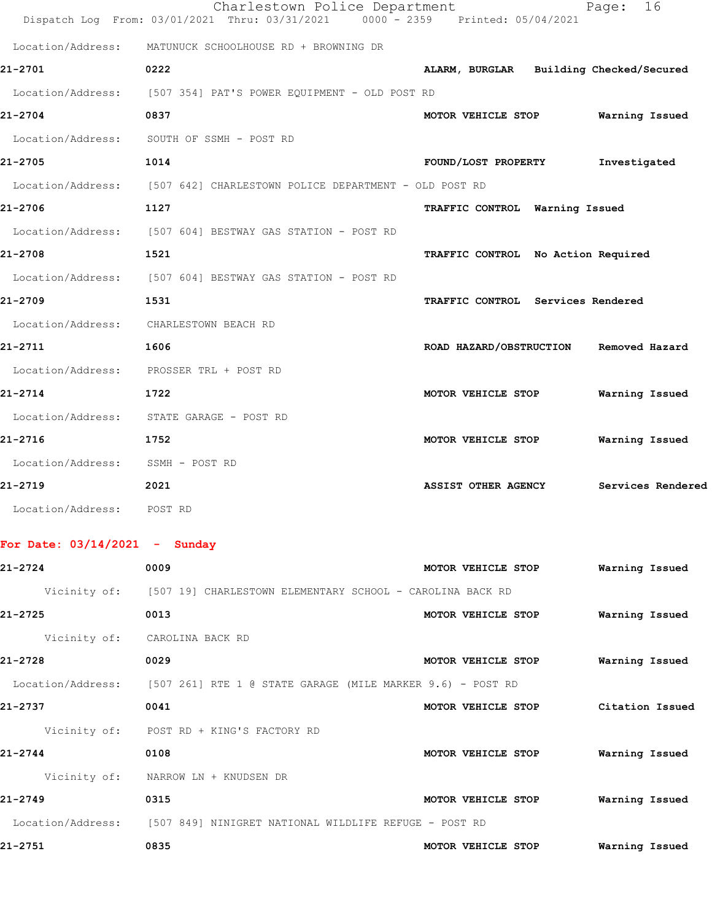|                                  | Charlestown Police Department<br>Dispatch Log From: 03/01/2021 Thru: 03/31/2021 0000 - 2359 Printed: 05/04/2021 |                                         | 16<br>Page:       |
|----------------------------------|-----------------------------------------------------------------------------------------------------------------|-----------------------------------------|-------------------|
|                                  | Location/Address: MATUNUCK SCHOOLHOUSE RD + BROWNING DR                                                         |                                         |                   |
| 21-2701                          | 0222                                                                                                            | ALARM, BURGLAR Building Checked/Secured |                   |
|                                  | Location/Address: [507 354] PAT'S POWER EQUIPMENT - OLD POST RD                                                 |                                         |                   |
| 21-2704                          | 0837                                                                                                            | MOTOR VEHICLE STOP                      | Warning Issued    |
|                                  | Location/Address: SOUTH OF SSMH - POST RD                                                                       |                                         |                   |
| 21-2705                          | 1014                                                                                                            | FOUND/LOST PROPERTY                     | Investigated      |
|                                  | Location/Address: [507 642] CHARLESTOWN POLICE DEPARTMENT - OLD POST RD                                         |                                         |                   |
| 21-2706                          | 1127                                                                                                            | TRAFFIC CONTROL Warning Issued          |                   |
|                                  | Location/Address: [507 604] BESTWAY GAS STATION - POST RD                                                       |                                         |                   |
| 21-2708                          | 1521                                                                                                            | TRAFFIC CONTROL No Action Required      |                   |
|                                  | Location/Address: [507 604] BESTWAY GAS STATION - POST RD                                                       |                                         |                   |
| 21-2709                          | 1531                                                                                                            | TRAFFIC CONTROL Services Rendered       |                   |
|                                  | Location/Address: CHARLESTOWN BEACH RD                                                                          |                                         |                   |
| 21-2711                          | 1606                                                                                                            | ROAD HAZARD/OBSTRUCTION Removed Hazard  |                   |
|                                  | Location/Address: PROSSER TRL + POST RD                                                                         |                                         |                   |
| 21-2714                          | 1722                                                                                                            | MOTOR VEHICLE STOP                      | Warning Issued    |
|                                  | Location/Address: STATE GARAGE - POST RD                                                                        |                                         |                   |
| 21-2716                          | 1752                                                                                                            | MOTOR VEHICLE STOP                      | Warning Issued    |
| Location/Address: SSMH - POST RD |                                                                                                                 |                                         |                   |
| 21-2719                          | 2021                                                                                                            | <b>ASSIST OTHER AGENCY</b>              | Services Rendered |
| Location/Address: POST RD        |                                                                                                                 |                                         |                   |
|                                  |                                                                                                                 |                                         |                   |
| For Date: $03/14/2021$ - Sunday  |                                                                                                                 |                                         |                   |
| 21-2724                          | 0009                                                                                                            | MOTOR VEHICLE STOP                      | Warning Issued    |
|                                  | Vicinity of: [507 19] CHARLESTOWN ELEMENTARY SCHOOL - CAROLINA BACK RD                                          |                                         |                   |
| 21-2725                          | 0013                                                                                                            | MOTOR VEHICLE STOP                      | Warning Issued    |
|                                  | Vicinity of: CAROLINA BACK RD                                                                                   |                                         |                   |
| 21-2728                          | 0029                                                                                                            | MOTOR VEHICLE STOP                      | Warning Issued    |
|                                  | Location/Address: [507 261] RTE 1 @ STATE GARAGE (MILE MARKER 9.6) - POST RD                                    |                                         |                   |
| 21-2737                          | 0041                                                                                                            | MOTOR VEHICLE STOP                      | Citation Issued   |
|                                  | Vicinity of: POST RD + KING'S FACTORY RD                                                                        |                                         |                   |

**21-2744 0108 MOTOR VEHICLE STOP Warning Issued**

 Vicinity of: NARROW LN + KNUDSEN DR **21-2749 0315 MOTOR VEHICLE STOP Warning Issued** Location/Address: [507 849] NINIGRET NATIONAL WILDLIFE REFUGE - POST RD **21-2751 0835 MOTOR VEHICLE STOP Warning Issued**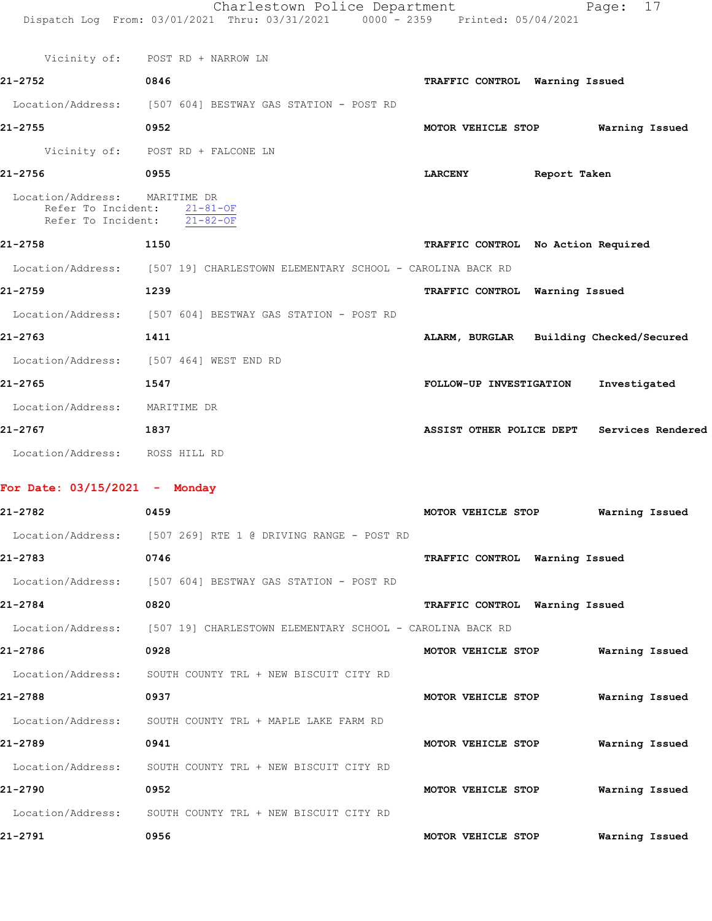|                                                     | Charlestown Police Department<br>Dispatch Log From: 03/01/2021 Thru: 03/31/2021 0000 - 2359 Printed: 05/04/2021 |                                         | Page: 17                                   |
|-----------------------------------------------------|-----------------------------------------------------------------------------------------------------------------|-----------------------------------------|--------------------------------------------|
|                                                     |                                                                                                                 |                                         |                                            |
|                                                     | Vicinity of: POST RD + NARROW LN                                                                                |                                         |                                            |
| 21-2752                                             | 0846                                                                                                            | TRAFFIC CONTROL Warning Issued          |                                            |
|                                                     | Location/Address: [507 604] BESTWAY GAS STATION - POST RD                                                       |                                         |                                            |
| 21-2755                                             | 0952                                                                                                            | MOTOR VEHICLE STOP                      | Warning Issued                             |
|                                                     | Vicinity of: POST RD + FALCONE LN                                                                               |                                         |                                            |
| 21-2756                                             | 0955                                                                                                            | LARCENY Report Taken                    |                                            |
| Location/Address: MARITIME DR<br>Refer To Incident: | $21 - 81 - OF$<br>Refer To Incident: 21-82-OF                                                                   |                                         |                                            |
| 21-2758<br>1150                                     |                                                                                                                 | TRAFFIC CONTROL No Action Required      |                                            |
|                                                     | Location/Address: [507 19] CHARLESTOWN ELEMENTARY SCHOOL - CAROLINA BACK RD                                     |                                         |                                            |
| 21-2759                                             | 1239                                                                                                            | TRAFFIC CONTROL Warning Issued          |                                            |
|                                                     | Location/Address: [507 604] BESTWAY GAS STATION - POST RD                                                       |                                         |                                            |
| 21-2763                                             | 1411                                                                                                            | ALARM, BURGLAR Building Checked/Secured |                                            |
|                                                     | Location/Address: [507 464] WEST END RD                                                                         |                                         |                                            |
| 21-2765                                             | 1547                                                                                                            | FOLLOW-UP INVESTIGATION                 | Investigated                               |
| Location/Address: MARITIME DR                       |                                                                                                                 |                                         |                                            |
| 21-2767                                             | 1837                                                                                                            |                                         | ASSIST OTHER POLICE DEPT Services Rendered |
| Location/Address: ROSS HILL RD                      |                                                                                                                 |                                         |                                            |
| For Date: $03/15/2021$ - Monday                     |                                                                                                                 |                                         |                                            |
| 21-2782                                             | 0459                                                                                                            | MOTOR VEHICLE STOP                      | Warning Issued                             |
|                                                     | Location/Address: [507 269] RTE 1 @ DRIVING RANGE - POST RD                                                     |                                         |                                            |
| 21-2783                                             | 0746                                                                                                            | TRAFFIC CONTROL Warning Issued          |                                            |
|                                                     | Location/Address: [507 604] BESTWAY GAS STATION - POST RD                                                       |                                         |                                            |
| 21-2784                                             | 0820                                                                                                            | TRAFFIC CONTROL Warning Issued          |                                            |
| Location/Address:                                   | [507 19] CHARLESTOWN ELEMENTARY SCHOOL - CAROLINA BACK RD                                                       |                                         |                                            |
| 21-2786                                             | 0928                                                                                                            | MOTOR VEHICLE STOP                      | Warning Issued                             |
| Location/Address:                                   | SOUTH COUNTY TRL + NEW BISCUIT CITY RD                                                                          |                                         |                                            |
| 21-2788                                             | 0937                                                                                                            | MOTOR VEHICLE STOP                      | Warning Issued                             |
| Location/Address:                                   | SOUTH COUNTY TRL + MAPLE LAKE FARM RD                                                                           |                                         |                                            |
| 21-2789                                             | 0941                                                                                                            | MOTOR VEHICLE STOP                      | Warning Issued                             |
| Location/Address:                                   | SOUTH COUNTY TRL + NEW BISCUIT CITY RD                                                                          |                                         |                                            |
| 21-2790                                             | 0952                                                                                                            | MOTOR VEHICLE STOP                      | Warning Issued                             |

**21-2791 0956 MOTOR VEHICLE STOP Warning Issued**

Location/Address: SOUTH COUNTY TRL + NEW BISCUIT CITY RD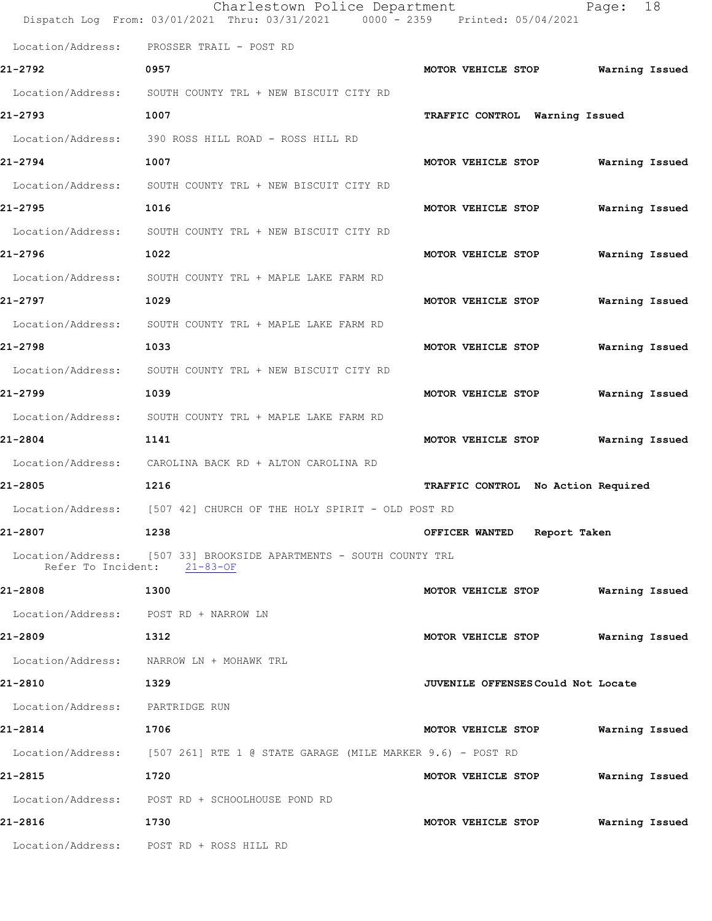|                                       | Charlestown Police Department<br>Dispatch Log From: 03/01/2021 Thru: 03/31/2021 0000 - 2359 Printed: 05/04/2021 |                                           | 18<br>Page:    |
|---------------------------------------|-----------------------------------------------------------------------------------------------------------------|-------------------------------------------|----------------|
| Location/Address:                     | PROSSER TRAIL - POST RD                                                                                         |                                           |                |
| 21-2792                               | 0957                                                                                                            | MOTOR VEHICLE STOP                        | Warning Issued |
| Location/Address:                     | SOUTH COUNTY TRL + NEW BISCUIT CITY RD                                                                          |                                           |                |
| 21-2793                               | 1007                                                                                                            | TRAFFIC CONTROL Warning Issued            |                |
| Location/Address:                     | 390 ROSS HILL ROAD - ROSS HILL RD                                                                               |                                           |                |
| 21-2794                               | 1007                                                                                                            | MOTOR VEHICLE STOP                        | Warning Issued |
| Location/Address:                     | SOUTH COUNTY TRL + NEW BISCUIT CITY RD                                                                          |                                           |                |
| 21-2795                               | 1016                                                                                                            | MOTOR VEHICLE STOP                        | Warning Issued |
| Location/Address:                     | SOUTH COUNTY TRL + NEW BISCUIT CITY RD                                                                          |                                           |                |
| 21-2796                               | 1022                                                                                                            | MOTOR VEHICLE STOP                        | Warning Issued |
| Location/Address:                     | SOUTH COUNTY TRL + MAPLE LAKE FARM RD                                                                           |                                           |                |
| 21-2797                               | 1029                                                                                                            | MOTOR VEHICLE STOP                        | Warning Issued |
| Location/Address:                     | SOUTH COUNTY TRL + MAPLE LAKE FARM RD                                                                           |                                           |                |
| 21-2798                               | 1033                                                                                                            | MOTOR VEHICLE STOP                        | Warning Issued |
| Location/Address:                     | SOUTH COUNTY TRL + NEW BISCUIT CITY RD                                                                          |                                           |                |
| 21-2799                               | 1039                                                                                                            | MOTOR VEHICLE STOP                        | Warning Issued |
| Location/Address:                     | SOUTH COUNTY TRL + MAPLE LAKE FARM RD                                                                           |                                           |                |
| 21-2804                               | 1141                                                                                                            | MOTOR VEHICLE STOP                        | Warning Issued |
| Location/Address:                     | CAROLINA BACK RD + ALTON CAROLINA RD                                                                            |                                           |                |
| 21-2805                               | 1216                                                                                                            | TRAFFIC CONTROL No Action Required        |                |
| Location/Address:                     | [507 42] CHURCH OF THE HOLY SPIRIT - OLD POST RD                                                                |                                           |                |
| 21-2807                               | 1238                                                                                                            | OFFICER WANTED Report Taken               |                |
|                                       | Location/Address: [507 33] BROOKSIDE APARTMENTS - SOUTH COUNTY TRL<br>Refer To Incident: 21-83-OF               |                                           |                |
| 21-2808                               | 1300                                                                                                            | MOTOR VEHICLE STOP                        | Warning Issued |
| Location/Address: POST RD + NARROW LN |                                                                                                                 |                                           |                |
| 21-2809                               | 1312                                                                                                            | MOTOR VEHICLE STOP                        | Warning Issued |
|                                       | Location/Address: NARROW LN + MOHAWK TRL                                                                        |                                           |                |
| 21-2810                               | 1329                                                                                                            | <b>JUVENILE OFFENSES Could Not Locate</b> |                |
| Location/Address:                     | PARTRIDGE RUN                                                                                                   |                                           |                |
| 21-2814                               | 1706                                                                                                            | MOTOR VEHICLE STOP                        | Warning Issued |
|                                       | Location/Address: [507 261] RTE 1 @ STATE GARAGE (MILE MARKER 9.6) - POST RD                                    |                                           |                |
| 21-2815                               | 1720                                                                                                            | MOTOR VEHICLE STOP                        | Warning Issued |
|                                       | Location/Address: POST RD + SCHOOLHOUSE POND RD                                                                 |                                           |                |
| 21-2816                               | 1730                                                                                                            | MOTOR VEHICLE STOP                        | Warning Issued |
| Location/Address:                     | POST RD + ROSS HILL RD                                                                                          |                                           |                |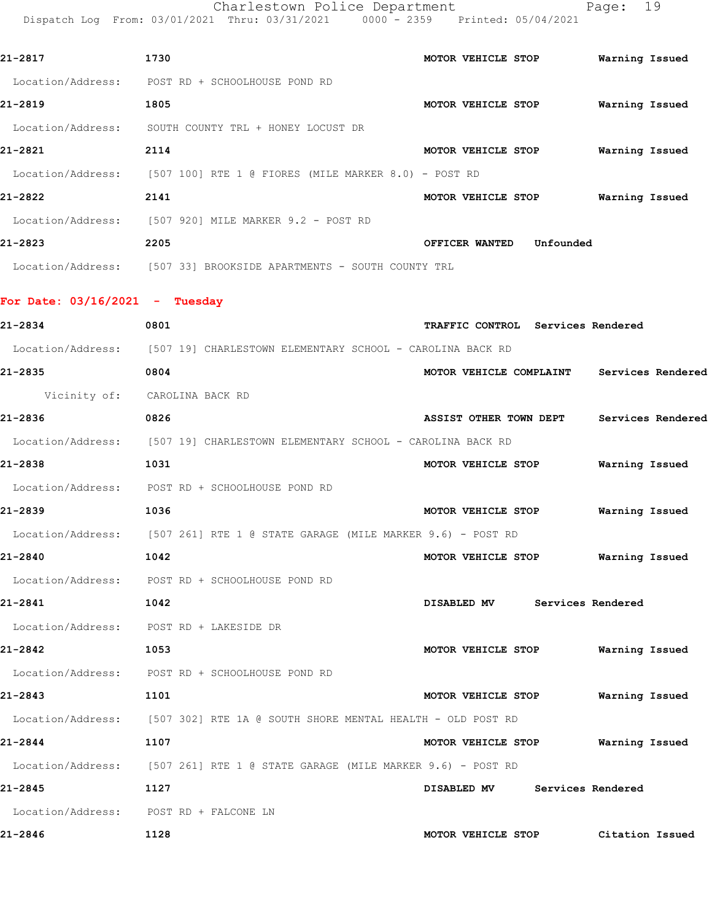Charlestown Police Department Page: 19 Dispatch Log From: 03/01/2021 Thru: 03/31/2021 0000 - 2359 Printed: 05/04/2021

| 21-2817           | 1730                                                 | MOTOR VEHICLE STOP |           | Warning Issued |  |
|-------------------|------------------------------------------------------|--------------------|-----------|----------------|--|
| Location/Address: | POST RD + SCHOOLHOUSE POND RD                        |                    |           |                |  |
| 21-2819           | 1805                                                 | MOTOR VEHICLE STOP |           | Warning Issued |  |
| Location/Address: | SOUTH COUNTY TRL + HONEY LOCUST DR                   |                    |           |                |  |
| 21-2821           | 2114                                                 | MOTOR VEHICLE STOP |           | Warning Issued |  |
| Location/Address: | [507 100] RTE 1 @ FIORES (MILE MARKER 8.0) - POST RD |                    |           |                |  |
| 21-2822           | 2141                                                 | MOTOR VEHICLE STOP |           | Warning Issued |  |
| Location/Address: | [507 920] MILE MARKER 9.2 - POST RD                  |                    |           |                |  |
| 21-2823           | 2205                                                 | OFFICER WANTED     | Unfounded |                |  |
| Location/Address: | [507 33]<br>BROOKSIDE APARTMENTS - SOUTH COUNTY TRL  |                    |           |                |  |

**For Date: 03/16/2021 - Tuesday 21-2834 0801 TRAFFIC CONTROL Services Rendered**

 Location/Address: [507 19] CHARLESTOWN ELEMENTARY SCHOOL - CAROLINA BACK RD **21-2835 0804 MOTOR VEHICLE COMPLAINT Services Rendered** Vicinity of: CAROLINA BACK RD **21-2836 0826 ASSIST OTHER TOWN DEPT Services Rendered** Location/Address: [507 19] CHARLESTOWN ELEMENTARY SCHOOL - CAROLINA BACK RD **21-2838 1031 MOTOR VEHICLE STOP Warning Issued** Location/Address: POST RD + SCHOOLHOUSE POND RD **21-2839 1036 MOTOR VEHICLE STOP Warning Issued** Location/Address: [507 261] RTE 1 @ STATE GARAGE (MILE MARKER 9.6) - POST RD **21-2840 1042 MOTOR VEHICLE STOP Warning Issued** Location/Address: POST RD + SCHOOLHOUSE POND RD **21-2841 1042 DISABLED MV Services Rendered**

 Location/Address: POST RD + LAKESIDE DR **21-2842 1053 MOTOR VEHICLE STOP Warning Issued** Location/Address: POST RD + SCHOOLHOUSE POND RD **21-2843 1101 MOTOR VEHICLE STOP Warning Issued** Location/Address: [507 302] RTE 1A @ SOUTH SHORE MENTAL HEALTH - OLD POST RD **21-2844 1107 MOTOR VEHICLE STOP Warning Issued** Location/Address: [507 261] RTE 1 @ STATE GARAGE (MILE MARKER 9.6) - POST RD

**21-2845 1127 DISABLED MV Services Rendered** Location/Address: POST RD + FALCONE LN **21-2846 1128 MOTOR VEHICLE STOP Citation Issued**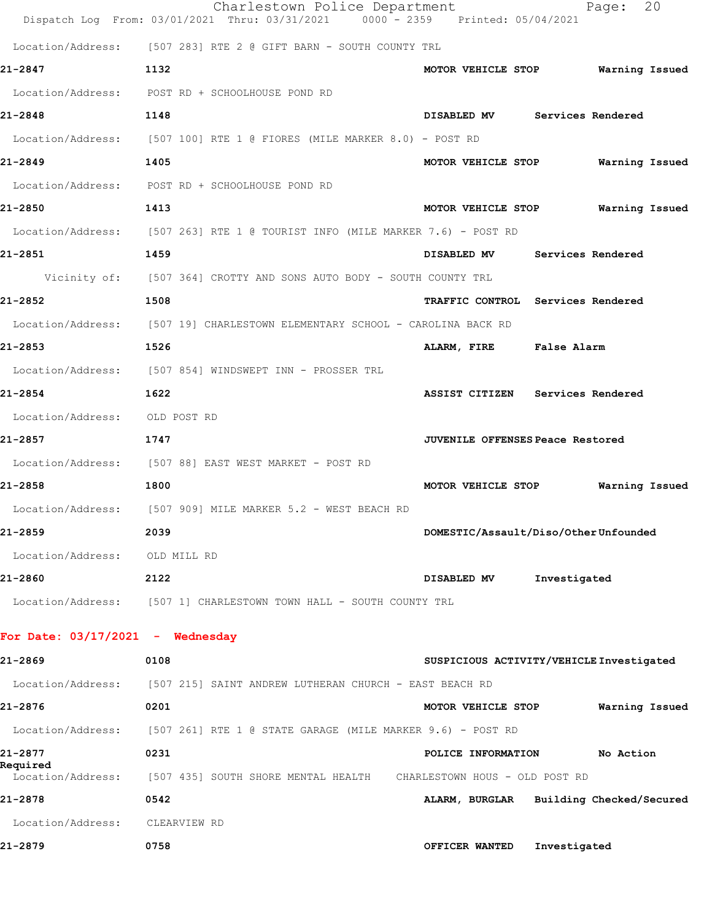|                                    | Charlestown Police Department<br>Dispatch Log From: 03/01/2021 Thru: 03/31/2021 0000 - 2359 Printed: 05/04/2021 | 20<br>Page:                              |
|------------------------------------|-----------------------------------------------------------------------------------------------------------------|------------------------------------------|
|                                    | Location/Address: [507 283] RTE 2 @ GIFT BARN - SOUTH COUNTY TRL                                                |                                          |
| 21-2847                            | 1132                                                                                                            | MOTOR VEHICLE STOP<br>Warning Issued     |
|                                    | Location/Address: POST RD + SCHOOLHOUSE POND RD                                                                 |                                          |
| 21-2848                            | 1148                                                                                                            | DISABLED MV Services Rendered            |
|                                    | Location/Address: [507 100] RTE 1 @ FIORES (MILE MARKER 8.0) - POST RD                                          |                                          |
| 21-2849                            | 1405                                                                                                            | MOTOR VEHICLE STOP<br>Warning Issued     |
|                                    | Location/Address: POST RD + SCHOOLHOUSE POND RD                                                                 |                                          |
| 21-2850                            | 1413                                                                                                            | MOTOR VEHICLE STOP<br>Warning Issued     |
|                                    | Location/Address: [507 263] RTE 1 @ TOURIST INFO (MILE MARKER 7.6) - POST RD                                    |                                          |
| 21-2851                            | 1459                                                                                                            | DISABLED MV<br>Services Rendered         |
|                                    | Vicinity of: [507 364] CROTTY AND SONS AUTO BODY - SOUTH COUNTY TRL                                             |                                          |
| 21-2852                            | 1508                                                                                                            | TRAFFIC CONTROL Services Rendered        |
|                                    | Location/Address: [507 19] CHARLESTOWN ELEMENTARY SCHOOL - CAROLINA BACK RD                                     |                                          |
| 21-2853                            | 1526                                                                                                            | ALARM, FIRE False Alarm                  |
|                                    | Location/Address: [507 854] WINDSWEPT INN - PROSSER TRL                                                         |                                          |
| 21-2854                            | 1622                                                                                                            | ASSIST CITIZEN Services Rendered         |
| Location/Address: OLD POST RD      |                                                                                                                 |                                          |
| 21-2857                            | 1747                                                                                                            | <b>JUVENILE OFFENSES Peace Restored</b>  |
|                                    | Location/Address: [507 88] EAST WEST MARKET - POST RD                                                           |                                          |
| 21-2858                            | 1800                                                                                                            | MOTOR VEHICLE STOP<br>Warning Issued     |
|                                    | Location/Address: [507 909] MILE MARKER 5.2 - WEST BEACH RD                                                     |                                          |
| 21-2859                            | 2039                                                                                                            | DOMESTIC/Assault/Diso/OtherUnfounded     |
| Location/Address: OLD MILL RD      |                                                                                                                 |                                          |
| 21-2860                            | 2122                                                                                                            | Investigated<br>DISABLED MV              |
|                                    | Location/Address: [507 1] CHARLESTOWN TOWN HALL - SOUTH COUNTY TRL                                              |                                          |
| For Date: $03/17/2021$ - Wednesday |                                                                                                                 |                                          |
| 21-2869                            | 0108                                                                                                            | SUSPICIOUS ACTIVITY/VEHICLE Investigated |
| Location/Address:                  | [507 215] SAINT ANDREW LUTHERAN CHURCH - EAST BEACH RD                                                          |                                          |
| 21-2876                            | 0201                                                                                                            | Warning Issued<br>MOTOR VEHICLE STOP     |
|                                    | Location/Address: [507 261] RTE 1 @ STATE GARAGE (MILE MARKER 9.6) - POST RD                                    |                                          |
| 21-2877                            | 0231                                                                                                            | POLICE INFORMATION<br>No Action          |
| Required                           | Location/Address: [507 435] SOUTH SHORE MENTAL HEALTH CHARLESTOWN HOUS - OLD POST RD                            |                                          |
| 21-2878                            | 0542                                                                                                            | ALARM, BURGLAR Building Checked/Secured  |
| Location/Address:                  | CLEARVIEW RD                                                                                                    |                                          |
| 21-2879                            | 0758                                                                                                            | Investigated<br>OFFICER WANTED           |
|                                    |                                                                                                                 |                                          |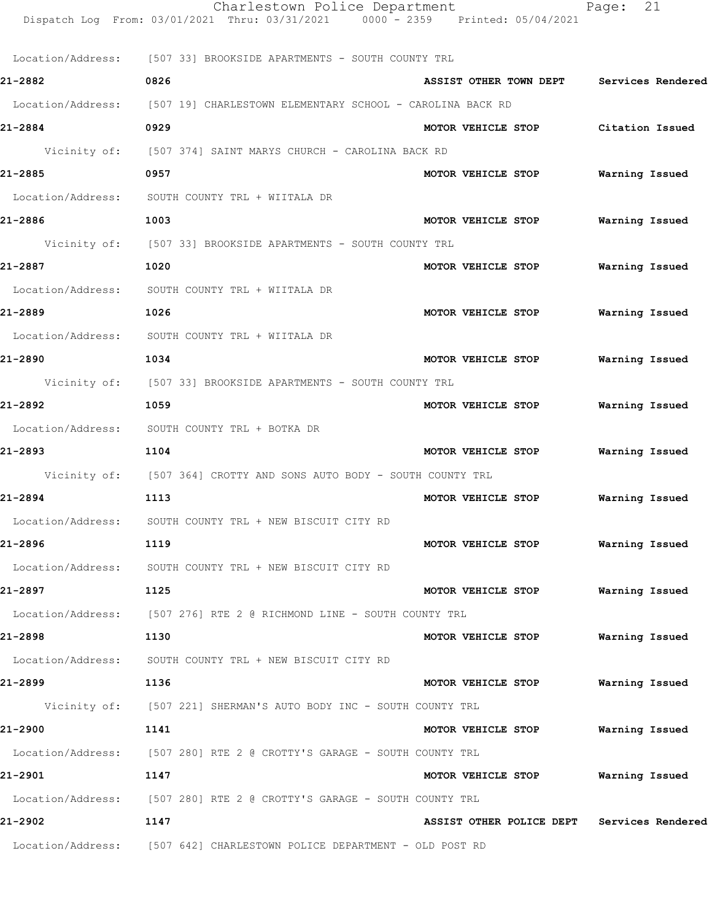|         | Charlestown Police Department<br>Dispatch Log From: 03/01/2021 Thru: 03/31/2021 0000 - 2359 Printed: 05/04/2021 |                                            | 21<br>Page:    |
|---------|-----------------------------------------------------------------------------------------------------------------|--------------------------------------------|----------------|
|         | Location/Address: [507 33] BROOKSIDE APARTMENTS - SOUTH COUNTY TRL                                              |                                            |                |
| 21-2882 | 0826                                                                                                            | ASSIST OTHER TOWN DEPT Services Rendered   |                |
|         | Location/Address: [507 19] CHARLESTOWN ELEMENTARY SCHOOL - CAROLINA BACK RD                                     |                                            |                |
| 21-2884 | 0929                                                                                                            | MOTOR VEHICLE STOP Citation Issued         |                |
|         | Vicinity of: [507 374] SAINT MARYS CHURCH - CAROLINA BACK RD                                                    |                                            |                |
| 21-2885 | 0957                                                                                                            | MOTOR VEHICLE STOP Warning Issued          |                |
|         | Location/Address: SOUTH COUNTY TRL + WIITALA DR                                                                 |                                            |                |
| 21-2886 | 1003                                                                                                            | MOTOR VEHICLE STOP                         | Warning Issued |
|         | Vicinity of: [507 33] BROOKSIDE APARTMENTS - SOUTH COUNTY TRL                                                   |                                            |                |
| 21-2887 | 1020                                                                                                            | MOTOR VEHICLE STOP                         | Warning Issued |
|         | Location/Address: SOUTH COUNTY TRL + WIITALA DR                                                                 |                                            |                |
| 21-2889 | 1026                                                                                                            | MOTOR VEHICLE STOP                         | Warning Issued |
|         | Location/Address: SOUTH COUNTY TRL + WIITALA DR                                                                 |                                            |                |
| 21-2890 | 1034                                                                                                            | MOTOR VEHICLE STOP                         | Warning Issued |
|         | Vicinity of: [507 33] BROOKSIDE APARTMENTS - SOUTH COUNTY TRL                                                   |                                            |                |
| 21-2892 | 1059                                                                                                            | MOTOR VEHICLE STOP                         | Warning Issued |
|         | Location/Address: SOUTH COUNTY TRL + BOTKA DR                                                                   |                                            |                |
| 21-2893 | 1104                                                                                                            | MOTOR VEHICLE STOP                         | Warning Issued |
|         | Vicinity of: [507 364] CROTTY AND SONS AUTO BODY - SOUTH COUNTY TRL                                             |                                            |                |
| 21-2894 | 1113                                                                                                            | MOTOR VEHICLE STOP                         | Warning Issued |
|         | Location/Address: SOUTH COUNTY TRL + NEW BISCUIT CITY RD                                                        |                                            |                |
| 21-2896 | 1119                                                                                                            | MOTOR VEHICLE STOP Warning Issued          |                |
|         | Location/Address: SOUTH COUNTY TRL + NEW BISCUIT CITY RD                                                        |                                            |                |
| 21-2897 | 1125                                                                                                            | MOTOR VEHICLE STOP                         | Warning Issued |
|         | Location/Address: [507 276] RTE 2 @ RICHMOND LINE - SOUTH COUNTY TRL                                            |                                            |                |
| 21-2898 | 1130                                                                                                            | MOTOR VEHICLE STOP                         | Warning Issued |
|         | Location/Address: SOUTH COUNTY TRL + NEW BISCUIT CITY RD                                                        |                                            |                |
| 21-2899 | 1136                                                                                                            | MOTOR VEHICLE STOP Warning Issued          |                |
|         | Vicinity of: [507 221] SHERMAN'S AUTO BODY INC - SOUTH COUNTY TRL                                               |                                            |                |
| 21-2900 | 1141                                                                                                            | MOTOR VEHICLE STOP                         | Warning Issued |
|         | Location/Address: [507 280] RTE 2 @ CROTTY'S GARAGE - SOUTH COUNTY TRL                                          |                                            |                |
| 21-2901 | 1147                                                                                                            | MOTOR VEHICLE STOP                         | Warning Issued |
|         | Location/Address: [507 280] RTE 2 @ CROTTY'S GARAGE - SOUTH COUNTY TRL                                          |                                            |                |
| 21-2902 | 1147                                                                                                            | ASSIST OTHER POLICE DEPT Services Rendered |                |
|         | Location/Address: [507 642] CHARLESTOWN POLICE DEPARTMENT - OLD POST RD                                         |                                            |                |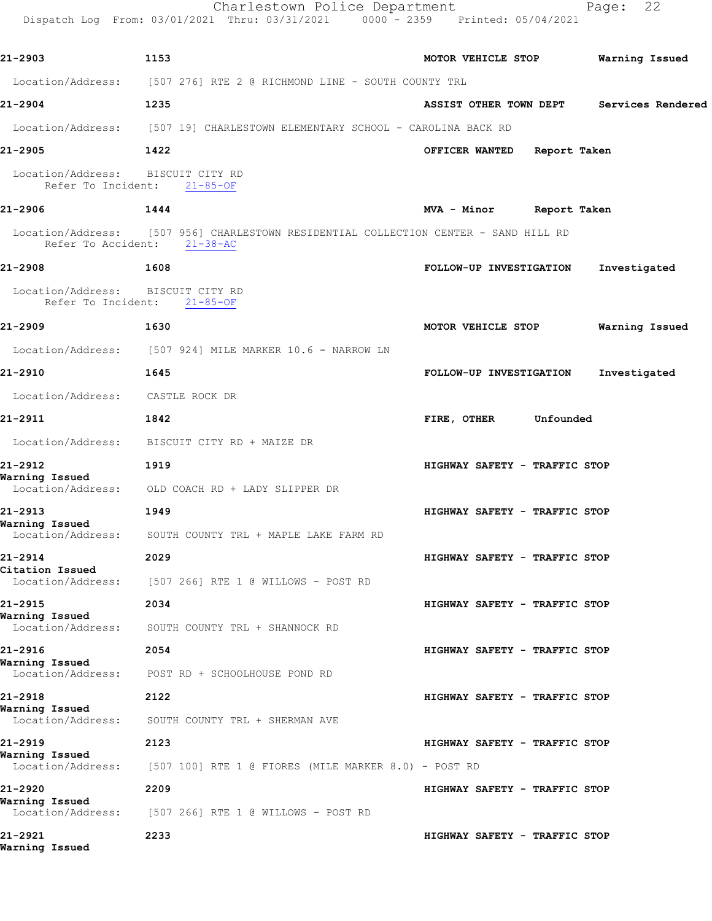|                                      | Charlestown Police Department<br>Dispatch Log From: 03/01/2021 Thru: 03/31/2021 0000 - 2359 Printed: 05/04/2021     |                                          | 22<br>Page:    |
|--------------------------------------|---------------------------------------------------------------------------------------------------------------------|------------------------------------------|----------------|
| 21-2903                              | 1153                                                                                                                | MOTOR VEHICLE STOP                       | Warning Issued |
|                                      | Location/Address: [507 276] RTE 2 @ RICHMOND LINE - SOUTH COUNTY TRL                                                |                                          |                |
| 21-2904                              | 1235                                                                                                                | ASSIST OTHER TOWN DEPT Services Rendered |                |
|                                      | Location/Address: [507 19] CHARLESTOWN ELEMENTARY SCHOOL - CAROLINA BACK RD                                         |                                          |                |
| 21-2905                              | 1422                                                                                                                | OFFICER WANTED Report Taken              |                |
| Location/Address: BISCUIT CITY RD    | Refer To Incident: 21-85-OF                                                                                         |                                          |                |
| 21-2906                              | 1444                                                                                                                | MVA - Minor Report Taken                 |                |
|                                      | Location/Address: [507 956] CHARLESTOWN RESIDENTIAL COLLECTION CENTER - SAND HILL RD<br>Refer To Accident: 21-38-AC |                                          |                |
| 21-2908                              | 1608                                                                                                                | FOLLOW-UP INVESTIGATION                  | Investigated   |
| Location/Address: BISCUIT CITY RD    | Refer To Incident: 21-85-OF                                                                                         |                                          |                |
| 21-2909                              | 1630                                                                                                                | MOTOR VEHICLE STOP                       | Warning Issued |
|                                      | Location/Address: [507 924] MILE MARKER 10.6 - NARROW LN                                                            |                                          |                |
| 21-2910                              | 1645                                                                                                                | FOLLOW-UP INVESTIGATION                  | Investigated   |
| Location/Address: CASTLE ROCK DR     |                                                                                                                     |                                          |                |
| 21-2911                              | 1842                                                                                                                | FIRE, OTHER Unfounded                    |                |
|                                      | Location/Address: BISCUIT CITY RD + MAIZE DR                                                                        |                                          |                |
| 21-2912                              | 1919                                                                                                                | HIGHWAY SAFETY - TRAFFIC STOP            |                |
| Warning Issued                       | Location/Address: OLD COACH RD + LADY SLIPPER DR                                                                    |                                          |                |
| 21-2913                              | 1949                                                                                                                | HIGHWAY SAFETY - TRAFFIC STOP            |                |
| Warning Issued<br>Location/Address:  | SOUTH COUNTY TRL + MAPLE LAKE FARM RD                                                                               |                                          |                |
| 21-2914                              | 2029                                                                                                                | HIGHWAY SAFETY - TRAFFIC STOP            |                |
| Citation Issued<br>Location/Address: | [507 266] RTE 1 @ WILLOWS - POST RD                                                                                 |                                          |                |
| 21-2915                              | 2034                                                                                                                | HIGHWAY SAFETY - TRAFFIC STOP            |                |
| Warning Issued<br>Location/Address:  | SOUTH COUNTY TRL + SHANNOCK RD                                                                                      |                                          |                |
| 21-2916                              | 2054                                                                                                                | HIGHWAY SAFETY - TRAFFIC STOP            |                |
| Warning Issued<br>Location/Address:  | POST RD + SCHOOLHOUSE POND RD                                                                                       |                                          |                |
| 21-2918                              | 2122                                                                                                                | HIGHWAY SAFETY - TRAFFIC STOP            |                |
| Warning Issued<br>Location/Address:  | SOUTH COUNTY TRL + SHERMAN AVE                                                                                      |                                          |                |
| 21-2919                              | 2123                                                                                                                | HIGHWAY SAFETY - TRAFFIC STOP            |                |
| Warning Issued<br>Location/Address:  | $[507 100]$ RTE 1 @ FIORES (MILE MARKER 8.0) - POST RD                                                              |                                          |                |
| 21-2920                              | 2209                                                                                                                | HIGHWAY SAFETY - TRAFFIC STOP            |                |
| Warning Issued<br>Location/Address:  | [507 266] RTE 1 @ WILLOWS - POST RD                                                                                 |                                          |                |
| 21-2921<br>Warning Issued            | 2233                                                                                                                | HIGHWAY SAFETY - TRAFFIC STOP            |                |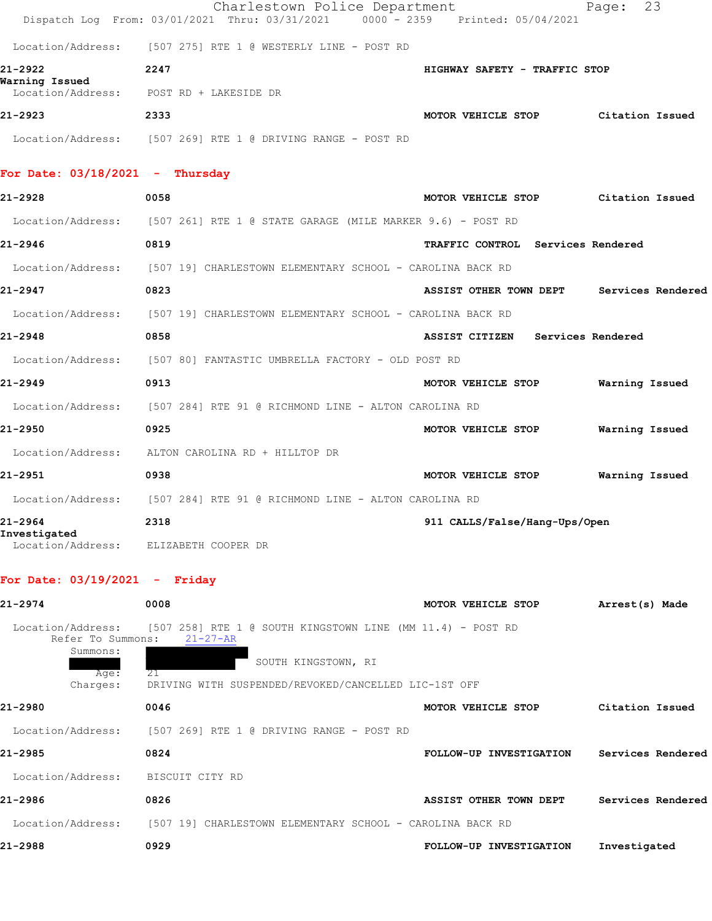|                                        | Charlestown Police Department<br>Dispatch Log From: 03/01/2021 Thru: 03/31/2021 | 0000 - 2359 Printed: 05/04/2021    | 23<br>Page:       |
|----------------------------------------|---------------------------------------------------------------------------------|------------------------------------|-------------------|
|                                        | Location/Address: [507 275] RTE 1 @ WESTERLY LINE - POST RD                     |                                    |                   |
| 21-2922<br>Warning Issued              | 2247                                                                            | HIGHWAY SAFETY - TRAFFIC STOP      |                   |
|                                        | Location/Address: POST RD + LAKESIDE DR                                         |                                    |                   |
| 21-2923                                | 2333                                                                            | MOTOR VEHICLE STOP Citation Issued |                   |
|                                        | Location/Address: [507 269] RTE 1 @ DRIVING RANGE - POST RD                     |                                    |                   |
| For Date: $03/18/2021$ - Thursday      |                                                                                 |                                    |                   |
| 21-2928                                | 0058                                                                            | MOTOR VEHICLE STOP                 | Citation Issued   |
|                                        | Location/Address: [507 261] RTE 1 @ STATE GARAGE (MILE MARKER 9.6) - POST RD    |                                    |                   |
| 21-2946                                | 0819                                                                            | TRAFFIC CONTROL Services Rendered  |                   |
|                                        | Location/Address: [507 19] CHARLESTOWN ELEMENTARY SCHOOL - CAROLINA BACK RD     |                                    |                   |
| 21-2947                                | 0823                                                                            | ASSIST OTHER TOWN DEPT             | Services Rendered |
| Location/Address:                      | [507 19] CHARLESTOWN ELEMENTARY SCHOOL - CAROLINA BACK RD                       |                                    |                   |
| 21-2948                                | 0858                                                                            | ASSIST CITIZEN Services Rendered   |                   |
|                                        | Location/Address: [507 80] FANTASTIC UMBRELLA FACTORY - OLD POST RD             |                                    |                   |
| 21-2949                                | 0913                                                                            | MOTOR VEHICLE STOP                 | Warning Issued    |
|                                        | Location/Address: [507 284] RTE 91 @ RICHMOND LINE - ALTON CAROLINA RD          |                                    |                   |
| 21-2950                                | 0925                                                                            | MOTOR VEHICLE STOP                 | Warning Issued    |
| Location/Address:                      | ALTON CAROLINA RD + HILLTOP DR                                                  |                                    |                   |
| 21-2951                                | 0938                                                                            | MOTOR VEHICLE STOP                 | Warning Issued    |
|                                        | Location/Address: [507 284] RTE 91 @ RICHMOND LINE - ALTON CAROLINA RD          |                                    |                   |
| 21-2964<br>Investigated                | 2318                                                                            | 911 CALLS/False/Hang-Ups/Open      |                   |
| Location/Address:                      | ELIZABETH COOPER DR                                                             |                                    |                   |
| For Date: $03/19/2021$ - Friday        |                                                                                 |                                    |                   |
| 21-2974                                | 0008                                                                            | MOTOR VEHICLE STOP                 | Arrest(s) Made    |
| Location/Address:<br>Refer To Summons: | [507 258] RTE 1 @ SOUTH KINGSTOWN LINE (MM 11.4) - POST RD<br>$21 - 27 - AR$    |                                    |                   |
| Summons:<br>Aae:                       | SOUTH KINGSTOWN, RI<br>21                                                       |                                    |                   |

 $Age:$  Charges: DRIVING WITH SUSPENDED/REVOKED/CANCELLED LIC-1ST OFF **21-2980 0046 MOTOR VEHICLE STOP Citation Issued** Location/Address: [507 269] RTE 1 @ DRIVING RANGE - POST RD **21-2985 0824 FOLLOW-UP INVESTIGATION Services Rendered** Location/Address: BISCUIT CITY RD

**21-2986 0826 ASSIST OTHER TOWN DEPT Services Rendered** Location/Address: [507 19] CHARLESTOWN ELEMENTARY SCHOOL - CAROLINA BACK RD **21-2988 0929 FOLLOW-UP INVESTIGATION Investigated**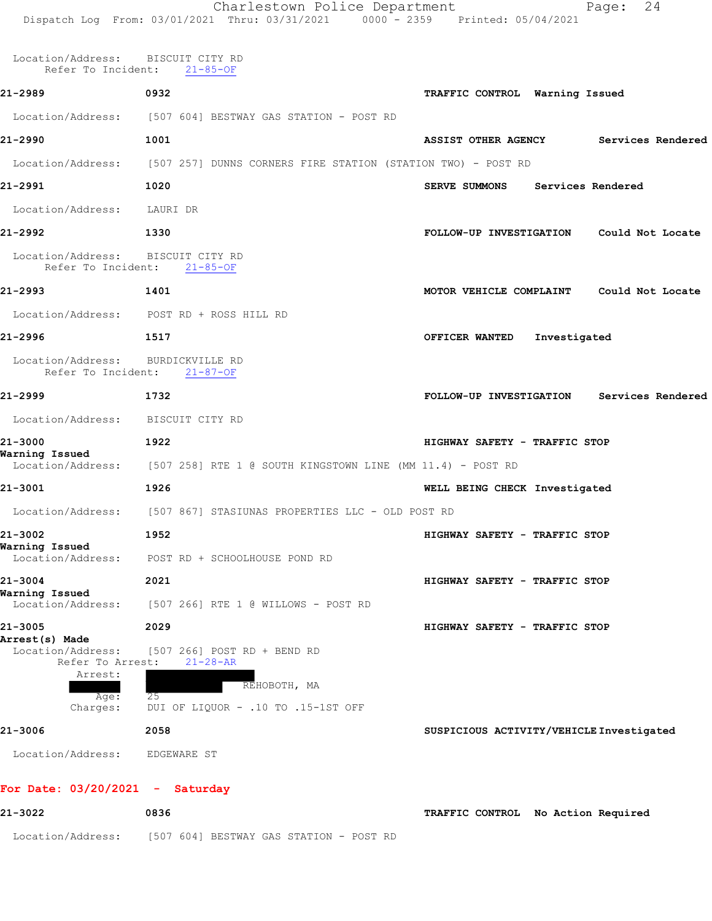Location/Address: BISCUIT CITY RD Refer To Incident: 21-85-OF **21-2989 0932 TRAFFIC CONTROL Warning Issued** Location/Address: [507 604] BESTWAY GAS STATION - POST RD **21-2990 1001 ASSIST OTHER AGENCY Services Rendered** Location/Address: [507 257] DUNNS CORNERS FIRE STATION (STATION TWO) - POST RD **21-2991 1020 SERVE SUMMONS Services Rendered** Location/Address: LAURI DR **21-2992 1330 FOLLOW-UP INVESTIGATION Could Not Locate** Location/Address: BISCUIT CITY RD<br>Refer To Incident: 21-85-OF Refer To Incident: **21-2993 1401 MOTOR VEHICLE COMPLAINT Could Not Locate** Location/Address: POST RD + ROSS HILL RD **21-2996 1517 OFFICER WANTED Investigated** Location/Address: BURDICKVILLE RD<br>Refer To Incident: 21-87-OF Refer To Incident: **21-2999 1732 FOLLOW-UP INVESTIGATION Services Rendered** Location/Address: BISCUIT CITY RD **21-3000 1922 HIGHWAY SAFETY - TRAFFIC STOP Warning Issued**  Location/Address: [507 258] RTE 1 @ SOUTH KINGSTOWN LINE (MM 11.4) - POST RD **21-3001 1926 WELL BEING CHECK Investigated** Location/Address: [507 867] STASIUNAS PROPERTIES LLC - OLD POST RD **21-3002 1952 HIGHWAY SAFETY - TRAFFIC STOP Warning Issued**  Location/Address: POST RD + SCHOOLHOUSE POND RD **21-3004 2021 HIGHWAY SAFETY - TRAFFIC STOP Warning Issued**  Location/Address: [507 266] RTE 1 @ WILLOWS - POST RD **21-3005 2029 HIGHWAY SAFETY - TRAFFIC STOP Arrest(s) Made**  Location/Address: [507 266] POST RD + BEND RD Refer To Arrest: 21-28-AR Arrest: REHOBOTH, MA Age:<br>Charges: DUI OF LIQUOR - .10 TO .15-1ST OFF **21-3006 2058 SUSPICIOUS ACTIVITY/VEHICLE Investigated** Location/Address: EDGEWARE ST **For Date: 03/20/2021 - Saturday**

| 21-3022           | 0836                                    | TRAFFIC CONTROL No Action Required |
|-------------------|-----------------------------------------|------------------------------------|
| Location/Address: | [507 604] BESTWAY GAS STATION - POST RD |                                    |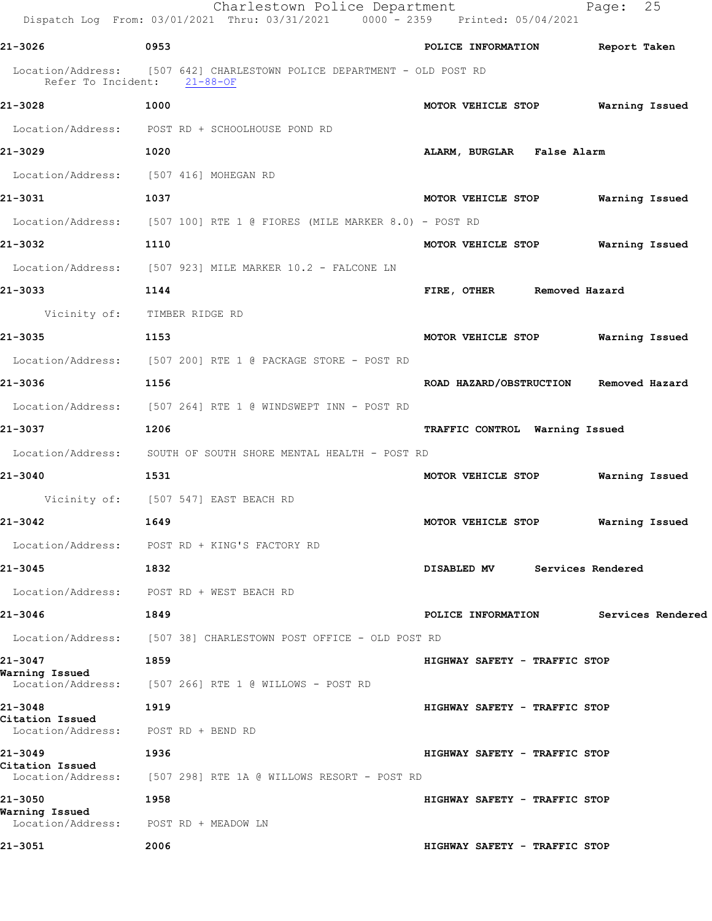|                            | Charlestown Police Department<br>Dispatch Log From: 03/01/2021 Thru: 03/31/2021 0000 - 2359 Printed: 05/04/2021 | Page: 25                                |  |
|----------------------------|-----------------------------------------------------------------------------------------------------------------|-----------------------------------------|--|
| 21-3026                    | 0953                                                                                                            | POLICE INFORMATION Report Taken         |  |
|                            | Location/Address: [507 642] CHARLESTOWN POLICE DEPARTMENT - OLD POST RD<br>Refer To Incident: 21-88-OF          |                                         |  |
| 21-3028                    | 1000                                                                                                            | MOTOR VEHICLE STOP Warning Issued       |  |
|                            | Location/Address: POST RD + SCHOOLHOUSE POND RD                                                                 |                                         |  |
| 21-3029                    | 1020                                                                                                            | ALARM, BURGLAR False Alarm              |  |
|                            | Location/Address: [507 416] MOHEGAN RD                                                                          |                                         |  |
| 21-3031                    | 1037                                                                                                            | MOTOR VEHICLE STOP Warning Issued       |  |
|                            | Location/Address: [507 100] RTE 1 @ FIORES (MILE MARKER 8.0) - POST RD                                          |                                         |  |
| 21-3032                    | 1110                                                                                                            | MOTOR VEHICLE STOP Warning Issued       |  |
|                            | Location/Address: [507 923] MILE MARKER 10.2 - FALCONE LN                                                       |                                         |  |
| 21-3033                    | 1144                                                                                                            | FIRE, OTHER Removed Hazard              |  |
|                            | Vicinity of: TIMBER RIDGE RD                                                                                    |                                         |  |
| 21-3035                    | 1153                                                                                                            | MOTOR VEHICLE STOP Warning Issued       |  |
|                            | Location/Address: [507 200] RTE 1 @ PACKAGE STORE - POST RD                                                     |                                         |  |
| 21-3036                    | 1156                                                                                                            | ROAD HAZARD/OBSTRUCTION Removed Hazard  |  |
|                            | Location/Address: [507 264] RTE 1 @ WINDSWEPT INN - POST RD                                                     |                                         |  |
| 21-3037                    | 1206                                                                                                            | TRAFFIC CONTROL Warning Issued          |  |
|                            | Location/Address: SOUTH OF SOUTH SHORE MENTAL HEALTH - POST RD                                                  |                                         |  |
| 21-3040                    | 1531                                                                                                            | MOTOR VEHICLE STOP Warning Issued       |  |
|                            | Vicinity of: [507 547] EAST BEACH RD                                                                            |                                         |  |
| 21-3042                    | 1649                                                                                                            | MOTOR VEHICLE STOP<br>Warning Issued    |  |
|                            | Location/Address: POST RD + KING'S FACTORY RD                                                                   |                                         |  |
| 21-3045                    | 1832                                                                                                            | DISABLED MV Services Rendered           |  |
|                            | Location/Address: POST RD + WEST BEACH RD                                                                       |                                         |  |
| 21-3046                    | 1849                                                                                                            | POLICE INFORMATION<br>Services Rendered |  |
|                            | Location/Address: [507 38] CHARLESTOWN POST OFFICE - OLD POST RD                                                |                                         |  |
| 21-3047<br>Warning Issued  | 1859                                                                                                            | HIGHWAY SAFETY - TRAFFIC STOP           |  |
| Location/Address:          | [507 266] RTE 1 @ WILLOWS - POST RD                                                                             |                                         |  |
| 21-3048<br>Citation Issued | 1919                                                                                                            | HIGHWAY SAFETY - TRAFFIC STOP           |  |
| Location/Address:          | POST RD + BEND RD                                                                                               |                                         |  |
| 21-3049<br>Citation Issued | 1936                                                                                                            | HIGHWAY SAFETY - TRAFFIC STOP           |  |
| Location/Address:          | [507 298] RTE 1A @ WILLOWS RESORT - POST RD                                                                     |                                         |  |
| 21-3050<br>Warning Issued  | 1958                                                                                                            | HIGHWAY SAFETY - TRAFFIC STOP           |  |
| Location/Address:          | POST RD + MEADOW LN                                                                                             |                                         |  |
| 21-3051                    | 2006                                                                                                            | HIGHWAY SAFETY - TRAFFIC STOP           |  |
|                            |                                                                                                                 |                                         |  |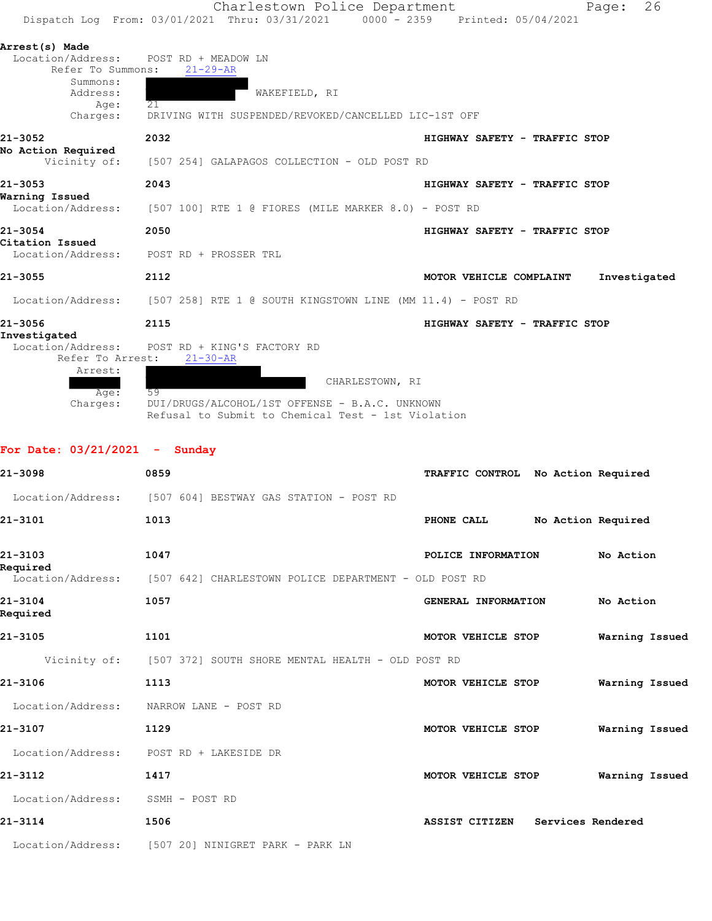|                                                                              |                                                        | Charlestown Police Department |                 |                                 | Page:        | 26 |
|------------------------------------------------------------------------------|--------------------------------------------------------|-------------------------------|-----------------|---------------------------------|--------------|----|
| Dispatch Log From: 03/01/2021 Thru: 03/31/2021                               |                                                        |                               |                 | 0000 - 2359 Printed: 05/04/2021 |              |    |
| Arrest(s) Made                                                               |                                                        |                               |                 |                                 |              |    |
| Location/Address:                                                            | POST RD + MEADOW LN                                    |                               |                 |                                 |              |    |
| Refer To Summons:                                                            | $21 - 29 - AR$                                         |                               |                 |                                 |              |    |
| Summons:<br>Address:                                                         |                                                        | WAKEFIELD, RI                 |                 |                                 |              |    |
| Age:                                                                         | 21                                                     |                               |                 |                                 |              |    |
| Charges:                                                                     | DRIVING WITH SUSPENDED/REVOKED/CANCELLED LIC-1ST OFF   |                               |                 |                                 |              |    |
| 21-3052                                                                      | 2032                                                   |                               |                 | HIGHWAY SAFETY - TRAFFIC STOP   |              |    |
| No Action Required                                                           |                                                        |                               |                 |                                 |              |    |
| Vicinity of:                                                                 | [507 254] GALAPAGOS COLLECTION - OLD POST RD           |                               |                 |                                 |              |    |
| $21 - 3053$                                                                  | 2043                                                   |                               |                 | HIGHWAY SAFETY - TRAFFIC STOP   |              |    |
| Warning Issued                                                               |                                                        |                               |                 |                                 |              |    |
| Location/Address:                                                            | $[507 100]$ RTE 1 @ FIORES (MILE MARKER 8.0) - POST RD |                               |                 |                                 |              |    |
| 21-3054                                                                      | 2050                                                   |                               |                 | HIGHWAY SAFETY - TRAFFIC STOP   |              |    |
| Citation Issued                                                              |                                                        |                               |                 |                                 |              |    |
| Location/Address:                                                            | POST RD + PROSSER TRL                                  |                               |                 |                                 |              |    |
| $21 - 3055$                                                                  | 2112                                                   |                               |                 | MOTOR VEHICLE COMPLAINT         | Investigated |    |
| Location/Address: [507 258] RTE 1 @ SOUTH KINGSTOWN LINE (MM 11.4) - POST RD |                                                        |                               |                 |                                 |              |    |
| 21-3056                                                                      | 2115                                                   |                               |                 | HIGHWAY SAFETY - TRAFFIC STOP   |              |    |
| Investigated                                                                 |                                                        |                               |                 |                                 |              |    |
| Location/Address:                                                            | POST RD + KING'S FACTORY RD                            |                               |                 |                                 |              |    |
| Refer To Arrest:                                                             | $21 - 30 - AR$                                         |                               |                 |                                 |              |    |
| Arrest:                                                                      |                                                        |                               |                 |                                 |              |    |
| Age:                                                                         | 59                                                     |                               | CHARLESTOWN, RI |                                 |              |    |
|                                                                              |                                                        |                               |                 |                                 |              |    |

 Charges: DUI/DRUGS/ALCOHOL/1ST OFFENSE - B.A.C. UNKNOWN Refusal to Submit to Chemical Test - 1st Violation

| For Date: $03/21/2021 -$ Sunday |                                                                |                                     |                |
|---------------------------------|----------------------------------------------------------------|-------------------------------------|----------------|
| 21-3098                         | 0859                                                           | TRAFFIC CONTROL No Action Required  |                |
|                                 | Location/Address: [507 604] BESTWAY GAS STATION - POST RD      |                                     |                |
| 21-3101                         | 1013                                                           | No Action Required<br>PHONE CALL    |                |
| 21-3103<br>Required             | 1047                                                           | POLICE INFORMATION                  | No Action      |
| Location/Address:               | [507 642] CHARLESTOWN POLICE DEPARTMENT - OLD POST RD          |                                     |                |
| 21-3104<br>Required             | 1057                                                           | GENERAL INFORMATION                 | No Action      |
| 21-3105                         | 1101                                                           | MOTOR VEHICLE STOP                  | Warning Issued |
|                                 | Vicinity of: [507 372] SOUTH SHORE MENTAL HEALTH - OLD POST RD |                                     |                |
| 21-3106                         | 1113                                                           | MOTOR VEHICLE STOP                  | Warning Issued |
| Location/Address:               | NARROW LANE - POST RD                                          |                                     |                |
| 21-3107                         | 1129                                                           | MOTOR VEHICLE STOP                  | Warning Issued |
| Location/Address:               | POST RD + LAKESIDE DR                                          |                                     |                |
| 21-3112                         | 1417                                                           | MOTOR VEHICLE STOP                  | Warning Issued |
| Location/Address:               | SSMH - POST RD                                                 |                                     |                |
| 21-3114                         | 1506                                                           | ASSIST CITIZEN<br>Services Rendered |                |
|                                 | Location/Address: [507 20] NINIGRET PARK - PARK LN             |                                     |                |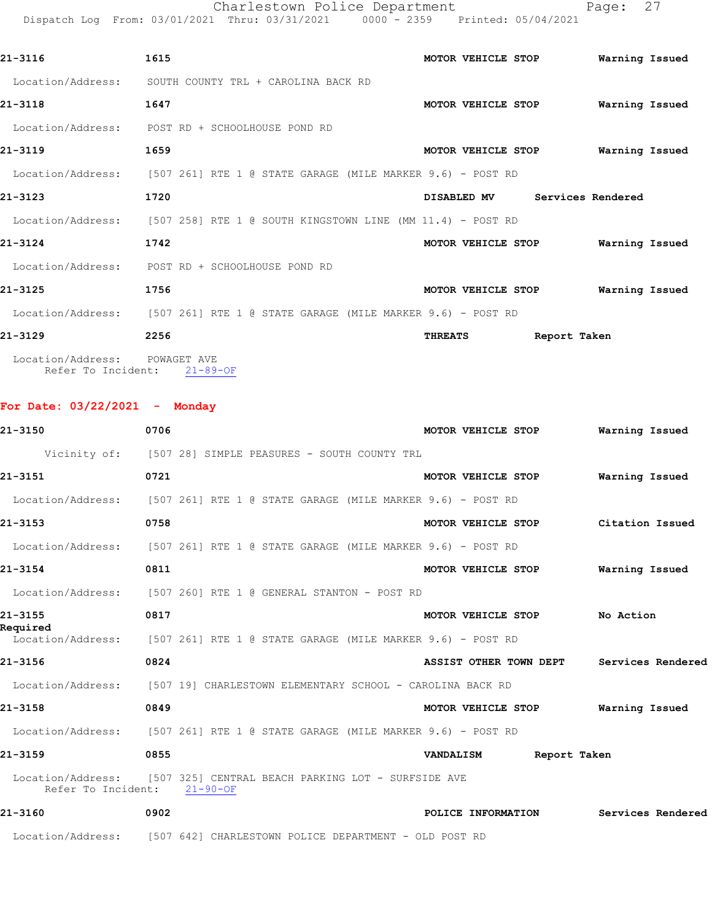Charlestown Police Department Fage: 27

Dispatch Log From: 03/01/2021 Thru: 03/31/2021 0000 - 2359 Printed: 05/04/2021

| 21-3116                                                      | 1615                                                                         |                | MOTOR VEHICLE STOP |              | Warning Issued    |  |
|--------------------------------------------------------------|------------------------------------------------------------------------------|----------------|--------------------|--------------|-------------------|--|
| Location/Address:                                            | SOUTH COUNTY TRL + CAROLINA BACK RD                                          |                |                    |              |                   |  |
| 21-3118                                                      | 1647                                                                         |                | MOTOR VEHICLE STOP |              | Warning Issued    |  |
| Location/Address:                                            | POST RD + SCHOOLHOUSE POND RD                                                |                |                    |              |                   |  |
| 21-3119                                                      | 1659                                                                         |                | MOTOR VEHICLE STOP |              | Warning Issued    |  |
|                                                              | Location/Address: [507 261] RTE 1 @ STATE GARAGE (MILE MARKER 9.6) - POST RD |                |                    |              |                   |  |
| 21-3123                                                      | 1720                                                                         |                | <b>DISABLED MV</b> |              | Services Rendered |  |
|                                                              | Location/Address: [507 258] RTE 1 @ SOUTH KINGSTOWN LINE (MM 11.4) - POST RD |                |                    |              |                   |  |
| 21-3124                                                      | 1742                                                                         |                | MOTOR VEHICLE STOP |              | Warning Issued    |  |
|                                                              | Location/Address: POST RD + SCHOOLHOUSE POND RD                              |                |                    |              |                   |  |
| 21-3125                                                      | 1756                                                                         |                | MOTOR VEHICLE STOP |              | Warning Issued    |  |
|                                                              | Location/Address: [507 261] RTE 1 @ STATE GARAGE (MILE MARKER 9.6) - POST RD |                |                    |              |                   |  |
| 21-3129                                                      | 2256                                                                         | <b>THREATS</b> |                    | Report Taken |                   |  |
| Location/Address: POWAGET AVE<br>Refer To Incident: 21-89-OF |                                                                              |                |                    |              |                   |  |

**For Date: 03/22/2021 - Monday**

| 21-3150                     | 0706 |                                                                              | MOTOR VEHICLE STOP                 | Warning Issued    |  |
|-----------------------------|------|------------------------------------------------------------------------------|------------------------------------|-------------------|--|
|                             |      | Vicinity of: [507 28] SIMPLE PEASURES - SOUTH COUNTY TRL                     |                                    |                   |  |
| 21-3151                     | 0721 |                                                                              | MOTOR VEHICLE STOP                 | Warning Issued    |  |
|                             |      | Location/Address: [507 261] RTE 1 @ STATE GARAGE (MILE MARKER 9.6) - POST RD |                                    |                   |  |
| 21-3153                     | 0758 |                                                                              | MOTOR VEHICLE STOP Citation Issued |                   |  |
|                             |      | Location/Address: [507 261] RTE 1 @ STATE GARAGE (MILE MARKER 9.6) - POST RD |                                    |                   |  |
| 21-3154                     | 0811 |                                                                              | MOTOR VEHICLE STOP                 | Warning Issued    |  |
|                             |      | Location/Address: [507 260] RTE 1 @ GENERAL STANTON - POST RD                |                                    |                   |  |
| 21-3155<br>Required         | 0817 |                                                                              | MOTOR VEHICLE STOP No Action       |                   |  |
|                             |      | Location/Address: [507 261] RTE 1 @ STATE GARAGE (MILE MARKER 9.6) - POST RD |                                    |                   |  |
| 21-3156                     | 0824 |                                                                              | ASSIST OTHER TOWN DEPT             | Services Rendered |  |
|                             |      | Location/Address: [507 19] CHARLESTOWN ELEMENTARY SCHOOL - CAROLINA BACK RD  |                                    |                   |  |
| 21-3158                     | 0849 |                                                                              | MOTOR VEHICLE STOP                 | Warning Issued    |  |
|                             |      | Location/Address: [507 261] RTE 1 @ STATE GARAGE (MILE MARKER 9.6) - POST RD |                                    |                   |  |
| 21-3159                     | 0855 |                                                                              | VANDALISM Report Taken             |                   |  |
| Refer To Incident: 21-90-OF |      | Location/Address: [507 325] CENTRAL BEACH PARKING LOT - SURFSIDE AVE         |                                    |                   |  |
| 21-3160                     | 0902 |                                                                              | POLICE INFORMATION                 | Services Rendered |  |
|                             |      | Location/Address: [507 642] CHARLESTOWN POLICE DEPARTMENT - OLD POST RD      |                                    |                   |  |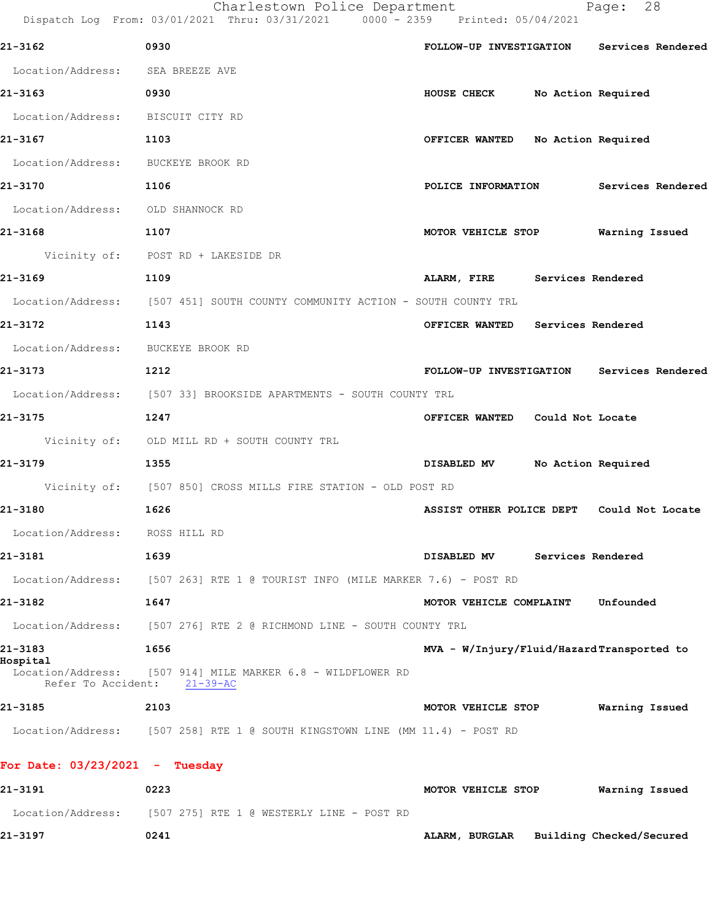Charlestown Police Department Fage: 28

Dispatch Log From: 03/01/2021 Thru: 03/31/2021 0000 - 2359 Printed: 05/04/2021

| 21-3162                                 | 0930                                                                         |                                           |                    | FOLLOW-UP INVESTIGATION Services Rendered |
|-----------------------------------------|------------------------------------------------------------------------------|-------------------------------------------|--------------------|-------------------------------------------|
| Location/Address: SEA BREEZE AVE        |                                                                              |                                           |                    |                                           |
| 21-3163                                 | 0930                                                                         | HOUSE CHECK                               | No Action Required |                                           |
| Location/Address: BISCUIT CITY RD       |                                                                              |                                           |                    |                                           |
| 21-3167                                 | 1103                                                                         | OFFICER WANTED No Action Required         |                    |                                           |
| Location/Address: BUCKEYE BROOK RD      |                                                                              |                                           |                    |                                           |
| 21-3170                                 | 1106                                                                         |                                           |                    | POLICE INFORMATION Services Rendered      |
| Location/Address: OLD SHANNOCK RD       |                                                                              |                                           |                    |                                           |
| 21-3168                                 | 1107                                                                         | MOTOR VEHICLE STOP                        |                    | Warning Issued                            |
|                                         | Vicinity of: POST RD + LAKESIDE DR                                           |                                           |                    |                                           |
| 21-3169                                 | 1109                                                                         | ALARM, FIRE Services Rendered             |                    |                                           |
|                                         | Location/Address: [507 451] SOUTH COUNTY COMMUNITY ACTION - SOUTH COUNTY TRL |                                           |                    |                                           |
| 21-3172                                 | 1143                                                                         | OFFICER WANTED Services Rendered          |                    |                                           |
| Location/Address: BUCKEYE BROOK RD      |                                                                              |                                           |                    |                                           |
| 21-3173                                 | 1212                                                                         |                                           |                    | FOLLOW-UP INVESTIGATION Services Rendered |
|                                         | Location/Address: [507 33] BROOKSIDE APARTMENTS - SOUTH COUNTY TRL           |                                           |                    |                                           |
| 21-3175                                 | 1247                                                                         | OFFICER WANTED Could Not Locate           |                    |                                           |
|                                         | Vicinity of: OLD MILL RD + SOUTH COUNTY TRL                                  |                                           |                    |                                           |
| 21-3179                                 | 1355                                                                         | <b>DISABLED MV</b>                        | No Action Required |                                           |
|                                         | Vicinity of: [507 850] CROSS MILLS FIRE STATION - OLD POST RD                |                                           |                    |                                           |
| 21-3180                                 | 1626                                                                         | ASSIST OTHER POLICE DEPT Could Not Locate |                    |                                           |
| Location/Address: ROSS HILL RD          |                                                                              |                                           |                    |                                           |
| 21–3181                                 | 1639                                                                         | DISABLED MV                               | Services Rendered  |                                           |
|                                         | Location/Address: [507 263] RTE 1 @ TOURIST INFO (MILE MARKER 7.6) - POST RD |                                           |                    |                                           |
| 21-3182                                 | 1647                                                                         | MOTOR VEHICLE COMPLAINT                   |                    | Unfounded                                 |
| Location/Address:                       | [507 276] RTE 2 @ RICHMOND LINE - SOUTH COUNTY TRL                           |                                           |                    |                                           |
| 21-3183                                 | 1656                                                                         | MVA - W/Injury/Fluid/HazardTransported to |                    |                                           |
| Hospital<br>Refer To Accident: 21-39-AC | Location/Address: [507 914] MILE MARKER 6.8 - WILDFLOWER RD                  |                                           |                    |                                           |
| 21-3185                                 | 2103                                                                         | MOTOR VEHICLE STOP                        |                    | Warning Issued                            |
|                                         | Location/Address: [507 258] RTE 1 @ SOUTH KINGSTOWN LINE (MM 11.4) - POST RD |                                           |                    |                                           |
| For Date: $03/23/2021$ - Tuesday        |                                                                              |                                           |                    |                                           |
| 21-3191                                 | 0223                                                                         | MOTOR VEHICLE STOP                        |                    | Warning Issued                            |
|                                         | Location/Address: [507 275] RTE 1 @ WESTERLY LINE - POST RD                  |                                           |                    |                                           |
| 21-3197                                 | 0241                                                                         | ALARM, BURGLAR Building Checked/Secured   |                    |                                           |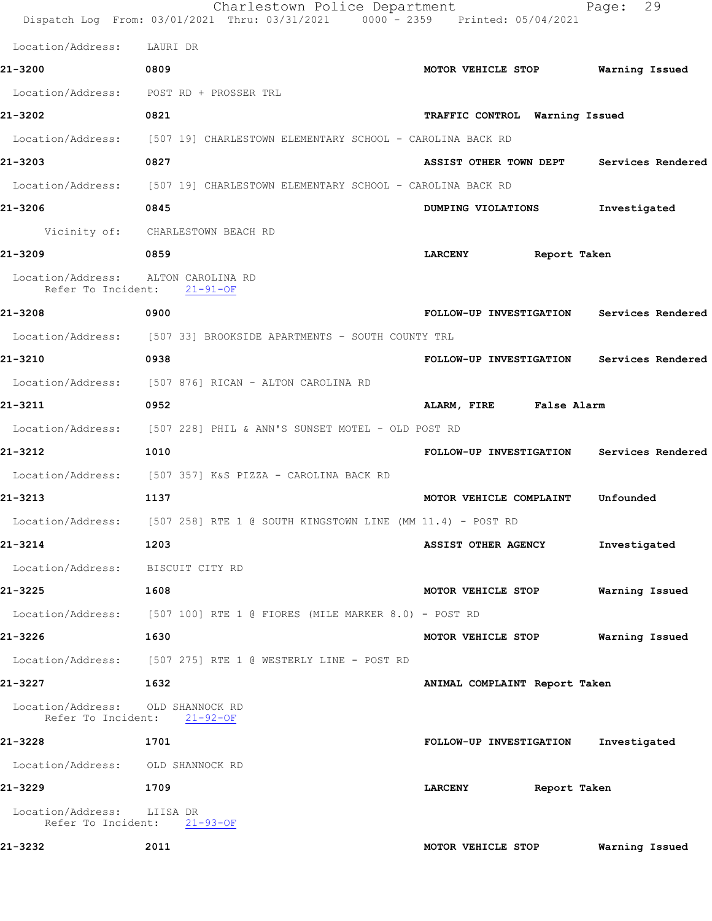|                                                                    | Charlestown Police Department<br>Dispatch Log From: 03/01/2021 Thru: 03/31/2021 0000 - 2359 Printed: 05/04/2021 |                                           | 29<br>Page:    |
|--------------------------------------------------------------------|-----------------------------------------------------------------------------------------------------------------|-------------------------------------------|----------------|
| Location/Address: LAURI DR                                         |                                                                                                                 |                                           |                |
| 21-3200                                                            | 0809                                                                                                            | MOTOR VEHICLE STOP Warning Issued         |                |
|                                                                    | Location/Address: POST RD + PROSSER TRL                                                                         |                                           |                |
| 21-3202                                                            | 0821                                                                                                            | TRAFFIC CONTROL Warning Issued            |                |
|                                                                    | Location/Address: [507 19] CHARLESTOWN ELEMENTARY SCHOOL - CAROLINA BACK RD                                     |                                           |                |
| 21-3203                                                            | 0827                                                                                                            | ASSIST OTHER TOWN DEPT Services Rendered  |                |
|                                                                    | Location/Address: [507 19] CHARLESTOWN ELEMENTARY SCHOOL - CAROLINA BACK RD                                     |                                           |                |
| 21-3206                                                            | 0845                                                                                                            | DUMPING VIOLATIONS                        | Investigated   |
|                                                                    | Vicinity of: CHARLESTOWN BEACH RD                                                                               |                                           |                |
| 21-3209                                                            | 0859                                                                                                            | <b>LARCENY</b><br>Report Taken            |                |
| Location/Address: ALTON CAROLINA RD<br>Refer To Incident: 21-91-OF |                                                                                                                 |                                           |                |
| 21-3208                                                            | 0900                                                                                                            | FOLLOW-UP INVESTIGATION Services Rendered |                |
|                                                                    | Location/Address: [507 33] BROOKSIDE APARTMENTS - SOUTH COUNTY TRL                                              |                                           |                |
| 21-3210                                                            | 0938                                                                                                            | FOLLOW-UP INVESTIGATION Services Rendered |                |
|                                                                    | Location/Address: [507 876] RICAN - ALTON CAROLINA RD                                                           |                                           |                |
| 21-3211                                                            | 0952                                                                                                            | ALARM, FIRE False Alarm                   |                |
|                                                                    | Location/Address: [507 228] PHIL & ANN'S SUNSET MOTEL - OLD POST RD                                             |                                           |                |
| 21-3212                                                            | 1010                                                                                                            | FOLLOW-UP INVESTIGATION Services Rendered |                |
|                                                                    | Location/Address: [507 357] K&S PIZZA - CAROLINA BACK RD                                                        |                                           |                |
| 21-3213                                                            | 1137                                                                                                            | MOTOR VEHICLE COMPLAINT                   | Unfounded      |
|                                                                    | Location/Address: [507 258] RTE 1 @ SOUTH KINGSTOWN LINE (MM 11.4) - POST RD                                    |                                           |                |
| 21-3214                                                            | 1203                                                                                                            | <b>ASSIST OTHER AGENCY</b>                | Investigated   |
| Location/Address: BISCUIT CITY RD                                  |                                                                                                                 |                                           |                |
| 21-3225                                                            | 1608                                                                                                            | MOTOR VEHICLE STOP                        | Warning Issued |
|                                                                    | Location/Address: [507 100] RTE 1 @ FIORES (MILE MARKER 8.0) - POST RD                                          |                                           |                |
| 21-3226                                                            | 1630                                                                                                            | MOTOR VEHICLE STOP                        | Warning Issued |
|                                                                    | Location/Address: [507 275] RTE 1 @ WESTERLY LINE - POST RD                                                     |                                           |                |
| 21-3227                                                            | 1632                                                                                                            | ANIMAL COMPLAINT Report Taken             |                |
| Location/Address: OLD SHANNOCK RD<br>Refer To Incident: 21-92-OF   |                                                                                                                 |                                           |                |
| 21-3228                                                            | 1701                                                                                                            | FOLLOW-UP INVESTIGATION Investigated      |                |
| Location/Address: OLD SHANNOCK RD                                  |                                                                                                                 |                                           |                |
| 21-3229                                                            | 1709                                                                                                            | Report Taken<br><b>LARCENY</b>            |                |
| Location/Address: LIISA DR<br>Refer To Incident: 21-93-OF          |                                                                                                                 |                                           |                |
| 21-3232                                                            | 2011                                                                                                            | MOTOR VEHICLE STOP                        | Warning Issued |
|                                                                    |                                                                                                                 |                                           |                |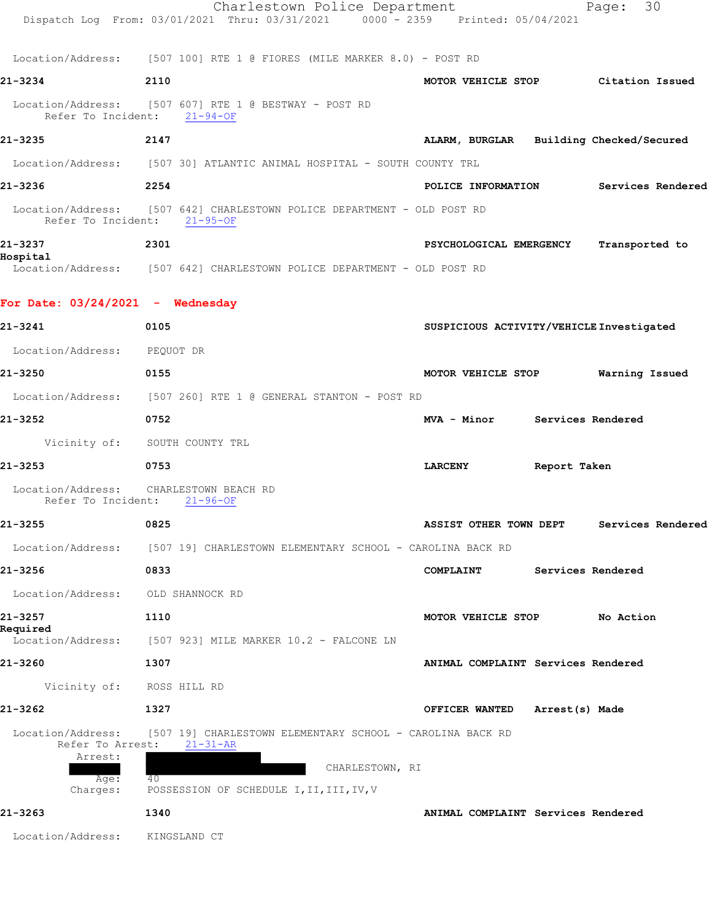|                                                  | Charlestown Police Department<br>Dispatch Log From: 03/01/2021 Thru: 03/31/2021 0000 - 2359 Printed: 05/04/2021 |                                          |                | 30<br>Page:                          |
|--------------------------------------------------|-----------------------------------------------------------------------------------------------------------------|------------------------------------------|----------------|--------------------------------------|
|                                                  | Location/Address: [507 100] RTE 1 @ FIORES (MILE MARKER 8.0) - POST RD                                          |                                          |                |                                      |
| 21-3234                                          | 2110                                                                                                            |                                          |                | MOTOR VEHICLE STOP Citation Issued   |
|                                                  | Location/Address: [507 607] RTE 1 @ BESTWAY - POST RD<br>Refer To Incident: 21-94-OF                            |                                          |                |                                      |
| 21-3235                                          | 2147                                                                                                            | ALARM, BURGLAR Building Checked/Secured  |                |                                      |
|                                                  | Location/Address: [507 30] ATLANTIC ANIMAL HOSPITAL - SOUTH COUNTY TRL                                          |                                          |                |                                      |
| 21-3236                                          | 2254                                                                                                            |                                          |                | POLICE INFORMATION Services Rendered |
|                                                  | Location/Address: [507 642] CHARLESTOWN POLICE DEPARTMENT - OLD POST RD<br>Refer To Incident: 21-95-OF          |                                          |                |                                      |
| 21-3237                                          | 2301                                                                                                            | PSYCHOLOGICAL EMERGENCY                  |                | Transported to                       |
| Hospital                                         | Location/Address: [507 642] CHARLESTOWN POLICE DEPARTMENT - OLD POST RD                                         |                                          |                |                                      |
| For Date: $03/24/2021$ - Wednesday               |                                                                                                                 |                                          |                |                                      |
| 21-3241                                          | 0105                                                                                                            | SUSPICIOUS ACTIVITY/VEHICLE Investigated |                |                                      |
| Location/Address: PEQUOT DR                      |                                                                                                                 |                                          |                |                                      |
| 21-3250                                          | 0155                                                                                                            | MOTOR VEHICLE STOP Warning Issued        |                |                                      |
|                                                  | Location/Address: [507 260] RTE 1 @ GENERAL STANTON - POST RD                                                   |                                          |                |                                      |
| 21-3252                                          | 0752                                                                                                            | MVA - Minor Services Rendered            |                |                                      |
|                                                  | Vicinity of: SOUTH COUNTY TRL                                                                                   |                                          |                |                                      |
| 21-3253                                          | 0753                                                                                                            | <b>LARCENY</b>                           | Report Taken   |                                      |
| Refer To Incident:                               | Location/Address: CHARLESTOWN BEACH RD<br>$21 - 96 - OF$                                                        |                                          |                |                                      |
| 21-3255                                          | 0825                                                                                                            | ASSIST OTHER TOWN DEPT                   |                | Services Rendered                    |
| Location/Address:                                | [507 19] CHARLESTOWN ELEMENTARY SCHOOL - CAROLINA BACK RD                                                       |                                          |                |                                      |
| 21-3256                                          | 0833                                                                                                            | COMPLAINT                                |                | Services Rendered                    |
| Location/Address:                                | OLD SHANNOCK RD                                                                                                 |                                          |                |                                      |
| 21-3257<br>Required                              | 1110                                                                                                            | MOTOR VEHICLE STOP                       |                | No Action                            |
|                                                  | Location/Address: [507 923] MILE MARKER 10.2 - FALCONE LN                                                       |                                          |                |                                      |
| 21-3260                                          | 1307                                                                                                            | ANIMAL COMPLAINT Services Rendered       |                |                                      |
| Vicinity of:                                     | ROSS HILL RD                                                                                                    |                                          |                |                                      |
| 21-3262                                          | 1327                                                                                                            | OFFICER WANTED                           | Arrest(s) Made |                                      |
| Location/Address:<br>Refer To Arrest:<br>Arrest: | [507 19] CHARLESTOWN ELEMENTARY SCHOOL - CAROLINA BACK RD<br>$21 - 31 - AR$                                     |                                          |                |                                      |
| Age:<br>Charges:                                 | CHARLESTOWN, RI<br>40<br>POSSESSION OF SCHEDULE I, II, III, IV, V                                               |                                          |                |                                      |
| 21-3263                                          | 1340                                                                                                            | ANIMAL COMPLAINT Services Rendered       |                |                                      |
| Location/Address:                                | KINGSLAND CT                                                                                                    |                                          |                |                                      |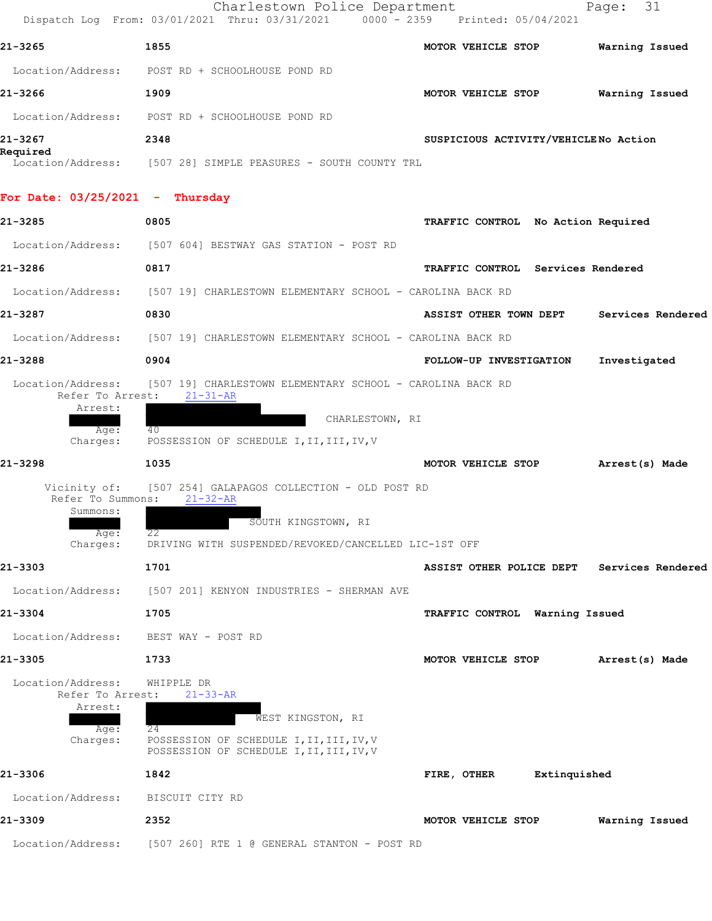|                                                  | Charlestown Police Department<br>Dispatch Log From: 03/01/2021 Thru: 03/31/2021      | 0000 - 2359 Printed: 05/04/2021      | - 31<br>Page:     |
|--------------------------------------------------|--------------------------------------------------------------------------------------|--------------------------------------|-------------------|
| 21-3265                                          | 1855                                                                                 | MOTOR VEHICLE STOP                   | Warning Issued    |
|                                                  | Location/Address: POST RD + SCHOOLHOUSE POND RD                                      |                                      |                   |
| 21-3266                                          | 1909                                                                                 | MOTOR VEHICLE STOP                   | Warning Issued    |
| Location/Address:                                | POST RD + SCHOOLHOUSE POND RD                                                        |                                      |                   |
| 21-3267                                          | 2348                                                                                 | SUSPICIOUS ACTIVITY/VEHICLENO Action |                   |
| Required                                         | Location/Address: [507 28] SIMPLE PEASURES - SOUTH COUNTY TRL                        |                                      |                   |
| For Date: 03/25/2021 - Thursday                  |                                                                                      |                                      |                   |
| 21-3285                                          | 0805                                                                                 | TRAFFIC CONTROL No Action Required   |                   |
|                                                  | Location/Address: [507 604] BESTWAY GAS STATION - POST RD                            |                                      |                   |
| 21-3286                                          | 0817                                                                                 | TRAFFIC CONTROL Services Rendered    |                   |
| Location/Address:                                | [507 19] CHARLESTOWN ELEMENTARY SCHOOL - CAROLINA BACK RD                            |                                      |                   |
| 21-3287                                          | 0830                                                                                 | ASSIST OTHER TOWN DEPT               | Services Rendered |
| Location/Address:                                | [507 19] CHARLESTOWN ELEMENTARY SCHOOL - CAROLINA BACK RD                            |                                      |                   |
| 21-3288                                          | 0904                                                                                 | FOLLOW-UP INVESTIGATION              | Investigated      |
| Refer To Arrest:<br>Arrest:<br>Age:<br>Charges:  | $21 - 31 - AR$<br>CHARLESTOWN, RI<br>40<br>POSSESSION OF SCHEDULE I, II, III, IV, V  |                                      |                   |
| 21-3298                                          | 1035                                                                                 | MOTOR VEHICLE STOP                   | Arrest(s) Made    |
| Vicinity of:<br>Refer To Summons:<br>Summons:    | [507 254] GALAPAGOS COLLECTION - OLD POST RD<br>$21 - 32 - AR$                       |                                      |                   |
| Age:                                             | SOUTH KINGSTOWN, RI<br>22                                                            |                                      |                   |
| Charges:                                         | DRIVING WITH SUSPENDED/REVOKED/CANCELLED LIC-1ST OFF                                 |                                      |                   |
| 21-3303                                          | 1701                                                                                 | ASSIST OTHER POLICE DEPT             | Services Rendered |
| Location/Address:                                | [507 201] KENYON INDUSTRIES - SHERMAN AVE                                            |                                      |                   |
| 21-3304                                          | 1705                                                                                 | TRAFFIC CONTROL Warning Issued       |                   |
| Location/Address:                                | BEST WAY - POST RD                                                                   |                                      |                   |
| 21-3305                                          | 1733                                                                                 | MOTOR VEHICLE STOP                   | Arrest(s) Made    |
| Location/Address:<br>Refer To Arrest:<br>Arrest: | WHIPPLE DR<br>$21 - 33 - AR$                                                         |                                      |                   |
| $Aq$ e:                                          | WEST KINGSTON, RI<br>24                                                              |                                      |                   |
| Charges:                                         | POSSESSION OF SCHEDULE I, II, III, IV, V<br>POSSESSION OF SCHEDULE I, II, III, IV, V |                                      |                   |
| 21-3306                                          | 1842                                                                                 | Extinquished<br>FIRE, OTHER          |                   |
| Location/Address:                                | BISCUIT CITY RD                                                                      |                                      |                   |
| 21-3309                                          | 2352                                                                                 | MOTOR VEHICLE STOP                   | Warning Issued    |
| Location/Address:                                | [507 260] RTE 1 @ GENERAL STANTON - POST RD                                          |                                      |                   |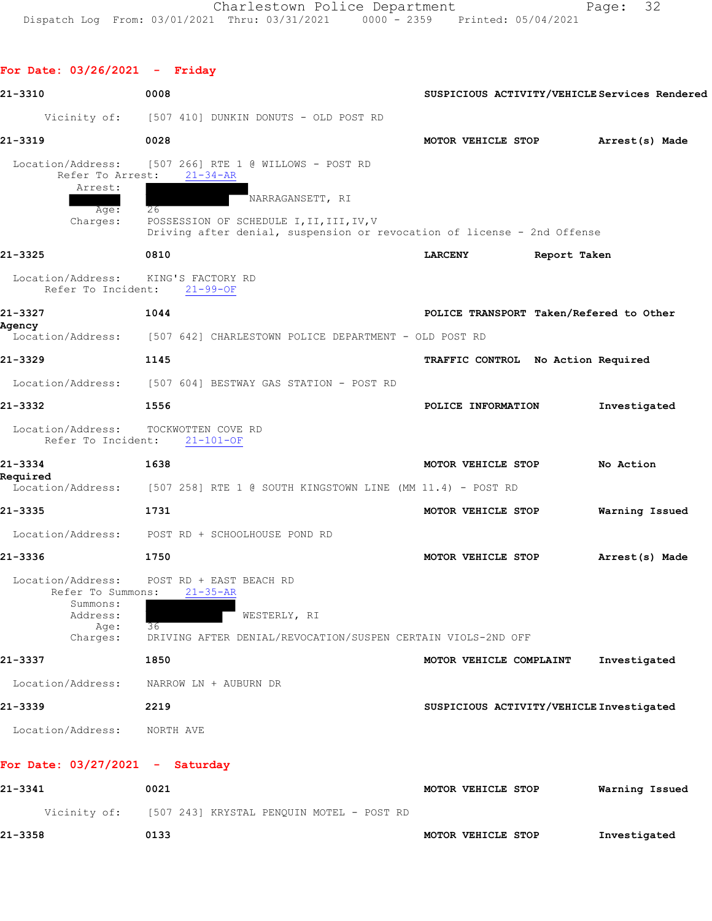**For Date: 03/26/2021 - Friday**

| 21-3310                                            | 0008                                                                                                                                          | SUSPICIOUS ACTIVITY/VEHICLE Services Rendered |                |
|----------------------------------------------------|-----------------------------------------------------------------------------------------------------------------------------------------------|-----------------------------------------------|----------------|
|                                                    | Vicinity of: [507 410] DUNKIN DONUTS - OLD POST RD                                                                                            |                                               |                |
| 21-3319                                            | 0028                                                                                                                                          | MOTOR VEHICLE STOP                            | Arrest(s) Made |
| Location/Address:<br>Refer To Arrest:              | [507 266] RTE 1 @ WILLOWS - POST RD<br>$21 - 34 - AR$                                                                                         |                                               |                |
| Arrest:<br>Age:<br>Charges:                        | NARRAGANSETT, RI<br>26<br>POSSESSION OF SCHEDULE I, II, III, IV, V<br>Driving after denial, suspension or revocation of license - 2nd Offense |                                               |                |
| 21-3325                                            | 0810                                                                                                                                          | <b>LARCENY</b><br>Report Taken                |                |
| Location/Address:<br>Refer To Incident:            | KING'S FACTORY RD<br>$21 - 99 - OF$                                                                                                           |                                               |                |
| 21-3327                                            | 1044                                                                                                                                          | POLICE TRANSPORT Taken/Refered to Other       |                |
| Agency<br>Location/Address:                        | [507 642] CHARLESTOWN POLICE DEPARTMENT - OLD POST RD                                                                                         |                                               |                |
| 21-3329                                            | 1145                                                                                                                                          | TRAFFIC CONTROL No Action Required            |                |
|                                                    | Location/Address: [507 604] BESTWAY GAS STATION - POST RD                                                                                     |                                               |                |
| 21-3332                                            | 1556                                                                                                                                          | POLICE INFORMATION                            | Investigated   |
| Location/Address:<br>Refer To Incident:            | TOCKWOTTEN COVE RD<br>$21 - 101 - OF$                                                                                                         |                                               |                |
| 21-3334<br>Required                                | 1638                                                                                                                                          | MOTOR VEHICLE STOP                            | No Action      |
|                                                    | Location/Address: [507 258] RTE 1 @ SOUTH KINGSTOWN LINE (MM 11.4) - POST RD                                                                  |                                               |                |
| 21-3335                                            | 1731                                                                                                                                          | MOTOR VEHICLE STOP                            | Warning Issued |
| Location/Address:                                  | POST RD + SCHOOLHOUSE POND RD                                                                                                                 |                                               |                |
| 21-3336                                            | 1750                                                                                                                                          | MOTOR VEHICLE STOP                            | Arrest(s) Made |
| Location/Address:<br>Refer To Summons:<br>Summons: | POST RD + EAST BEACH RD<br>$21 - 35 - AR$                                                                                                     |                                               |                |
| Address:<br>Age:                                   | WESTERLY, RI<br>36                                                                                                                            |                                               |                |
| Charges:                                           | DRIVING AFTER DENIAL/REVOCATION/SUSPEN CERTAIN VIOLS-2ND OFF                                                                                  |                                               |                |
| 21-3337                                            | 1850                                                                                                                                          | MOTOR VEHICLE COMPLAINT                       | Investigated   |
| Location/Address:                                  | NARROW LN + AUBURN DR                                                                                                                         |                                               |                |
| 21-3339                                            | 2219                                                                                                                                          | SUSPICIOUS ACTIVITY/VEHICLE Investigated      |                |
| Location/Address:                                  | NORTH AVE                                                                                                                                     |                                               |                |
| For Date: $03/27/2021$ - Saturday                  |                                                                                                                                               |                                               |                |
| 21-3341                                            | 0021                                                                                                                                          | MOTOR VEHICLE STOP                            | Warning Issued |
|                                                    | Vicinity of: [507 243] KRYSTAL PENQUIN MOTEL - POST RD                                                                                        |                                               |                |
| 21-3358                                            | 0133                                                                                                                                          | MOTOR VEHICLE STOP                            | Investigated   |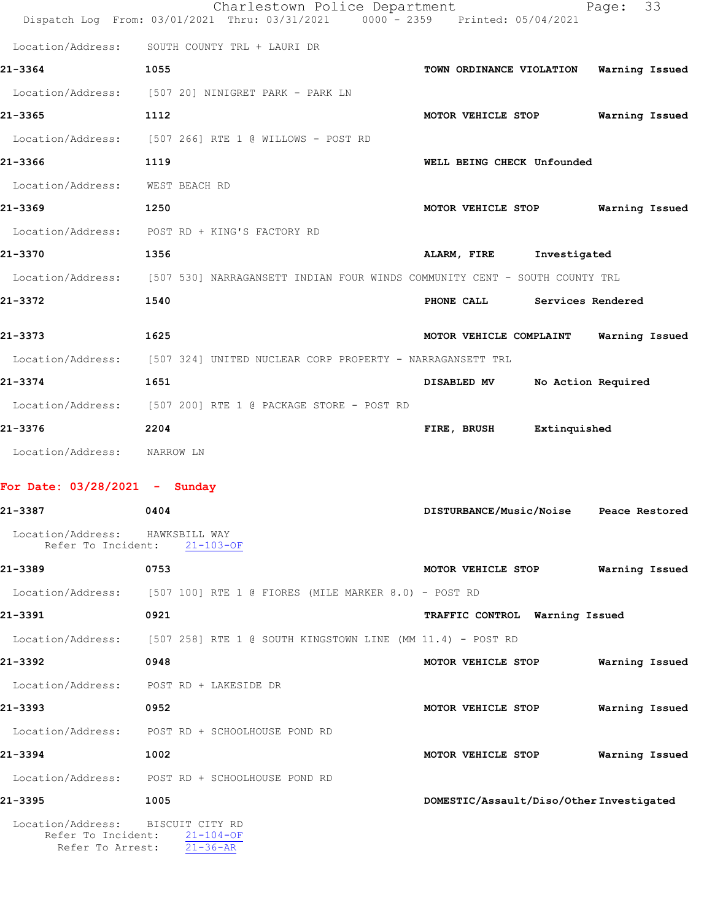|                                                       | Charlestown Police Department<br>Dispatch Log From: 03/01/2021 Thru: 03/31/2021 0000 - 2359 Printed: 05/04/2021 | 33<br>Page:                                      |
|-------------------------------------------------------|-----------------------------------------------------------------------------------------------------------------|--------------------------------------------------|
| Location/Address:                                     | SOUTH COUNTY TRL + LAURI DR                                                                                     |                                                  |
| 21-3364                                               | 1055                                                                                                            | Warning Issued<br>TOWN ORDINANCE VIOLATION       |
| Location/Address:                                     | [507 20] NINIGRET PARK - PARK LN                                                                                |                                                  |
| 21-3365                                               | 1112                                                                                                            | MOTOR VEHICLE STOP<br>Warning Issued             |
| Location/Address:                                     | [507 266] RTE 1 @ WILLOWS - POST RD                                                                             |                                                  |
| 21-3366                                               | 1119                                                                                                            | WELL BEING CHECK Unfounded                       |
| Location/Address: WEST BEACH RD                       |                                                                                                                 |                                                  |
| 21-3369                                               | 1250                                                                                                            | MOTOR VEHICLE STOP<br>Warning Issued             |
| Location/Address:                                     | POST RD + KING'S FACTORY RD                                                                                     |                                                  |
| 21-3370                                               | 1356                                                                                                            | ALARM, FIRE<br>Investigated                      |
| Location/Address:                                     | [507 530] NARRAGANSETT INDIAN FOUR WINDS COMMUNITY CENT - SOUTH COUNTY TRL                                      |                                                  |
| 21-3372                                               | 1540                                                                                                            | PHONE CALL<br>Services Rendered                  |
| 21-3373                                               | 1625                                                                                                            | MOTOR VEHICLE COMPLAINT<br>Warning Issued        |
|                                                       | Location/Address: [507 324] UNITED NUCLEAR CORP PROPERTY - NARRAGANSETT TRL                                     |                                                  |
| 21-3374                                               | 1651                                                                                                            | No Action Required<br>DISABLED MV                |
| Location/Address:                                     | [507 200] RTE 1 @ PACKAGE STORE - POST RD                                                                       |                                                  |
| 21-3376                                               | 2204                                                                                                            | FIRE, BRUSH<br>Extinquished                      |
| Location/Address: NARROW LN                           |                                                                                                                 |                                                  |
| For Date: $03/28/2021$ - Sunday                       |                                                                                                                 |                                                  |
| 21-3387                                               | 0404                                                                                                            | <b>DISTURBANCE/Music/Noise</b><br>Peace Restored |
| Location/Address: HAWKSBILL WAY                       |                                                                                                                 |                                                  |
| Refer To Incident:                                    | $21 - 103 - OF$                                                                                                 |                                                  |
| 21-3389                                               | 0753                                                                                                            | MOTOR VEHICLE STOP<br>Warning Issued             |
|                                                       | Location/Address: [507 100] RTE 1 @ FIORES (MILE MARKER 8.0) - POST RD                                          |                                                  |
| 21-3391                                               | 0921                                                                                                            | TRAFFIC CONTROL Warning Issued                   |
|                                                       | Location/Address: [507 258] RTE 1 @ SOUTH KINGSTOWN LINE (MM 11.4) - POST RD                                    |                                                  |
| 21-3392                                               | 0948                                                                                                            | MOTOR VEHICLE STOP<br>Warning Issued             |
| Location/Address: POST RD + LAKESIDE DR               |                                                                                                                 |                                                  |
| 21-3393                                               | 0952                                                                                                            | Warning Issued<br>MOTOR VEHICLE STOP             |
|                                                       | Location/Address: POST RD + SCHOOLHOUSE POND RD                                                                 |                                                  |
| 21-3394                                               | 1002                                                                                                            | MOTOR VEHICLE STOP<br>Warning Issued             |
|                                                       | Location/Address: POST RD + SCHOOLHOUSE POND RD                                                                 |                                                  |
| 21-3395                                               | 1005                                                                                                            | DOMESTIC/Assault/Diso/Other Investigated         |
| Location/Address: BISCUIT CITY RD<br>Refer To Arrest: | Refer To Incident: 21-104-OF<br>$21 - 36 - AR$                                                                  |                                                  |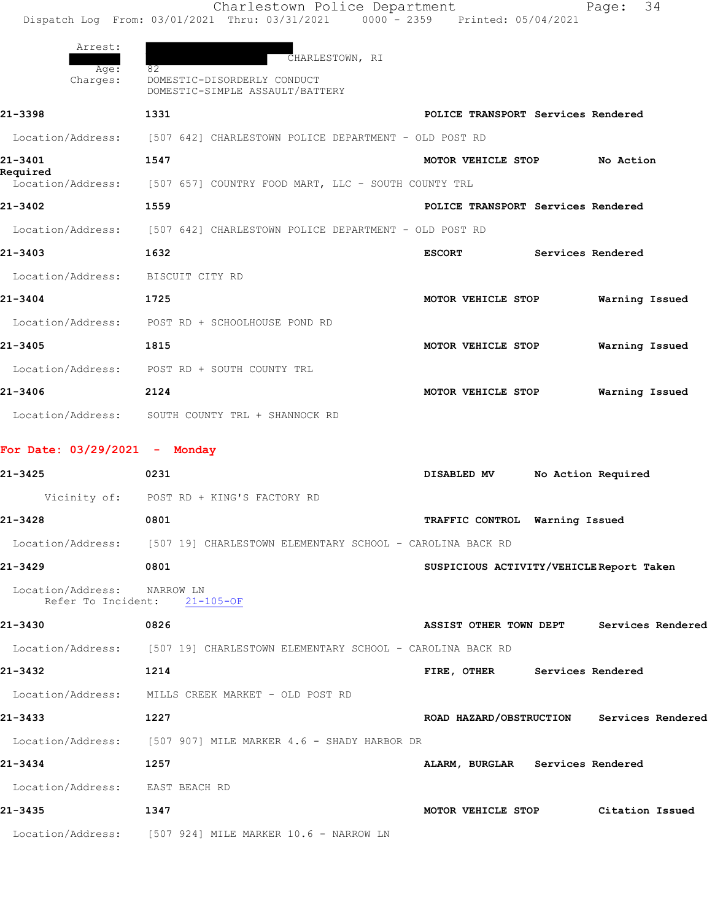|                             | Charlestown Police Department                                                           |                                    | 34<br>Page:       |
|-----------------------------|-----------------------------------------------------------------------------------------|------------------------------------|-------------------|
|                             | Dispatch Log From: 03/01/2021 Thru: 03/31/2021   0000 - 2359   Printed: 05/04/2021      |                                    |                   |
| Arrest:<br>Age:<br>Charges: | CHARLESTOWN, RI<br>82<br>DOMESTIC-DISORDERLY CONDUCT<br>DOMESTIC-SIMPLE ASSAULT/BATTERY |                                    |                   |
| 21-3398                     | 1331                                                                                    | POLICE TRANSPORT Services Rendered |                   |
|                             | Location/Address: [507 642] CHARLESTOWN POLICE DEPARTMENT - OLD POST RD                 |                                    |                   |
| 21-3401                     | 1547                                                                                    | MOTOR VEHICLE STOP                 | No Action         |
| Required                    | Location/Address: [507 657] COUNTRY FOOD MART, LLC - SOUTH COUNTY TRL                   |                                    |                   |
| 21-3402                     | 1559                                                                                    | POLICE TRANSPORT Services Rendered |                   |
|                             | Location/Address: [507 642] CHARLESTOWN POLICE DEPARTMENT - OLD POST RD                 |                                    |                   |
| 21-3403                     | 1632                                                                                    | <b>ESCORT</b>                      | Services Rendered |
| Location/Address:           | BISCUIT CITY RD                                                                         |                                    |                   |
| 21-3404                     | 1725                                                                                    | MOTOR VEHICLE STOP                 | Warning Issued    |
| Location/Address:           | POST RD + SCHOOLHOUSE POND RD                                                           |                                    |                   |
| 21-3405                     | 1815                                                                                    | MOTOR VEHICLE STOP                 | Warning Issued    |
| Location/Address:           | POST RD + SOUTH COUNTY TRL                                                              |                                    |                   |

- Location/Address: SOUTH COUNTY TRL + SHANNOCK RD
- **For Date: 03/29/2021 Monday**
- **21-3425 0231 DISABLED MV No Action Required** Vicinity of: POST RD + KING'S FACTORY RD **21-3428 0801 TRAFFIC CONTROL Warning Issued** Location/Address: [507 19] CHARLESTOWN ELEMENTARY SCHOOL - CAROLINA BACK RD **21-3429 0801 SUSPICIOUS ACTIVITY/VEHICLE Report Taken**

**21-3406 2124 MOTOR VEHICLE STOP Warning Issued**

- Location/Address: NARROW LN Refer To Incident: 21-105-OF
- **21-3430 0826 ASSIST OTHER TOWN DEPT Services Rendered** Location/Address: [507 19] CHARLESTOWN ELEMENTARY SCHOOL - CAROLINA BACK RD **21-3432 1214 FIRE, OTHER Services Rendered** Location/Address: MILLS CREEK MARKET - OLD POST RD **21-3433 1227 ROAD HAZARD/OBSTRUCTION Services Rendered** Location/Address: [507 907] MILE MARKER 4.6 - SHADY HARBOR DR **21-3434 1257 ALARM, BURGLAR Services Rendered** Location/Address: EAST BEACH RD **21-3435 1347 MOTOR VEHICLE STOP Citation Issued**
- Location/Address: [507 924] MILE MARKER 10.6 NARROW LN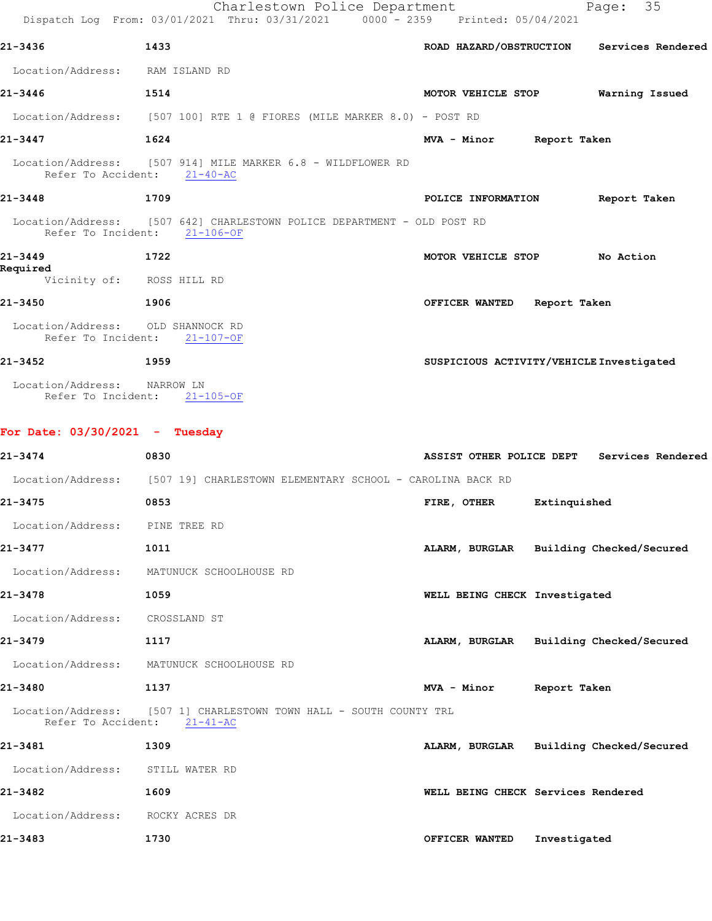|                                   | Charlestown Police Department<br>Dispatch Log From: 03/01/2021 Thru: 03/31/2021 0000 - 2359 Printed: 05/04/2021 |                                          | Page: 35                                   |
|-----------------------------------|-----------------------------------------------------------------------------------------------------------------|------------------------------------------|--------------------------------------------|
| 21-3436                           | 1433                                                                                                            |                                          | ROAD HAZARD/OBSTRUCTION Services Rendered  |
| Location/Address: RAM ISLAND RD   |                                                                                                                 |                                          |                                            |
| 21-3446                           | 1514                                                                                                            | MOTOR VEHICLE STOP Warning Issued        |                                            |
|                                   | Location/Address: [507 100] RTE 1 @ FIORES (MILE MARKER 8.0) - POST RD                                          |                                          |                                            |
| 21-3447<br>1624                   |                                                                                                                 | MVA - Minor Report Taken                 |                                            |
|                                   | Location/Address: [507 914] MILE MARKER 6.8 - WILDFLOWER RD<br>Refer To Accident: 21-40-AC                      |                                          |                                            |
| 21-3448                           | 1709                                                                                                            | POLICE INFORMATION Report Taken          |                                            |
|                                   | Location/Address: [507 642] CHARLESTOWN POLICE DEPARTMENT - OLD POST RD<br>Refer To Incident: 21-106-OF         |                                          |                                            |
| 21-3449<br>1722<br>Required       |                                                                                                                 | MOTOR VEHICLE STOP No Action             |                                            |
|                                   | Vicinity of: ROSS HILL RD                                                                                       |                                          |                                            |
| 21-3450                           | 1906                                                                                                            | OFFICER WANTED Report Taken              |                                            |
| Location/Address: OLD SHANNOCK RD | Refer To Incident: 21-107-OF                                                                                    |                                          |                                            |
| 21-3452<br>$\sim$ 1959            |                                                                                                                 | SUSPICIOUS ACTIVITY/VEHICLE Investigated |                                            |
| Location/Address: NARROW LN       | Refer To Incident: 21-105-OF                                                                                    |                                          |                                            |
| For Date: $03/30/2021$ - Tuesday  |                                                                                                                 |                                          |                                            |
| 21-3474                           | 0830                                                                                                            |                                          | ASSIST OTHER POLICE DEPT Services Rendered |
|                                   | Location/Address: [507 19] CHARLESTOWN ELEMENTARY SCHOOL - CAROLINA BACK RD                                     |                                          |                                            |
| 21-3475                           | 0853                                                                                                            | FIRE, OTHER Extinquished                 |                                            |
| Location/Address: PINE TREE RD    |                                                                                                                 |                                          |                                            |
| 21-3477                           | 1011                                                                                                            | ALARM, BURGLAR Building Checked/Secured  |                                            |
|                                   | Location/Address: MATUNUCK SCHOOLHOUSE RD                                                                       |                                          |                                            |
| 21-3478                           | 1059                                                                                                            | WELL BEING CHECK Investigated            |                                            |
| Location/Address: CROSSLAND ST    |                                                                                                                 |                                          |                                            |
| 21-3479                           | 1117                                                                                                            | ALARM, BURGLAR Building Checked/Secured  |                                            |
|                                   | Location/Address: MATUNUCK SCHOOLHOUSE RD                                                                       |                                          |                                            |
| 21-3480                           | 1137                                                                                                            | MVA - Minor Report Taken                 |                                            |
|                                   | Location/Address: [507 1] CHARLESTOWN TOWN HALL - SOUTH COUNTY TRL<br>Refer To Accident: 21-41-AC               |                                          |                                            |
| 21-3481                           | 1309                                                                                                            | ALARM, BURGLAR Building Checked/Secured  |                                            |
| Location/Address: STILL WATER RD  |                                                                                                                 |                                          |                                            |
| 21-3482                           | 1609                                                                                                            | WELL BEING CHECK Services Rendered       |                                            |
| Location/Address:                 | ROCKY ACRES DR                                                                                                  |                                          |                                            |

**21-3483 1730 OFFICER WANTED Investigated**